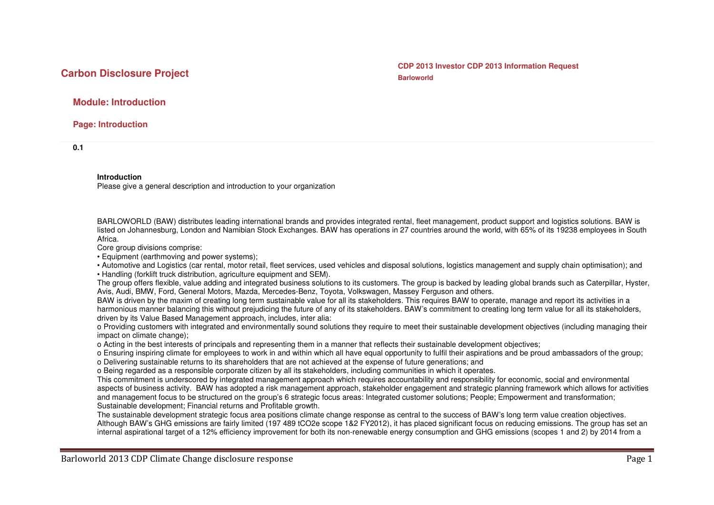**Carbon Disclosure Project Carbon Disclosure Project CDP** 2013 Investor CDP 2013 Information Request

# **Module: Introduction**

**Page: Introduction** 

**0.1** 

#### **Introduction**

Please give a general description and introduction to your organization

BARLOWORLD (BAW) distributes leading international brands and provides integrated rental, fleet management, product support and logistics solutions. BAW is listed on Johannesburg, London and Namibian Stock Exchanges. BAW has operations in 27 countries around the world, with 65% of its 19238 employees in South Africa.

Core group divisions comprise:

• Equipment (earthmoving and power systems);

 • Automotive and Logistics (car rental, motor retail, fleet services, used vehicles and disposal solutions, logistics management and supply chain optimisation); and • Handling (forklift truck distribution, agriculture equipment and SEM).

 The group offers flexible, value adding and integrated business solutions to its customers. The group is backed by leading global brands such as Caterpillar, Hyster, Avis, Audi, BMW, Ford, General Motors, Mazda, Mercedes-Benz, Toyota, Volkswagen, Massey Ferguson and others.

BAW is driven by the maxim of creating long term sustainable value for all its stakeholders. This requires BAW to operate, manage and report its activities in a harmonious manner balancing this without prejudicing the future of any of its stakeholders. BAW's commitment to creating long term value for all its stakeholders, driven by its Value Based Management approach, includes, inter alia:

 o Providing customers with integrated and environmentally sound solutions they require to meet their sustainable development objectives (including managing their impact on climate change);

o Acting in the best interests of principals and representing them in a manner that reflects their sustainable development objectives;

 o Ensuring inspiring climate for employees to work in and within which all have equal opportunity to fulfil their aspirations and be proud ambassadors of the group; o Delivering sustainable returns to its shareholders that are not achieved at the expense of future generations; and

o Being regarded as a responsible corporate citizen by all its stakeholders, including communities in which it operates.

 This commitment is underscored by integrated management approach which requires accountability and responsibility for economic, social and environmental aspects of business activity. BAW has adopted a risk management approach, stakeholder engagement and strategic planning framework which allows for activities and management focus to be structured on the group's 6 strategic focus areas: Integrated customer solutions; People; Empowerment and transformation; Sustainable development; Financial returns and Profitable growth.

 The sustainable development strategic focus area positions climate change response as central to the success of BAW's long term value creation objectives. Although BAW's GHG emissions are fairly limited (197 489 tCO2e scope 1&2 FY2012), it has placed significant focus on reducing emissions. The group has set an internal aspirational target of a 12% efficiency improvement for both its non-renewable energy consumption and GHG emissions (scopes 1 and 2) by 2014 from a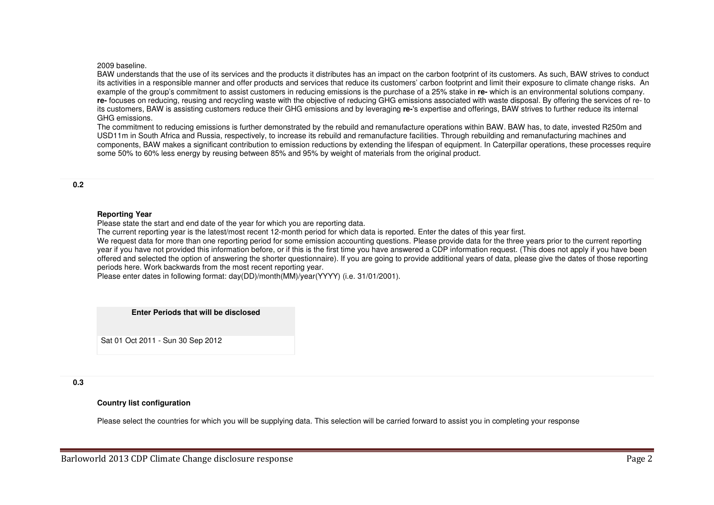#### 2009 baseline.

 BAW understands that the use of its services and the products it distributes has an impact on the carbon footprint of its customers. As such, BAW strives to conduct its activities in a responsible manner and offer products and services that reduce its customers' carbon footprint and limit their exposure to climate change risks. An example of the group's commitment to assist customers in reducing emissions is the purchase of a 25% stake in **re-** which is an environmental solutions company. **re-** focuses on reducing, reusing and recycling waste with the objective of reducing GHG emissions associated with waste disposal. By offering the services of re- to its customers, BAW is assisting customers reduce their GHG emissions and by leveraging **re-**'s expertise and offerings, BAW strives to further reduce its internal GHG emissions.

 The commitment to reducing emissions is further demonstrated by the rebuild and remanufacture operations within BAW. BAW has, to date, invested R250m andUSD11m in South Africa and Russia, respectively, to increase its rebuild and remanufacture facilities. Through rebuilding and remanufacturing machines and components, BAW makes a significant contribution to emission reductions by extending the lifespan of equipment. In Caterpillar operations, these processes require some 50% to 60% less energy by reusing between 85% and 95% by weight of materials from the original product.

## **0.2**

#### **Reporting Year**

Please state the start and end date of the year for which you are reporting data.

The current reporting year is the latest/most recent 12-month period for which data is reported. Enter the dates of this year first.

We request data for more than one reporting period for some emission accounting questions. Please provide data for the three years prior to the current reporting year if you have not provided this information before, or if this is the first time you have answered a CDP information request. (This does not apply if you have been offered and selected the option of answering the shorter questionnaire). If you are going to provide additional years of data, please give the dates of those reporting periods here. Work backwards from the most recent reporting year.

Please enter dates in following format: day(DD)/month(MM)/year(YYYY) (i.e. 31/01/2001).

#### **Enter Periods that will be disclosed**

Sat 01 Oct 2011 - Sun 30 Sep 2012

#### **0.3**

# **Country list configuration**

Please select the countries for which you will be supplying data. This selection will be carried forward to assist you in completing your response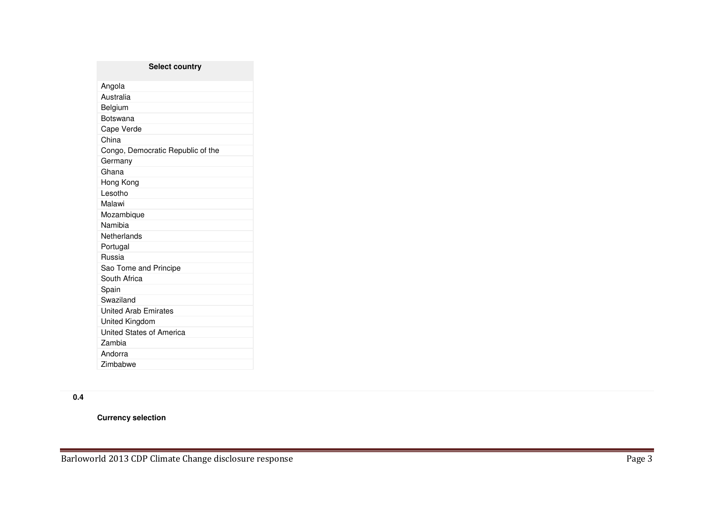| <b>Select country</b>             |
|-----------------------------------|
| Angola                            |
| Australia                         |
| Belgium                           |
| Botswana                          |
| Cape Verde                        |
| China                             |
| Congo, Democratic Republic of the |
| Germany                           |
| Ghana                             |
| Hong Kong                         |
| Lesotho                           |
| Malawi                            |
| Mozambique                        |
| Namibia                           |
| Netherlands                       |
| Portugal                          |
| Russia                            |
| Sao Tome and Principe             |
| South Africa                      |
| Spain                             |
| Swaziland                         |
| <b>United Arab Emirates</b>       |
| United Kingdom                    |
| United States of America          |
| Zambia                            |
| Andorra                           |
| Zimbabwe                          |

# **0.4**

**Currency selection**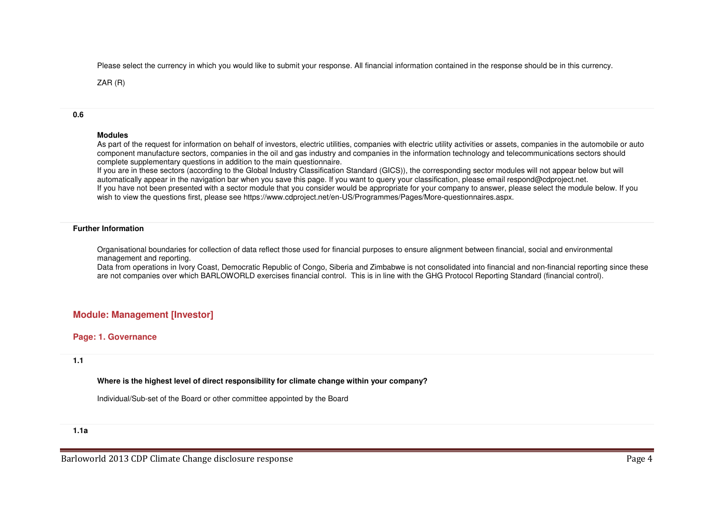Please select the currency in which you would like to submit your response. All financial information contained in the response should be in this currency.

ZAR (R)

## **0.6**

### **Modules**

As part of the request for information on behalf of investors, electric utilities, companies with electric utility activities or assets, companies in the automobile or auto component manufacture sectors, companies in the oil and gas industry and companies in the information technology and telecommunications sectors should complete supplementary questions in addition to the main questionnaire.

 If you are in these sectors (according to the Global Industry Classification Standard (GICS)), the corresponding sector modules will not appear below but will automatically appear in the navigation bar when you save this page. If you want to query your classification, please email respond@cdproject.net. If you have not been presented with a sector module that you consider would be appropriate for your company to answer, please select the module below. If you wish to view the questions first, please see https://www.cdproject.net/en-US/Programmes/Pages/More-questionnaires.aspx.

## **Further Information**

Organisational boundaries for collection of data reflect those used for financial purposes to ensure alignment between financial, social and environmental management and reporting.

 Data from operations in Ivory Coast, Democratic Republic of Congo, Siberia and Zimbabwe is not consolidated into financial and non-financial reporting since these are not companies over which BARLOWORLD exercises financial control. This is in line with the GHG Protocol Reporting Standard (financial control).

# **Module: Management [Investor]**

## **Page: 1. Governance**

## **1.1**

## **Where is the highest level of direct responsibility for climate change within your company?**

Individual/Sub-set of the Board or other committee appointed by the Board

**1.1a**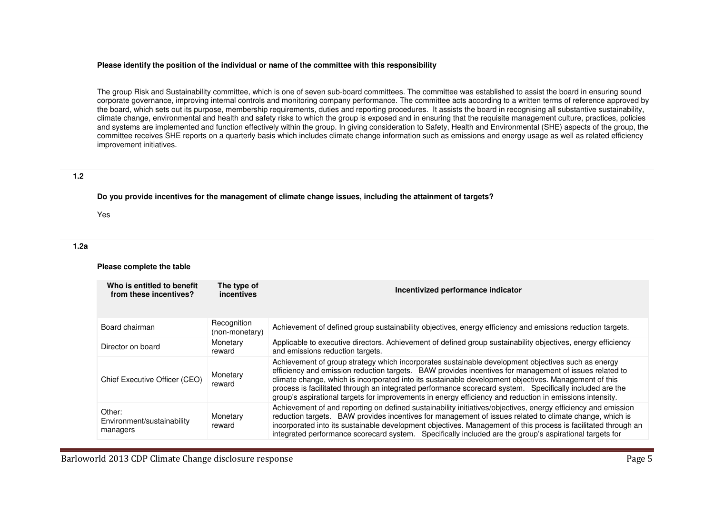#### **Please identify the position of the individual or name of the committee with this responsibility**

The group Risk and Sustainability committee, which is one of seven sub-board committees. The committee was established to assist the board in ensuring sound corporate governance, improving internal controls and monitoring company performance. The committee acts according to a written terms of reference approved by the board, which sets out its purpose, membership requirements, duties and reporting procedures. It assists the board in recognising all substantive sustainability, climate change, environmental and health and safety risks to which the group is exposed and in ensuring that the requisite management culture, practices, policies and systems are implemented and function effectively within the group. In giving consideration to Safety, Health and Environmental (SHE) aspects of the group, the committee receives SHE reports on a quarterly basis which includes climate change information such as emissions and energy usage as well as related efficiency improvement initiatives.

#### **1.2**

**Do you provide incentives for the management of climate change issues, including the attainment of targets?**

Yes

#### **1.2a**

#### **Please complete the table**

| Who is entitled to benefit<br>from these incentives? | The type of<br>incentives     | Incentivized performance indicator                                                                                                                                                                                                                                                                                                                                                                                                                                                                                                            |  |  |
|------------------------------------------------------|-------------------------------|-----------------------------------------------------------------------------------------------------------------------------------------------------------------------------------------------------------------------------------------------------------------------------------------------------------------------------------------------------------------------------------------------------------------------------------------------------------------------------------------------------------------------------------------------|--|--|
| Board chairman                                       | Recognition<br>(non-monetary) | Achievement of defined group sustainability objectives, energy efficiency and emissions reduction targets.                                                                                                                                                                                                                                                                                                                                                                                                                                    |  |  |
| Director on board                                    | Monetary<br>reward            | Applicable to executive directors. Achievement of defined group sustainability objectives, energy efficiency<br>and emissions reduction targets.                                                                                                                                                                                                                                                                                                                                                                                              |  |  |
| Chief Executive Officer (CEO)                        | Monetary<br>reward            | Achievement of group strategy which incorporates sustainable development objectives such as energy<br>efficiency and emission reduction targets. BAW provides incentives for management of issues related to<br>climate change, which is incorporated into its sustainable development objectives. Management of this<br>process is facilitated through an integrated performance scorecard system. Specifically included are the<br>group's aspirational targets for improvements in energy efficiency and reduction in emissions intensity. |  |  |
| Other:<br>Environment/sustainability<br>managers     | Monetary<br>reward            | Achievement of and reporting on defined sustainability initiatives/objectives, energy efficiency and emission<br>reduction targets. BAW provides incentives for management of issues related to climate change, which is<br>incorporated into its sustainable development objectives. Management of this process is facilitated through an<br>integrated performance scorecard system. Specifically included are the group's aspirational targets for                                                                                         |  |  |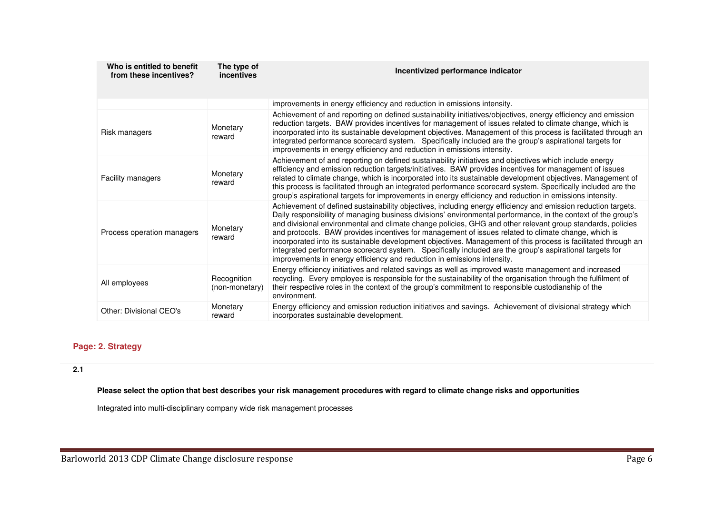| Who is entitled to benefit<br>from these incentives? | The type of<br><i>incentives</i> | Incentivized performance indicator                                                                                                                                                                                                                                                                                                                                                                                                                                                                                                                                                                                                                                                                                                                          |
|------------------------------------------------------|----------------------------------|-------------------------------------------------------------------------------------------------------------------------------------------------------------------------------------------------------------------------------------------------------------------------------------------------------------------------------------------------------------------------------------------------------------------------------------------------------------------------------------------------------------------------------------------------------------------------------------------------------------------------------------------------------------------------------------------------------------------------------------------------------------|
|                                                      |                                  | improvements in energy efficiency and reduction in emissions intensity.                                                                                                                                                                                                                                                                                                                                                                                                                                                                                                                                                                                                                                                                                     |
| Risk managers                                        | Monetary<br>reward               | Achievement of and reporting on defined sustainability initiatives/objectives, energy efficiency and emission<br>reduction targets. BAW provides incentives for management of issues related to climate change, which is<br>incorporated into its sustainable development objectives. Management of this process is facilitated through an<br>integrated performance scorecard system. Specifically included are the group's aspirational targets for<br>improvements in energy efficiency and reduction in emissions intensity.                                                                                                                                                                                                                            |
| Facility managers                                    | Monetary<br>reward               | Achievement of and reporting on defined sustainability initiatives and objectives which include energy<br>efficiency and emission reduction targets/initiatives. BAW provides incentives for management of issues<br>related to climate change, which is incorporated into its sustainable development objectives. Management of<br>this process is facilitated through an integrated performance scorecard system. Specifically included are the<br>group's aspirational targets for improvements in energy efficiency and reduction in emissions intensity.                                                                                                                                                                                               |
| Process operation managers                           | Monetary<br>reward               | Achievement of defined sustainability objectives, including energy efficiency and emission reduction targets.<br>Daily responsibility of managing business divisions' environmental performance, in the context of the group's<br>and divisional environmental and climate change policies, GHG and other relevant group standards, policies<br>and protocols. BAW provides incentives for management of issues related to climate change, which is<br>incorporated into its sustainable development objectives. Management of this process is facilitated through an<br>integrated performance scorecard system. Specifically included are the group's aspirational targets for<br>improvements in energy efficiency and reduction in emissions intensity. |
| All employees                                        | Recognition<br>(non-monetary)    | Energy efficiency initiatives and related savings as well as improved waste management and increased<br>recycling. Every employee is responsible for the sustainability of the organisation through the fulfilment of<br>their respective roles in the context of the group's commitment to responsible custodianship of the<br>environment.                                                                                                                                                                                                                                                                                                                                                                                                                |
| Other: Divisional CEO's                              | Monetary<br>reward               | Energy efficiency and emission reduction initiatives and savings. Achievement of divisional strategy which<br>incorporates sustainable development.                                                                                                                                                                                                                                                                                                                                                                                                                                                                                                                                                                                                         |

# **Page: 2. Strategy**

# **2.1**

**Please select the option that best describes your risk management procedures with regard to climate change risks and opportunities**

Integrated into multi-disciplinary company wide risk management processes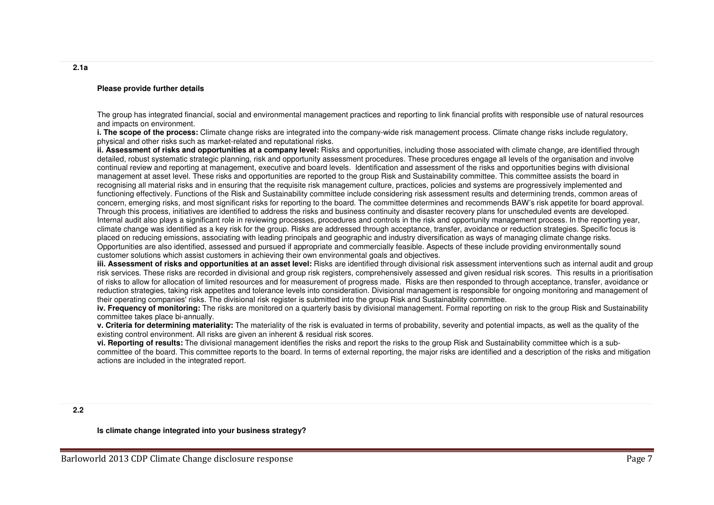#### **Please provide further details**

The group has integrated financial, social and environmental management practices and reporting to link financial profits with responsible use of natural resources and impacts on environment.

 **i. The scope of the process:** Climate change risks are integrated into the company-wide risk management process. Climate change risks include regulatory, physical and other risks such as market-related and reputational risks.

 **ii. Assessment of risks and opportunities at a company level:** Risks and opportunities, including those associated with climate change, are identified through detailed, robust systematic strategic planning, risk and opportunity assessment procedures. These procedures engage all levels of the organisation and involve continual review and reporting at management, executive and board levels. Identification and assessment of the risks and opportunities begins with divisional management at asset level. These risks and opportunities are reported to the group Risk and Sustainability committee. This committee assists the board in recognising all material risks and in ensuring that the requisite risk management culture, practices, policies and systems are progressively implemented and functioning effectively. Functions of the Risk and Sustainability committee include considering risk assessment results and determining trends, common areas of concern, emerging risks, and most significant risks for reporting to the board. The committee determines and recommends BAW's risk appetite for board approval. Through this process, initiatives are identified to address the risks and business continuity and disaster recovery plans for unscheduled events are developed. Internal audit also plays a significant role in reviewing processes, procedures and controls in the risk and opportunity management process. In the reporting year, climate change was identified as a key risk for the group. Risks are addressed through acceptance, transfer, avoidance or reduction strategies. Specific focus is placed on reducing emissions, associating with leading principals and geographic and industry diversification as ways of managing climate change risks. Opportunities are also identified, assessed and pursued if appropriate and commercially feasible. Aspects of these include providing environmentally sound customer solutions which assist customers in achieving their own environmental goals and objectives.

 **iii. Assessment of risks and opportunities at an asset level:** Risks are identified through divisional risk assessment interventions such as internal audit and group risk services. These risks are recorded in divisional and group risk registers, comprehensively assessed and given residual risk scores. This results in a prioritisation of risks to allow for allocation of limited resources and for measurement of progress made. Risks are then responded to through acceptance, transfer, avoidance or reduction strategies, taking risk appetites and tolerance levels into consideration. Divisional management is responsible for ongoing monitoring and management of their operating companies' risks. The divisional risk register is submitted into the group Risk and Sustainability committee.

 **iv. Frequency of monitoring:** The risks are monitored on a quarterly basis by divisional management. Formal reporting on risk to the group Risk and Sustainability committee takes place bi-annually.

 **v. Criteria for determining materiality:** The materiality of the risk is evaluated in terms of probability, severity and potential impacts, as well as the quality of the existing control environment. All risks are given an inherent & residual risk scores.

 **vi. Reporting of results:** The divisional management identifies the risks and report the risks to the group Risk and Sustainability committee which is a subcommittee of the board. This committee reports to the board. In terms of external reporting, the major risks are identified and a description of the risks and mitigation actions are included in the integrated report.

**Is climate change integrated into your business strategy?**

**2.1a**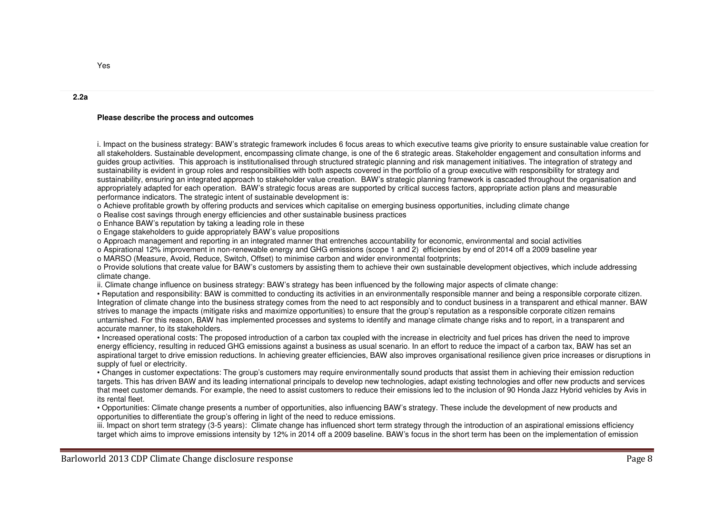#### **Please describe the process and outcomes**

i. Impact on the business strategy: BAW's strategic framework includes 6 focus areas to which executive teams give priority to ensure sustainable value creation for all stakeholders. Sustainable development, encompassing climate change, is one of the 6 strategic areas. Stakeholder engagement and consultation informs and guides group activities. This approach is institutionalised through structured strategic planning and risk management initiatives. The integration of strategy and sustainability is evident in group roles and responsibilities with both aspects covered in the portfolio of a group executive with responsibility for strategy and sustainability, ensuring an integrated approach to stakeholder value creation. BAW's strategic planning framework is cascaded throughout the organisation and appropriately adapted for each operation. BAW's strategic focus areas are supported by critical success factors, appropriate action plans and measurableperformance indicators. The strategic intent of sustainable development is:

o Achieve profitable growth by offering products and services which capitalise on emerging business opportunities, including climate change

o Realise cost savings through energy efficiencies and other sustainable business practices

o Enhance BAW's reputation by taking a leading role in these

o Engage stakeholders to guide appropriately BAW's value propositions

o Approach management and reporting in an integrated manner that entrenches accountability for economic, environmental and social activities

o Aspirational 12% improvement in non-renewable energy and GHG emissions (scope 1 and 2) efficiencies by end of 2014 off a 2009 baseline year

o MARSO (Measure, Avoid, Reduce, Switch, Offset) to minimise carbon and wider environmental footprints;

 o Provide solutions that create value for BAW's customers by assisting them to achieve their own sustainable development objectives, which include addressing climate change.

ii. Climate change influence on business strategy: BAW's strategy has been influenced by the following major aspects of climate change:

 • Reputation and responsibility: BAW is committed to conducting its activities in an environmentally responsible manner and being a responsible corporate citizen. Integration of climate change into the business strategy comes from the need to act responsibly and to conduct business in a transparent and ethical manner. BAW strives to manage the impacts (mitigate risks and maximize opportunities) to ensure that the group's reputation as a responsible corporate citizen remains untarnished. For this reason, BAW has implemented processes and systems to identify and manage climate change risks and to report, in a transparent and accurate manner, to its stakeholders.

 • Increased operational costs: The proposed introduction of a carbon tax coupled with the increase in electricity and fuel prices has driven the need to improve energy efficiency, resulting in reduced GHG emissions against a business as usual scenario. In an effort to reduce the impact of a carbon tax, BAW has set an aspirational target to drive emission reductions. In achieving greater efficiencies, BAW also improves organisational resilience given price increases or disruptions in supply of fuel or electricity.

 • Changes in customer expectations: The group's customers may require environmentally sound products that assist them in achieving their emission reduction targets. This has driven BAW and its leading international principals to develop new technologies, adapt existing technologies and offer new products and services that meet customer demands. For example, the need to assist customers to reduce their emissions led to the inclusion of 90 Honda Jazz Hybrid vehicles by Avis in its rental fleet.

 • Opportunities: Climate change presents a number of opportunities, also influencing BAW's strategy. These include the development of new products and opportunities to differentiate the group's offering in light of the need to reduce emissions.

 iii. Impact on short term strategy (3-5 years): Climate change has influenced short term strategy through the introduction of an aspirational emissions efficiency target which aims to improve emissions intensity by 12% in 2014 off a 2009 baseline. BAW's focus in the short term has been on the implementation of emission

**2.2a**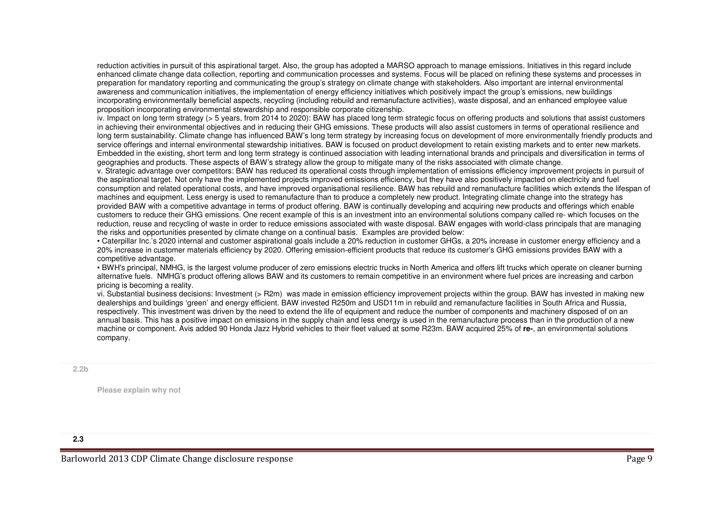reduction activities in pursuit of this aspirational target. Also, the group has adopted a MARSO approach to manage emissions. Initiatives in this regard include enhanced climate change data collection, reporting and communication processes and systems. Focus will be placed on refining these systems and processes in preparation for mandatory reporting and communicating the group's strategy on climate change with stakeholders. Also important are internal environmentalawareness and communication initiatives, the implementation of energy efficiency initiatives which positively impact the group's emissions, new buildings incorporating environmentally beneficial aspects, recycling (including rebuild and remanufacture activities), waste disposal, and an enhanced employee value proposition incorporating environmental stewardship and responsible corporate citizenship.

 iv. Impact on long term strategy (> 5 years, from 2014 to 2020): BAW has placed long term strategic focus on offering products and solutions that assist customers in achieving their environmental objectives and in reducing their GHG emissions. These products will also assist customers in terms of operational resilience and long term sustainability. Climate change has influenced BAW's long term strategy by increasing focus on development of more environmentally friendly products and service offerings and internal environmental stewardship initiatives. BAW is focused on product development to retain existing markets and to enter new markets. Embedded in the existing, short term and long term strategy is continued association with leading international brands and principals and diversification in terms of geographies and products. These aspects of BAW's strategy allow the group to mitigate many of the risks associated with climate change.

 v. Strategic advantage over competitors: BAW has reduced its operational costs through implementation of emissions efficiency improvement projects in pursuit of the aspirational target. Not only have the implemented projects improved emissions efficiency, but they have also positively impacted on electricity and fuel consumption and related operational costs, and have improved organisational resilience. BAW has rebuild and remanufacture facilities which extends the lifespan of machines and equipment. Less energy is used to remanufacture than to produce a completely new product. Integrating climate change into the strategy has provided BAW with a competitive advantage in terms of product offering. BAW is continually developing and acquiring new products and offerings which enable customers to reduce their GHG emissions. One recent example of this is an investment into an environmental solutions company called re- which focuses on the reduction, reuse and recycling of waste in order to reduce emissions associated with waste disposal. BAW engages with world-class principals that are managing the risks and opportunities presented by climate change on a continual basis. Examples are provided below:

 • Caterpillar Inc.'s 2020 internal and customer aspirational goals include a 20% reduction in customer GHGs, a 20% increase in customer energy efficiency and a 20% increase in customer materials efficiency by 2020. Offering emission-efficient products that reduce its customer's GHG emissions provides BAW with a competitive advantage.

 • BWH's principal, NMHG, is the largest volume producer of zero emissions electric trucks in North America and offers lift trucks which operate on cleaner burning alternative fuels. NMHG's product offering allows BAW and its customers to remain competitive in an environment where fuel prices are increasing and carbon pricing is becoming a reality.

 vi. Substantial business decisions: Investment (> R2m) was made in emission efficiency improvement projects within the group. BAW has invested in making new dealerships and buildings 'green' and energy efficient. BAW invested R250m and USD11m in rebuild and remanufacture facilities in South Africa and Russia,respectively. This investment was driven by the need to extend the life of equipment and reduce the number of components and machinery disposed of on an annual basis. This has a positive impact on emissions in the supply chain and less energy is used in the remanufacture process than in the production of a new machine or component. Avis added 90 Honda Jazz Hybrid vehicles to their fleet valued at some R23m. BAW acquired 25% of **re-**, an environmental solutions company.

#### **2.2b**

**Please explain why not**

#### **2.3**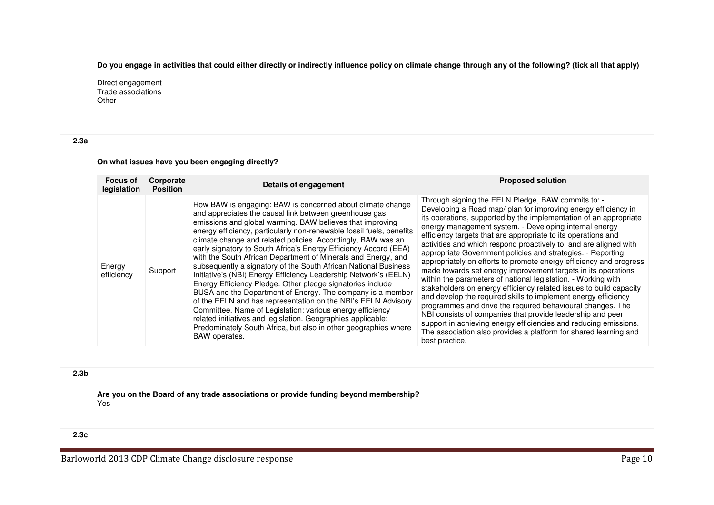**Do you engage in activities that could either directly or indirectly influence policy on climate change through any of the following? (tick all that apply)**

Direct engagement Trade associations **Other** 

**2.3a** 

## **On what issues have you been engaging directly?**

| <b>Focus of</b><br>legislation | Corporate<br><b>Position</b> | <b>Details of engagement</b>                                                                                                                                                                                                                                                                                                                                                                                                                                                                                                                                                                                                                                                                                                                                                                                                                                                                                                                                                                                        | <b>Proposed solution</b>                                                                                                                                                                                                                                                                                                                                                                                                                                                                                                                                                                                                                                                                                                                                                                                                                                                                                                                                                                                                                                                                       |
|--------------------------------|------------------------------|---------------------------------------------------------------------------------------------------------------------------------------------------------------------------------------------------------------------------------------------------------------------------------------------------------------------------------------------------------------------------------------------------------------------------------------------------------------------------------------------------------------------------------------------------------------------------------------------------------------------------------------------------------------------------------------------------------------------------------------------------------------------------------------------------------------------------------------------------------------------------------------------------------------------------------------------------------------------------------------------------------------------|------------------------------------------------------------------------------------------------------------------------------------------------------------------------------------------------------------------------------------------------------------------------------------------------------------------------------------------------------------------------------------------------------------------------------------------------------------------------------------------------------------------------------------------------------------------------------------------------------------------------------------------------------------------------------------------------------------------------------------------------------------------------------------------------------------------------------------------------------------------------------------------------------------------------------------------------------------------------------------------------------------------------------------------------------------------------------------------------|
| Energy<br>efficiency           | Support                      | How BAW is engaging: BAW is concerned about climate change<br>and appreciates the causal link between greenhouse gas<br>emissions and global warming. BAW believes that improving<br>energy efficiency, particularly non-renewable fossil fuels, benefits<br>climate change and related policies. Accordingly, BAW was an<br>early signatory to South Africa's Energy Efficiency Accord (EEA)<br>with the South African Department of Minerals and Energy, and<br>subsequently a signatory of the South African National Business<br>Initiative's (NBI) Energy Efficiency Leadership Network's (EELN)<br>Energy Efficiency Pledge. Other pledge signatories include<br>BUSA and the Department of Energy. The company is a member<br>of the EELN and has representation on the NBI's EELN Advisory<br>Committee. Name of Legislation: various energy efficiency<br>related initiatives and legislation. Geographies applicable:<br>Predominately South Africa, but also in other geographies where<br>BAW operates. | Through signing the EELN Pledge, BAW commits to: -<br>Developing a Road map/ plan for improving energy efficiency in<br>its operations, supported by the implementation of an appropriate<br>energy management system. - Developing internal energy<br>efficiency targets that are appropriate to its operations and<br>activities and which respond proactively to, and are aligned with<br>appropriate Government policies and strategies. - Reporting<br>appropriately on efforts to promote energy efficiency and progress<br>made towards set energy improvement targets in its operations<br>within the parameters of national legislation. - Working with<br>stakeholders on energy efficiency related issues to build capacity<br>and develop the required skills to implement energy efficiency<br>programmes and drive the required behavioural changes. The<br>NBI consists of companies that provide leadership and peer<br>support in achieving energy efficiencies and reducing emissions.<br>The association also provides a platform for shared learning and<br>best practice. |

## **2.3b**

**Are you on the Board of any trade associations or provide funding beyond membership?**Yes

## **2.3c**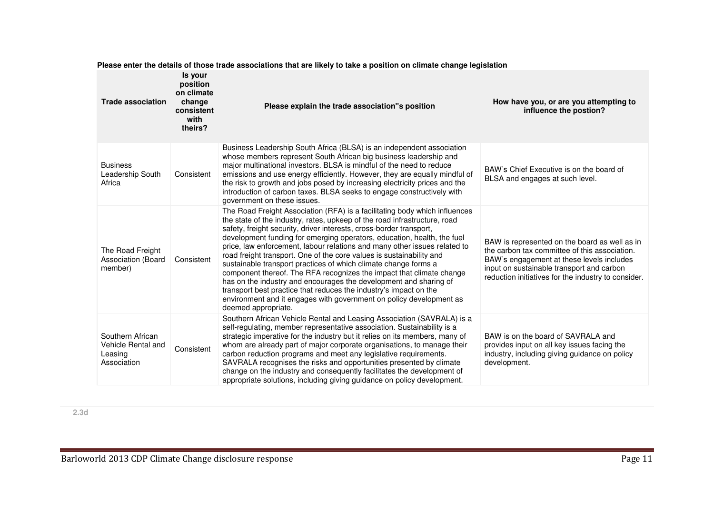| <b>Trade association</b>                                         | Is your<br>position<br>on climate<br>change<br>consistent<br>with<br>theirs? | Please explain the trade association"s position                                                                                                                                                                                                                                                                                                                                                                                                                                                                                                                                                                                                                                                                                                                                                                                                   | How have you, or are you attempting to<br>influence the postion?                                                                                                                                                                                |
|------------------------------------------------------------------|------------------------------------------------------------------------------|---------------------------------------------------------------------------------------------------------------------------------------------------------------------------------------------------------------------------------------------------------------------------------------------------------------------------------------------------------------------------------------------------------------------------------------------------------------------------------------------------------------------------------------------------------------------------------------------------------------------------------------------------------------------------------------------------------------------------------------------------------------------------------------------------------------------------------------------------|-------------------------------------------------------------------------------------------------------------------------------------------------------------------------------------------------------------------------------------------------|
| <b>Business</b><br>Leadership South<br>Africa                    | Consistent                                                                   | Business Leadership South Africa (BLSA) is an independent association<br>whose members represent South African big business leadership and<br>major multinational investors. BLSA is mindful of the need to reduce<br>emissions and use energy efficiently. However, they are equally mindful of<br>the risk to growth and jobs posed by increasing electricity prices and the<br>introduction of carbon taxes. BLSA seeks to engage constructively with<br>government on these issues.                                                                                                                                                                                                                                                                                                                                                           | BAW's Chief Executive is on the board of<br>BLSA and engages at such level.                                                                                                                                                                     |
| The Road Freight<br>Association (Board<br>member)                | Consistent                                                                   | The Road Freight Association (RFA) is a facilitating body which influences<br>the state of the industry, rates, upkeep of the road infrastructure, road<br>safety, freight security, driver interests, cross-border transport,<br>development funding for emerging operators, education, health, the fuel<br>price, law enforcement, labour relations and many other issues related to<br>road freight transport. One of the core values is sustainability and<br>sustainable transport practices of which climate change forms a<br>component thereof. The RFA recognizes the impact that climate change<br>has on the industry and encourages the development and sharing of<br>transport best practice that reduces the industry's impact on the<br>environment and it engages with government on policy development as<br>deemed appropriate. | BAW is represented on the board as well as in<br>the carbon tax committee of this association.<br>BAW's engagement at these levels includes<br>input on sustainable transport and carbon<br>reduction initiatives for the industry to consider. |
| Southern African<br>Vehicle Rental and<br>Leasing<br>Association | Consistent                                                                   | Southern African Vehicle Rental and Leasing Association (SAVRALA) is a<br>self-regulating, member representative association. Sustainability is a<br>strategic imperative for the industry but it relies on its members, many of<br>whom are already part of major corporate organisations, to manage their<br>carbon reduction programs and meet any legislative requirements.<br>SAVRALA recognises the risks and opportunities presented by climate<br>change on the industry and consequently facilitates the development of<br>appropriate solutions, including giving guidance on policy development.                                                                                                                                                                                                                                       | BAW is on the board of SAVRALA and<br>provides input on all key issues facing the<br>industry, including giving guidance on policy<br>development.                                                                                              |

**Please enter the details of those trade associations that are likely to take a position on climate change legislation**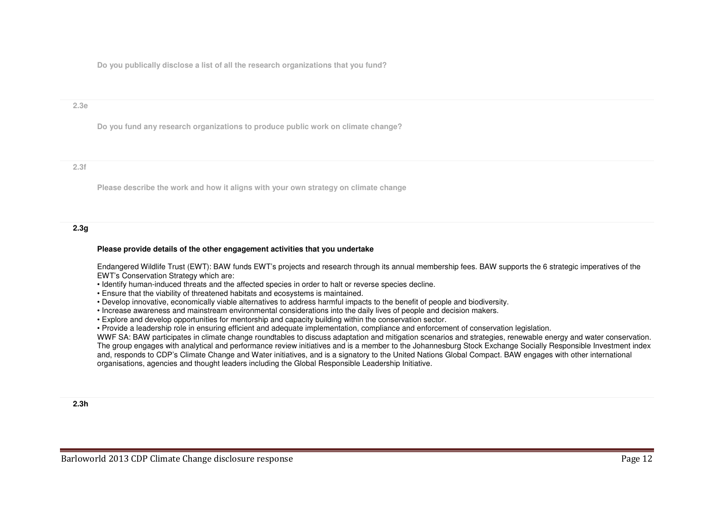**Do you publically disclose a list of all the research organizations that you fund?**

#### **2.3e**

**Do you fund any research organizations to produce public work on climate change?**

#### **2.3f**

**Please describe the work and how it aligns with your own strategy on climate change**

## **2.3g**

#### **Please provide details of the other engagement activities that you undertake**

Endangered Wildlife Trust (EWT): BAW funds EWT's projects and research through its annual membership fees. BAW supports the 6 strategic imperatives of the EWT's Conservation Strategy which are:

- Identify human-induced threats and the affected species in order to halt or reverse species decline.
- Ensure that the viability of threatened habitats and ecosystems is maintained.
- Develop innovative, economically viable alternatives to address harmful impacts to the benefit of people and biodiversity.
- Increase awareness and mainstream environmental considerations into the daily lives of people and decision makers.
- Explore and develop opportunities for mentorship and capacity building within the conservation sector.

• Provide a leadership role in ensuring efficient and adequate implementation, compliance and enforcement of conservation legislation.

 WWF SA: BAW participates in climate change roundtables to discuss adaptation and mitigation scenarios and strategies, renewable energy and water conservation. The group engages with analytical and performance review initiatives and is a member to the Johannesburg Stock Exchange Socially Responsible Investment index and, responds to CDP's Climate Change and Water initiatives, and is a signatory to the United Nations Global Compact. BAW engages with other international organisations, agencies and thought leaders including the Global Responsible Leadership Initiative.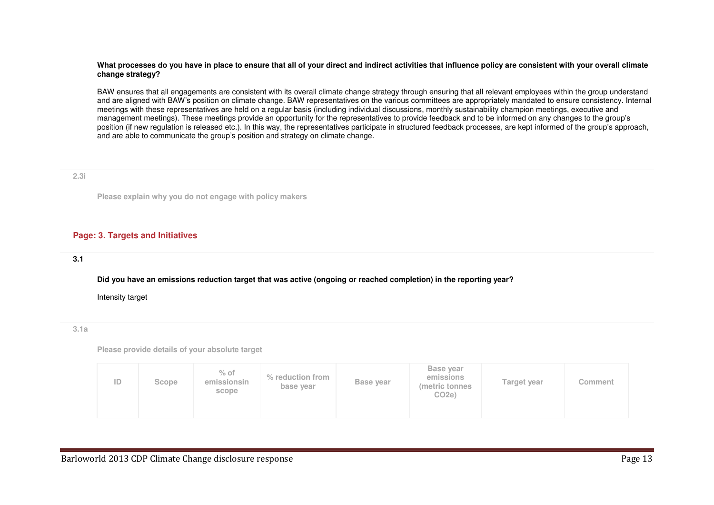#### **What processes do you have in place to ensure that all of your direct and indirect activities that influence policy are consistent with your overall climate change strategy?**

BAW ensures that all engagements are consistent with its overall climate change strategy through ensuring that all relevant employees within the group understand and are aligned with BAW's position on climate change. BAW representatives on the various committees are appropriately mandated to ensure consistency. Internal meetings with these representatives are held on a regular basis (including individual discussions, monthly sustainability champion meetings, executive and management meetings). These meetings provide an opportunity for the representatives to provide feedback and to be informed on any changes to the group's position (if new regulation is released etc.). In this way, the representatives participate in structured feedback processes, are kept informed of the group's approach, and are able to communicate the group's position and strategy on climate change.

#### **2.3i**

**Please explain why you do not engage with policy makers**

## **Page: 3. Targets and Initiatives**

## **3.1**

**Did you have an emissions reduction target that was active (ongoing or reached completion) in the reporting year?**

Intensity target

**3.1a**

**Please provide details of your absolute target**

| ID | Scope | $%$ of<br>emissionsin<br>scope | % reduction from<br>base year | Base year | Base year<br>emissions<br>(metric tonnes)<br>CO <sub>2e</sub> | Target year | Comment |
|----|-------|--------------------------------|-------------------------------|-----------|---------------------------------------------------------------|-------------|---------|
|----|-------|--------------------------------|-------------------------------|-----------|---------------------------------------------------------------|-------------|---------|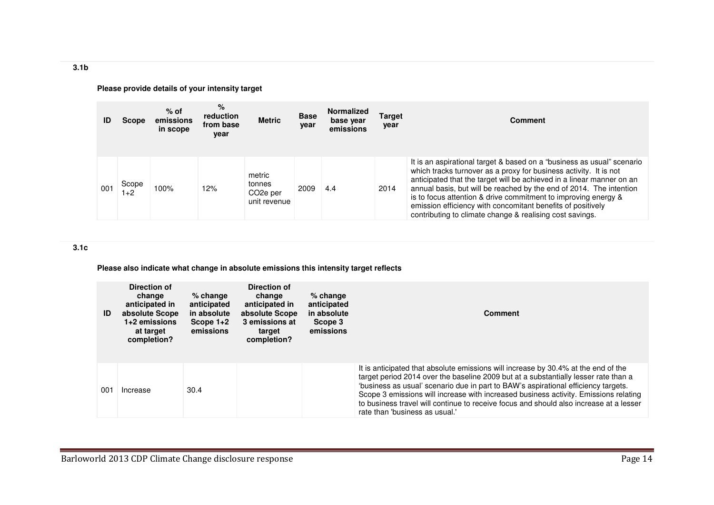**3.1b** 

**ID Scope emissions % of in scope % reduction from base year Metric Base yearNormalized base year emissions Target year Comment** 001Scope  $100\%$  12% metric tonnes CO2e per unit revenue2009 4.4 2014 It is an aspirational target & based on a "business as usual" scenario which tracks turnover as a proxy for business activity. It is not anticipated that the target will be achieved in a linear manner on an annual basis, but will be reached by the end of 2014. The intention is to focus attention & drive commitment to improving energy & emission efficiency with concomitant benefits of positively contributing to climate change & realising cost savings.

## **Please provide details of your intensity target**

#### **3.1c**

**Please also indicate what change in absolute emissions this intensity target reflects**

| ID  | Direction of<br>change<br>anticipated in<br>absolute Scope<br>$1+2$ emissions<br>at target<br>completion? | $%$ change<br>anticipated<br>in absolute<br>Scope $1+2$<br>emissions | Direction of<br>change<br>anticipated in<br>absolute Scope<br>3 emissions at<br>target<br>completion? | $%$ change<br>anticipated<br>in absolute<br>Scope 3<br>emissions | Comment                                                                                                                                                                                                                                                                                                                                                                                                                                                                             |
|-----|-----------------------------------------------------------------------------------------------------------|----------------------------------------------------------------------|-------------------------------------------------------------------------------------------------------|------------------------------------------------------------------|-------------------------------------------------------------------------------------------------------------------------------------------------------------------------------------------------------------------------------------------------------------------------------------------------------------------------------------------------------------------------------------------------------------------------------------------------------------------------------------|
| 001 | Increase                                                                                                  | 30.4                                                                 |                                                                                                       |                                                                  | It is anticipated that absolute emissions will increase by 30.4% at the end of the<br>target period 2014 over the baseline 2009 but at a substantially lesser rate than a<br>'business as usual' scenario due in part to BAW's aspirational efficiency targets.<br>Scope 3 emissions will increase with increased business activity. Emissions relating<br>to business travel will continue to receive focus and should also increase at a lesser<br>rate than 'business as usual.' |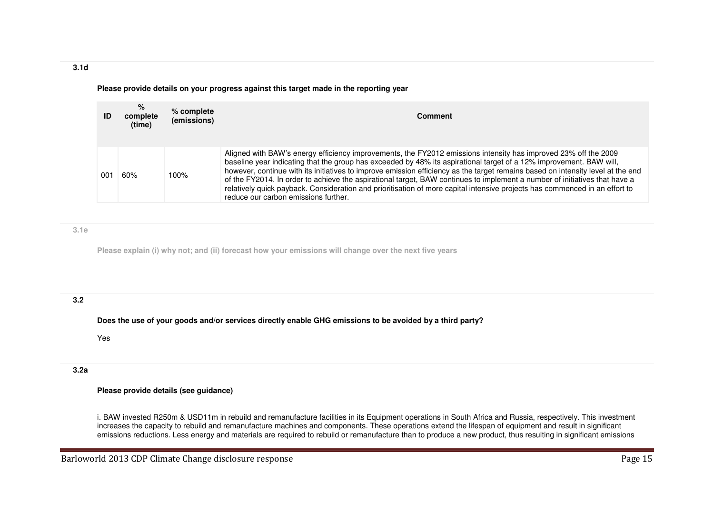**Please provide details on your progress against this target made in the reporting year**

| ID  | %<br>complete<br>(time) | % complete<br>(emissions) | Comment                                                                                                                                                                                                                                                                                                                                                                                                                                                                                                                                                                                                                                                                        |
|-----|-------------------------|---------------------------|--------------------------------------------------------------------------------------------------------------------------------------------------------------------------------------------------------------------------------------------------------------------------------------------------------------------------------------------------------------------------------------------------------------------------------------------------------------------------------------------------------------------------------------------------------------------------------------------------------------------------------------------------------------------------------|
| 001 | 60%                     | 100%                      | Aligned with BAW's energy efficiency improvements, the FY2012 emissions intensity has improved 23% off the 2009<br>baseline year indicating that the group has exceeded by 48% its aspirational target of a 12% improvement. BAW will,<br>however, continue with its initiatives to improve emission efficiency as the target remains based on intensity level at the end<br>of the FY2014. In order to achieve the aspirational target, BAW continues to implement a number of initiatives that have a<br>relatively quick payback. Consideration and prioritisation of more capital intensive projects has commenced in an effort to<br>reduce our carbon emissions further. |

**3.1e**

**Please explain (i) why not; and (ii) forecast how your emissions will change over the next five years**

# **3.2**

**Does the use of your goods and/or services directly enable GHG emissions to be avoided by a third party?**

Yes

# **3.2a**

## **Please provide details (see guidance)**

i. BAW invested R250m & USD11m in rebuild and remanufacture facilities in its Equipment operations in South Africa and Russia, respectively. This investment increases the capacity to rebuild and remanufacture machines and components. These operations extend the lifespan of equipment and result in significant emissions reductions. Less energy and materials are required to rebuild or remanufacture than to produce a new product, thus resulting in significant emissions

**3.1d**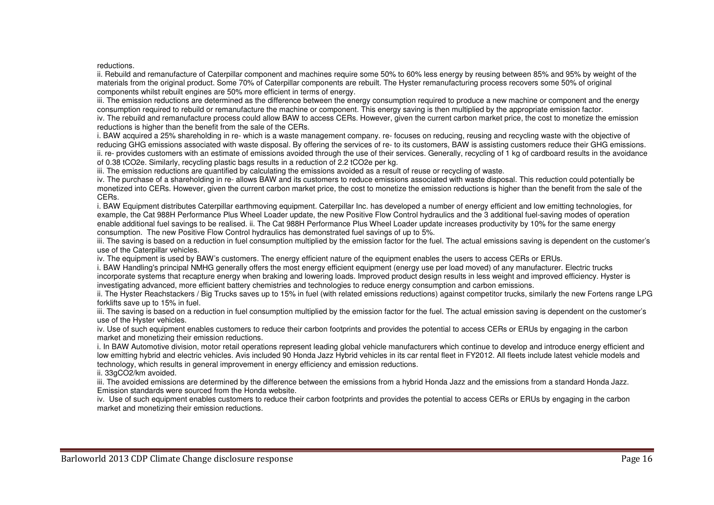reductions.

 ii. Rebuild and remanufacture of Caterpillar component and machines require some 50% to 60% less energy by reusing between 85% and 95% by weight of the materials from the original product. Some 70% of Caterpillar components are rebuilt. The Hyster remanufacturing process recovers some 50% of original components whilst rebuilt engines are 50% more efficient in terms of energy.

 iii. The emission reductions are determined as the difference between the energy consumption required to produce a new machine or component and the energy consumption required to rebuild or remanufacture the machine or component. This energy saving is then multiplied by the appropriate emission factor.

 iv. The rebuild and remanufacture process could allow BAW to access CERs. However, given the current carbon market price, the cost to monetize the emission reductions is higher than the benefit from the sale of the CERs.

 i. BAW acquired a 25% shareholding in re- which is a waste management company. re- focuses on reducing, reusing and recycling waste with the objective of reducing GHG emissions associated with waste disposal. By offering the services of re- to its customers, BAW is assisting customers reduce their GHG emissions. ii. re- provides customers with an estimate of emissions avoided through the use of their services. Generally, recycling of 1 kg of cardboard results in the avoidance of 0.38 tCO2e. Similarly, recycling plastic bags results in a reduction of 2.2 tCO2e per kg.

iii. The emission reductions are quantified by calculating the emissions avoided as a result of reuse or recycling of waste.

 iv. The purchase of a shareholding in re- allows BAW and its customers to reduce emissions associated with waste disposal. This reduction could potentially be monetized into CERs. However, given the current carbon market price, the cost to monetize the emission reductions is higher than the benefit from the sale of the CERs.

 i. BAW Equipment distributes Caterpillar earthmoving equipment. Caterpillar Inc. has developed a number of energy efficient and low emitting technologies, for example, the Cat 988H Performance Plus Wheel Loader update, the new Positive Flow Control hydraulics and the 3 additional fuel-saving modes of operation enable additional fuel savings to be realised. ii. The Cat 988H Performance Plus Wheel Loader update increases productivity by 10% for the same energy consumption. The new Positive Flow Control hydraulics has demonstrated fuel savings of up to 5%.

 iii. The saving is based on a reduction in fuel consumption multiplied by the emission factor for the fuel. The actual emissions saving is dependent on the customer's use of the Caterpillar vehicles.

iv. The equipment is used by BAW's customers. The energy efficient nature of the equipment enables the users to access CERs or ERUs.

 i. BAW Handling's principal NMHG generally offers the most energy efficient equipment (energy use per load moved) of any manufacturer. Electric trucks incorporate systems that recapture energy when braking and lowering loads. Improved product design results in less weight and improved efficiency. Hyster is investigating advanced, more efficient battery chemistries and technologies to reduce energy consumption and carbon emissions.

 ii. The Hyster Reachstackers / Big Trucks saves up to 15% in fuel (with related emissions reductions) against competitor trucks, similarly the new Fortens range LPG forklifts save up to 15% in fuel.

 iii. The saving is based on a reduction in fuel consumption multiplied by the emission factor for the fuel. The actual emission saving is dependent on the customer's use of the Hyster vehicles.

 iv. Use of such equipment enables customers to reduce their carbon footprints and provides the potential to access CERs or ERUs by engaging in the carbonmarket and monetizing their emission reductions.

 i. In BAW Automotive division, motor retail operations represent leading global vehicle manufacturers which continue to develop and introduce energy efficient and low emitting hybrid and electric vehicles. Avis included 90 Honda Jazz Hybrid vehicles in its car rental fleet in FY2012. All fleets include latest vehicle models and technology, which results in general improvement in energy efficiency and emission reductions.

ii. 33gCO2/km avoided.

 iii. The avoided emissions are determined by the difference between the emissions from a hybrid Honda Jazz and the emissions from a standard Honda Jazz. Emission standards were sourced from the Honda website.

 iv. Use of such equipment enables customers to reduce their carbon footprints and provides the potential to access CERs or ERUs by engaging in the carbon market and monetizing their emission reductions.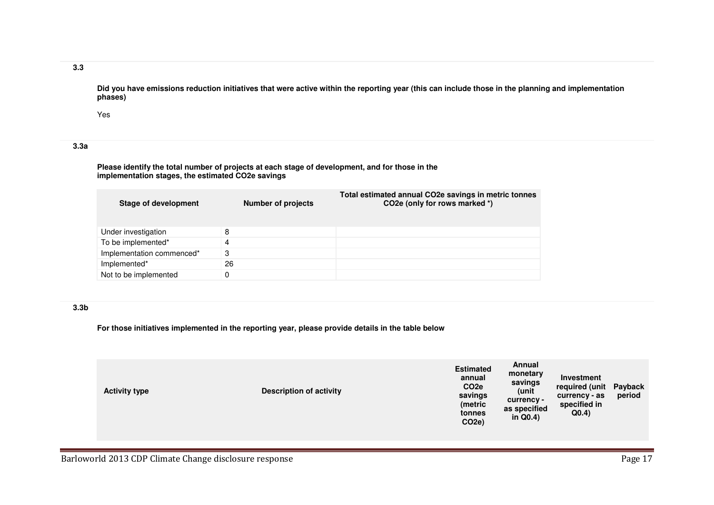## **3.3**

**Did you have emissions reduction initiatives that were active within the reporting year (this can include those in the planning and implementation phases)**

Yes

# **3.3a**

**Please identify the total number of projects at each stage of development, and for those in the implementation stages, the estimated CO2e savings**

| <b>Stage of development</b> | <b>Number of projects</b> | Total estimated annual CO2e savings in metric tonnes<br>CO <sub>2</sub> e (only for rows marked *) |
|-----------------------------|---------------------------|----------------------------------------------------------------------------------------------------|
| Under investigation         | 8                         |                                                                                                    |
| To be implemented*          | 4                         |                                                                                                    |
| Implementation commenced*   | З                         |                                                                                                    |
| Implemented*                | 26                        |                                                                                                    |
| Not to be implemented       | 0                         |                                                                                                    |

## **3.3b**

**For those initiatives implemented in the reporting year, please provide details in the table below**

| <b>Activity type</b> | <b>Description of activity</b> | <b>Estimated</b><br>annual<br>CO <sub>2e</sub><br>savings<br>(metric<br>tonnes<br>CO <sub>2e</sub> ) | Annual<br>monetary<br>savings<br>(unit<br>currency -<br>as specified<br>in $Q(0.4)$ | Investment<br>required (unit<br>currency - as<br>specified in<br>Q(0.4) | Payback<br>period |
|----------------------|--------------------------------|------------------------------------------------------------------------------------------------------|-------------------------------------------------------------------------------------|-------------------------------------------------------------------------|-------------------|
|----------------------|--------------------------------|------------------------------------------------------------------------------------------------------|-------------------------------------------------------------------------------------|-------------------------------------------------------------------------|-------------------|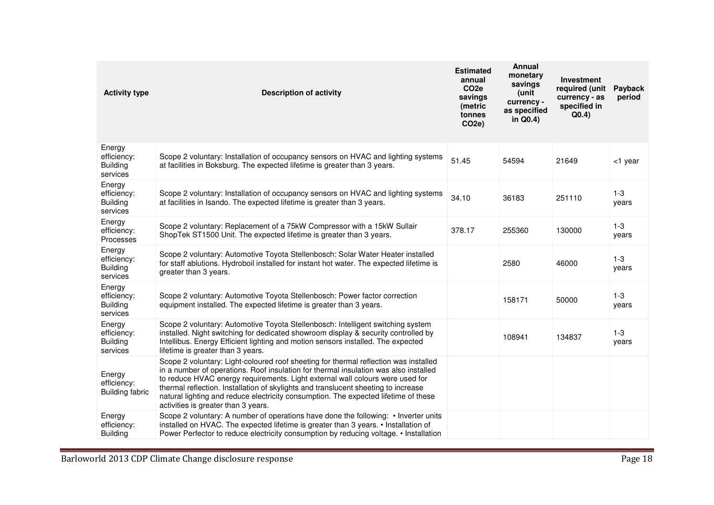| <b>Activity type</b>                                 | <b>Description of activity</b>                                                                                                                                                                                                                                                                                                                                                                                                                                                    | <b>Estimated</b><br>annual<br>CO <sub>2e</sub><br>savings<br>(metric<br>tonnes<br>CO <sub>2e</sub> ) | <b>Annual</b><br>monetary<br>savings<br>(unit<br>currency -<br>as specified<br>in Q0.4) | <b>Investment</b><br>required (unit<br>currency - as<br>specified in<br>Q(0.4) | Payback<br>period |
|------------------------------------------------------|-----------------------------------------------------------------------------------------------------------------------------------------------------------------------------------------------------------------------------------------------------------------------------------------------------------------------------------------------------------------------------------------------------------------------------------------------------------------------------------|------------------------------------------------------------------------------------------------------|-----------------------------------------------------------------------------------------|--------------------------------------------------------------------------------|-------------------|
| Energy<br>efficiency:<br><b>Building</b><br>services | Scope 2 voluntary: Installation of occupancy sensors on HVAC and lighting systems<br>at facilities in Boksburg. The expected lifetime is greater than 3 years.                                                                                                                                                                                                                                                                                                                    | 51.45                                                                                                | 54594                                                                                   | 21649                                                                          | <1 year           |
| Energy<br>efficiency:<br><b>Building</b><br>services | Scope 2 voluntary: Installation of occupancy sensors on HVAC and lighting systems<br>at facilities in Isando. The expected lifetime is greater than 3 years.                                                                                                                                                                                                                                                                                                                      | 34.10                                                                                                | 36183                                                                                   | 251110                                                                         | $1 - 3$<br>years  |
| Energy<br>efficiency:<br>Processes                   | Scope 2 voluntary: Replacement of a 75kW Compressor with a 15kW Sullair<br>ShopTek ST1500 Unit. The expected lifetime is greater than 3 years.                                                                                                                                                                                                                                                                                                                                    | 378.17                                                                                               | 255360                                                                                  | 130000                                                                         | $1-3$<br>years    |
| Energy<br>efficiency:<br><b>Building</b><br>services | Scope 2 voluntary: Automotive Toyota Stellenbosch: Solar Water Heater installed<br>for staff ablutions. Hydroboil installed for instant hot water. The expected lifetime is<br>greater than 3 years.                                                                                                                                                                                                                                                                              |                                                                                                      | 2580                                                                                    | 46000                                                                          | $1 - 3$<br>years  |
| Energy<br>efficiency:<br><b>Building</b><br>services | Scope 2 voluntary: Automotive Toyota Stellenbosch: Power factor correction<br>equipment installed. The expected lifetime is greater than 3 years.                                                                                                                                                                                                                                                                                                                                 |                                                                                                      | 158171                                                                                  | 50000                                                                          | $1 - 3$<br>years  |
| Energy<br>efficiency:<br><b>Building</b><br>services | Scope 2 voluntary: Automotive Toyota Stellenbosch: Intelligent switching system<br>installed. Night switching for dedicated showroom display & security controlled by<br>Intellibus. Energy Efficient lighting and motion sensors installed. The expected<br>lifetime is greater than 3 years.                                                                                                                                                                                    |                                                                                                      | 108941                                                                                  | 134837                                                                         | $1 - 3$<br>years  |
| Energy<br>efficiency:<br>Building fabric             | Scope 2 voluntary: Light-coloured roof sheeting for thermal reflection was installed<br>in a number of operations. Roof insulation for thermal insulation was also installed<br>to reduce HVAC energy requirements. Light external wall colours were used for<br>thermal reflection. Installation of skylights and translucent sheeting to increase<br>natural lighting and reduce electricity consumption. The expected lifetime of these<br>activities is greater than 3 years. |                                                                                                      |                                                                                         |                                                                                |                   |
| Energy<br>efficiency:<br><b>Building</b>             | Scope 2 voluntary: A number of operations have done the following: • Inverter units<br>installed on HVAC. The expected lifetime is greater than 3 years. • Installation of<br>Power Perfector to reduce electricity consumption by reducing voltage. • Installation                                                                                                                                                                                                               |                                                                                                      |                                                                                         |                                                                                |                   |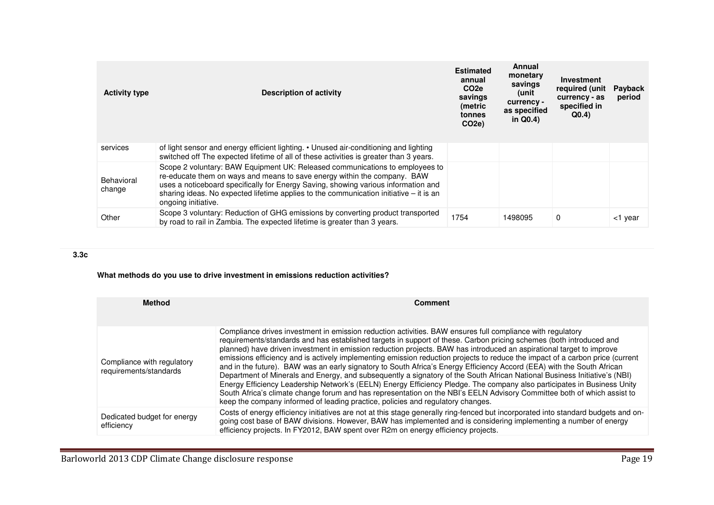| <b>Activity type</b> | Description of activity                                                                                                                                                                                                                                                                                                                                           | <b>Estimated</b><br>annual<br>CO <sub>2e</sub><br>savings<br>(metric<br>tonnes<br>CO <sub>2e</sub> ) | Annual<br>monetary<br>savings<br>unit)<br>currency -<br>as specified<br>in $Q(0.4)$ | Investment<br>required (unit<br>currency - as<br>specified in<br>Q(0.4) | Payback<br>period |
|----------------------|-------------------------------------------------------------------------------------------------------------------------------------------------------------------------------------------------------------------------------------------------------------------------------------------------------------------------------------------------------------------|------------------------------------------------------------------------------------------------------|-------------------------------------------------------------------------------------|-------------------------------------------------------------------------|-------------------|
| services             | of light sensor and energy efficient lighting. • Unused air-conditioning and lighting<br>switched off The expected lifetime of all of these activities is greater than 3 years.                                                                                                                                                                                   |                                                                                                      |                                                                                     |                                                                         |                   |
| Behavioral<br>change | Scope 2 voluntary: BAW Equipment UK: Released communications to employees to<br>re-educate them on ways and means to save energy within the company. BAW<br>uses a noticeboard specifically for Energy Saving, showing various information and<br>sharing ideas. No expected lifetime applies to the communication initiative $-$ it is an<br>ongoing initiative. |                                                                                                      |                                                                                     |                                                                         |                   |
| Other                | Scope 3 voluntary: Reduction of GHG emissions by converting product transported<br>by road to rail in Zambia. The expected lifetime is greater than 3 years.                                                                                                                                                                                                      | 1754                                                                                                 | 1498095                                                                             | $\Omega$                                                                | <1 year           |

# **3.3c**

# **What methods do you use to drive investment in emissions reduction activities?**

| <b>Method</b>                                        | <b>Comment</b>                                                                                                                                                                                                                                                                                                                                                                                                                                                                                                                                                                                                                                                                                                                                                                                                                                                                                                                                                                                                                                                                             |
|------------------------------------------------------|--------------------------------------------------------------------------------------------------------------------------------------------------------------------------------------------------------------------------------------------------------------------------------------------------------------------------------------------------------------------------------------------------------------------------------------------------------------------------------------------------------------------------------------------------------------------------------------------------------------------------------------------------------------------------------------------------------------------------------------------------------------------------------------------------------------------------------------------------------------------------------------------------------------------------------------------------------------------------------------------------------------------------------------------------------------------------------------------|
| Compliance with regulatory<br>requirements/standards | Compliance drives investment in emission reduction activities. BAW ensures full compliance with regulatory<br>requirements/standards and has established targets in support of these. Carbon pricing schemes (both introduced and<br>planned) have driven investment in emission reduction projects. BAW has introduced an aspirational target to improve<br>emissions efficiency and is actively implementing emission reduction projects to reduce the impact of a carbon price (current<br>and in the future). BAW was an early signatory to South Africa's Energy Efficiency Accord (EEA) with the South African<br>Department of Minerals and Energy, and subsequently a signatory of the South African National Business Initiative's (NBI)<br>Energy Efficiency Leadership Network's (EELN) Energy Efficiency Pledge. The company also participates in Business Unity<br>South Africa's climate change forum and has representation on the NBI's EELN Advisory Committee both of which assist to<br>keep the company informed of leading practice, policies and regulatory changes. |
| Dedicated budget for energy<br>efficiency            | Costs of energy efficiency initiatives are not at this stage generally ring-fenced but incorporated into standard budgets and on-<br>going cost base of BAW divisions. However, BAW has implemented and is considering implementing a number of energy<br>efficiency projects. In FY2012, BAW spent over R2m on energy efficiency projects.                                                                                                                                                                                                                                                                                                                                                                                                                                                                                                                                                                                                                                                                                                                                                |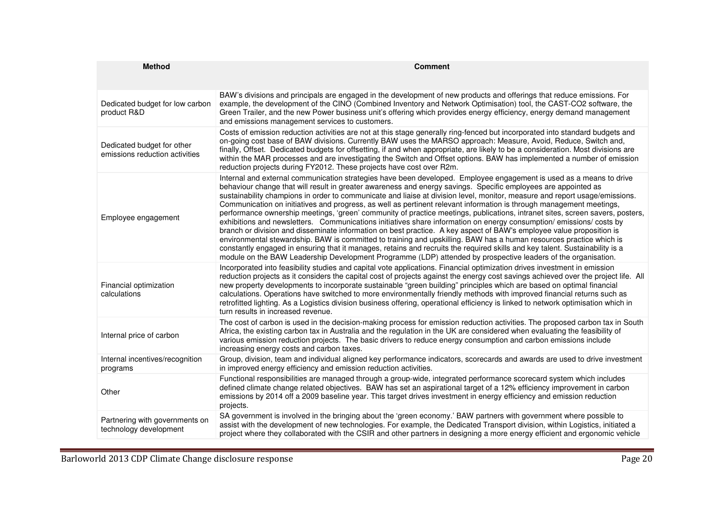| <b>Method</b>                                                | <b>Comment</b>                                                                                                                                                                                                                                                                                                                                                                                                                                                                                                                                                                                                                                                                                                                                                                                                                                                                                                                                                                                                                                                                                                                                                                                                                                      |
|--------------------------------------------------------------|-----------------------------------------------------------------------------------------------------------------------------------------------------------------------------------------------------------------------------------------------------------------------------------------------------------------------------------------------------------------------------------------------------------------------------------------------------------------------------------------------------------------------------------------------------------------------------------------------------------------------------------------------------------------------------------------------------------------------------------------------------------------------------------------------------------------------------------------------------------------------------------------------------------------------------------------------------------------------------------------------------------------------------------------------------------------------------------------------------------------------------------------------------------------------------------------------------------------------------------------------------|
| Dedicated budget for low carbon<br>product R&D               | BAW's divisions and principals are engaged in the development of new products and offerings that reduce emissions. For<br>example, the development of the CINO (Combined Inventory and Network Optimisation) tool, the CAST-CO2 software, the<br>Green Trailer, and the new Power business unit's offering which provides energy efficiency, energy demand management<br>and emissions management services to customers.                                                                                                                                                                                                                                                                                                                                                                                                                                                                                                                                                                                                                                                                                                                                                                                                                            |
| Dedicated budget for other<br>emissions reduction activities | Costs of emission reduction activities are not at this stage generally ring-fenced but incorporated into standard budgets and<br>on-going cost base of BAW divisions. Currently BAW uses the MARSO approach: Measure, Avoid, Reduce, Switch and,<br>finally, Offset. Dedicated budgets for offsetting, if and when appropriate, are likely to be a consideration. Most divisions are<br>within the MAR processes and are investigating the Switch and Offset options. BAW has implemented a number of emission<br>reduction projects during FY2012. These projects have cost over R2m.                                                                                                                                                                                                                                                                                                                                                                                                                                                                                                                                                                                                                                                              |
| Employee engagement                                          | Internal and external communication strategies have been developed. Employee engagement is used as a means to drive<br>behaviour change that will result in greater awareness and energy savings. Specific employees are appointed as<br>sustainability champions in order to communicate and liaise at division level, monitor, measure and report usage/emissions.<br>Communication on initiatives and progress, as well as pertinent relevant information is through management meetings,<br>performance ownership meetings, 'green' community of practice meetings, publications, intranet sites, screen savers, posters,<br>exhibitions and newsletters. Communications initiatives share information on energy consumption/emissions/costs by<br>branch or division and disseminate information on best practice. A key aspect of BAW's employee value proposition is<br>environmental stewardship. BAW is committed to training and upskilling. BAW has a human resources practice which is<br>constantly engaged in ensuring that it manages, retains and recruits the required skills and key talent. Sustainability is a<br>module on the BAW Leadership Development Programme (LDP) attended by prospective leaders of the organisation. |
| Financial optimization<br>calculations                       | Incorporated into feasibility studies and capital vote applications. Financial optimization drives investment in emission<br>reduction projects as it considers the capital cost of projects against the energy cost savings achieved over the project life. All<br>new property developments to incorporate sustainable "green building" principles which are based on optimal financial<br>calculations. Operations have switched to more environmentally friendly methods with improved financial returns such as<br>retrofitted lighting. As a Logistics division business offering, operational efficiency is linked to network optimisation which in<br>turn results in increased revenue.                                                                                                                                                                                                                                                                                                                                                                                                                                                                                                                                                    |
| Internal price of carbon                                     | The cost of carbon is used in the decision-making process for emission reduction activities. The proposed carbon tax in South<br>Africa, the existing carbon tax in Australia and the regulation in the UK are considered when evaluating the feasibility of<br>various emission reduction projects. The basic drivers to reduce energy consumption and carbon emissions include<br>increasing energy costs and carbon taxes.                                                                                                                                                                                                                                                                                                                                                                                                                                                                                                                                                                                                                                                                                                                                                                                                                       |
| Internal incentives/recognition<br>programs                  | Group, division, team and individual aligned key performance indicators, scorecards and awards are used to drive investment<br>in improved energy efficiency and emission reduction activities.                                                                                                                                                                                                                                                                                                                                                                                                                                                                                                                                                                                                                                                                                                                                                                                                                                                                                                                                                                                                                                                     |
| Other                                                        | Functional responsibilities are managed through a group-wide, integrated performance scorecard system which includes<br>defined climate change related objectives. BAW has set an aspirational target of a 12% efficiency improvement in carbon<br>emissions by 2014 off a 2009 baseline year. This target drives investment in energy efficiency and emission reduction<br>projects.                                                                                                                                                                                                                                                                                                                                                                                                                                                                                                                                                                                                                                                                                                                                                                                                                                                               |
| Partnering with governments on<br>technology development     | SA government is involved in the bringing about the 'green economy.' BAW partners with government where possible to<br>assist with the development of new technologies. For example, the Dedicated Transport division, within Logistics, initiated a<br>project where they collaborated with the CSIR and other partners in designing a more energy efficient and ergonomic vehicle                                                                                                                                                                                                                                                                                                                                                                                                                                                                                                                                                                                                                                                                                                                                                                                                                                                                 |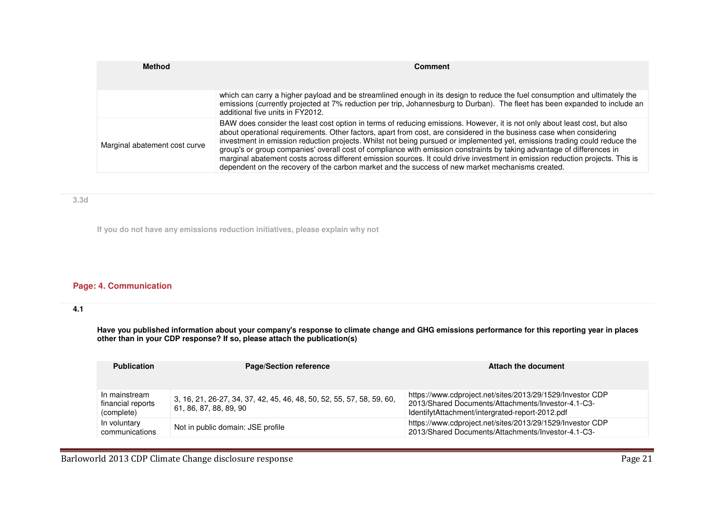| <b>Method</b>                 | <b>Comment</b>                                                                                                                                                                                                                                                                                                                                                                                                                                                                                                                                                                                                                                                                                                                                  |  |  |  |  |
|-------------------------------|-------------------------------------------------------------------------------------------------------------------------------------------------------------------------------------------------------------------------------------------------------------------------------------------------------------------------------------------------------------------------------------------------------------------------------------------------------------------------------------------------------------------------------------------------------------------------------------------------------------------------------------------------------------------------------------------------------------------------------------------------|--|--|--|--|
|                               |                                                                                                                                                                                                                                                                                                                                                                                                                                                                                                                                                                                                                                                                                                                                                 |  |  |  |  |
|                               | which can carry a higher payload and be streamlined enough in its design to reduce the fuel consumption and ultimately the<br>emissions (currently projected at 7% reduction per trip, Johannesburg to Durban). The fleet has been expanded to include an<br>additional five units in FY2012.                                                                                                                                                                                                                                                                                                                                                                                                                                                   |  |  |  |  |
| Marginal abatement cost curve | BAW does consider the least cost option in terms of reducing emissions. However, it is not only about least cost, but also<br>about operational requirements. Other factors, apart from cost, are considered in the business case when considering<br>investment in emission reduction projects. Whilst not being pursued or implemented yet, emissions trading could reduce the<br>group's or group companies' overall cost of compliance with emission constraints by taking advantage of differences in<br>marginal abatement costs across different emission sources. It could drive investment in emission reduction projects. This is<br>dependent on the recovery of the carbon market and the success of new market mechanisms created. |  |  |  |  |

## **3.3d**

**If you do not have any emissions reduction initiatives, please explain why not**

# **Page: 4. Communication**

# **4.1**

Have you published information about your company's response to climate change and GHG emissions performance for this reporting year in places<br>other than in your CDP response? If so, please attach the publication(s)

| <b>Publication</b>                               | <b>Page/Section reference</b>                                                                   | Attach the document                                                                                                                                                |
|--------------------------------------------------|-------------------------------------------------------------------------------------------------|--------------------------------------------------------------------------------------------------------------------------------------------------------------------|
| In mainstream<br>financial reports<br>(complete) | 3, 16, 21, 26-27, 34, 37, 42, 45, 46, 48, 50, 52, 55, 57, 58, 59, 60,<br>61, 86, 87, 88, 89, 90 | https://www.cdproject.net/sites/2013/29/1529/Investor CDP<br>2013/Shared Documents/Attachments/Investor-4.1-C3-<br>IdentifytAttachment/intergrated-report-2012.pdf |
| In voluntary<br>communications                   | Not in public domain: JSE profile                                                               | https://www.cdproject.net/sites/2013/29/1529/Investor CDP<br>2013/Shared Documents/Attachments/Investor-4.1-C3-                                                    |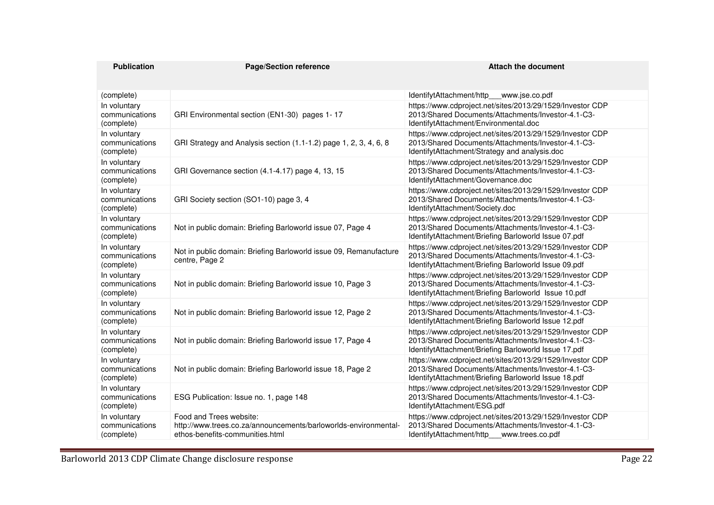| <b>Publication</b>                           | <b>Page/Section reference</b>                                                                                                 | <b>Attach the document</b>                                                                                                                                              |
|----------------------------------------------|-------------------------------------------------------------------------------------------------------------------------------|-------------------------------------------------------------------------------------------------------------------------------------------------------------------------|
|                                              |                                                                                                                               |                                                                                                                                                                         |
| (complete)                                   |                                                                                                                               | IdentifytAttachment/http<br>www.jse.co.pdf                                                                                                                              |
| In voluntary<br>communications<br>(complete) | GRI Environmental section (EN1-30) pages 1-17                                                                                 | https://www.cdproject.net/sites/2013/29/1529/Investor CDP<br>2013/Shared Documents/Attachments/Investor-4.1-C3-<br>IdentifytAttachment/Environmental.doc                |
| In voluntary<br>communications<br>(complete) | GRI Strategy and Analysis section (1.1-1.2) page 1, 2, 3, 4, 6, 8                                                             | https://www.cdproject.net/sites/2013/29/1529/Investor CDP<br>2013/Shared Documents/Attachments/Investor-4.1-C3-<br>IdentifytAttachment/Strategy and analysis.doc        |
| In voluntary<br>communications<br>(complete) | GRI Governance section (4.1-4.17) page 4, 13, 15                                                                              | https://www.cdproject.net/sites/2013/29/1529/Investor CDP<br>2013/Shared Documents/Attachments/Investor-4.1-C3-<br>IdentifytAttachment/Governance.doc                   |
| In voluntary<br>communications<br>(complete) | GRI Society section (SO1-10) page 3, 4                                                                                        | https://www.cdproject.net/sites/2013/29/1529/Investor CDP<br>2013/Shared Documents/Attachments/Investor-4.1-C3-<br>IdentifytAttachment/Society.doc                      |
| In voluntary<br>communications<br>(complete) | Not in public domain: Briefing Barloworld issue 07, Page 4                                                                    | https://www.cdproject.net/sites/2013/29/1529/Investor CDP<br>2013/Shared Documents/Attachments/Investor-4.1-C3-<br>IdentifytAttachment/Briefing Barloworld Issue 07.pdf |
| In voluntary<br>communications<br>(complete) | Not in public domain: Briefing Barloworld issue 09, Remanufacture<br>centre, Page 2                                           | https://www.cdproject.net/sites/2013/29/1529/Investor CDP<br>2013/Shared Documents/Attachments/Investor-4.1-C3-<br>IdentifytAttachment/Briefing Barloworld Issue 09.pdf |
| In voluntary<br>communications<br>(complete) | Not in public domain: Briefing Barloworld issue 10, Page 3                                                                    | https://www.cdproject.net/sites/2013/29/1529/Investor CDP<br>2013/Shared Documents/Attachments/Investor-4.1-C3-<br>IdentifytAttachment/Briefing Barloworld Issue 10.pdf |
| In voluntary<br>communications<br>(complete) | Not in public domain: Briefing Barloworld issue 12, Page 2                                                                    | https://www.cdproject.net/sites/2013/29/1529/Investor CDP<br>2013/Shared Documents/Attachments/Investor-4.1-C3-<br>IdentifytAttachment/Briefing Barloworld Issue 12.pdf |
| In voluntary<br>communications<br>(complete) | Not in public domain: Briefing Barloworld issue 17, Page 4                                                                    | https://www.cdproject.net/sites/2013/29/1529/Investor CDP<br>2013/Shared Documents/Attachments/Investor-4.1-C3-<br>IdentifytAttachment/Briefing Barloworld Issue 17.pdf |
| In voluntary<br>communications<br>(complete) | Not in public domain: Briefing Barloworld issue 18, Page 2                                                                    | https://www.cdproject.net/sites/2013/29/1529/Investor CDP<br>2013/Shared Documents/Attachments/Investor-4.1-C3-<br>IdentifytAttachment/Briefing Barloworld Issue 18.pdf |
| In voluntary<br>communications<br>(complete) | ESG Publication: Issue no. 1, page 148                                                                                        | https://www.cdproject.net/sites/2013/29/1529/Investor CDP<br>2013/Shared Documents/Attachments/Investor-4.1-C3-<br>IdentifytAttachment/ESG.pdf                          |
| In voluntary<br>communications<br>(complete) | Food and Trees website:<br>http://www.trees.co.za/announcements/barloworlds-environmental-<br>ethos-benefits-communities.html | https://www.cdproject.net/sites/2013/29/1529/Investor CDP<br>2013/Shared Documents/Attachments/Investor-4.1-C3-<br>IdentifytAttachment/http___www.trees.co.pdf          |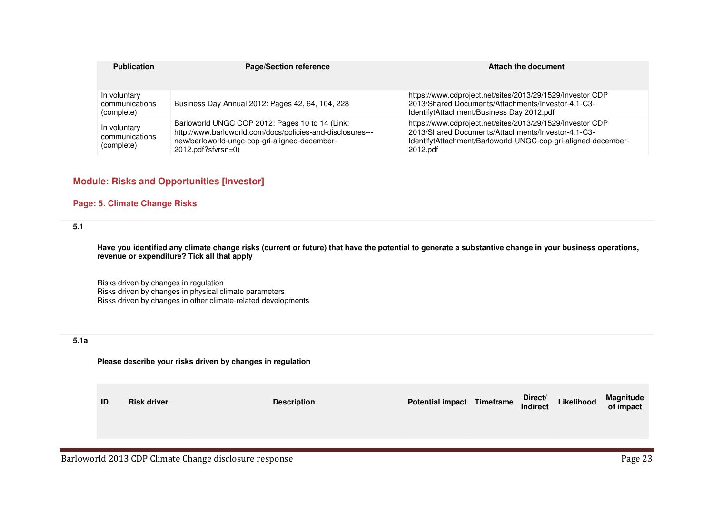| <b>Publication</b>                           | <b>Page/Section reference</b>                                                                                                                                                        | Attach the document                                                                                                                                                                          |
|----------------------------------------------|--------------------------------------------------------------------------------------------------------------------------------------------------------------------------------------|----------------------------------------------------------------------------------------------------------------------------------------------------------------------------------------------|
| In voluntary<br>communications<br>(complete) | Business Day Annual 2012: Pages 42, 64, 104, 228                                                                                                                                     | https://www.cdproject.net/sites/2013/29/1529/Investor CDP<br>2013/Shared Documents/Attachments/Investor-4.1-C3-<br>IdentifytAttachment/Business Day 2012.pdf                                 |
| In voluntary<br>communications<br>(complete) | Barloworld UNGC COP 2012: Pages 10 to 14 (Link:<br>http://www.barloworld.com/docs/policies-and-disclosures---<br>new/barloworld-ungc-cop-gri-aligned-december-<br>2012.pdf?sfvrsn=0) | https://www.cdproject.net/sites/2013/29/1529/Investor CDP<br>2013/Shared Documents/Attachments/Investor-4.1-C3-<br>IdentifytAttachment/Barloworld-UNGC-cop-gri-aligned-december-<br>2012.pdf |

# **Module: Risks and Opportunities [Investor]**

## **Page: 5. Climate Change Risks**

## **5.1**

**Have you identified any climate change risks (current or future) that have the potential to generate a substantive change in your business operations, revenue or expenditure? Tick all that apply**

Risks driven by changes in regulation Risks driven by changes in physical climate parameters Risks driven by changes in other climate-related developments

## **5.1a**

#### **Please describe your risks driven by changes in regulation**

| ID | <b>Risk driver</b> | <b>Description</b> | <b>Potential impact Timeframe</b> | Direct/<br><b>Indirect</b> | Likelihood | Magnitude<br>of impact |
|----|--------------------|--------------------|-----------------------------------|----------------------------|------------|------------------------|
|    |                    |                    |                                   |                            |            |                        |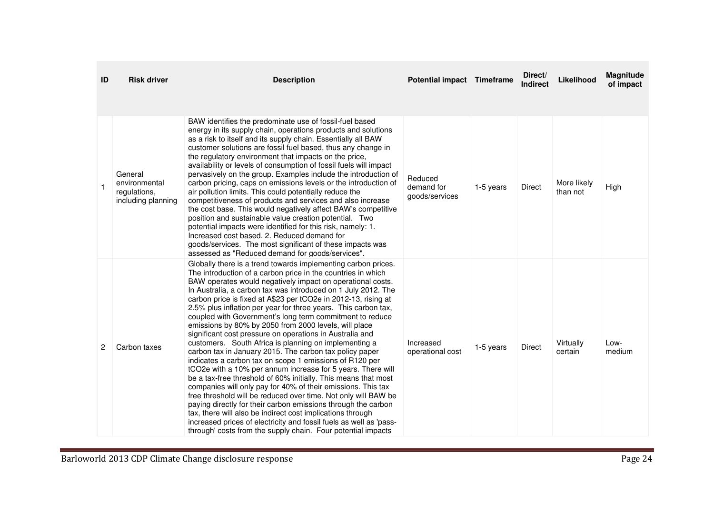| ID             | <b>Risk driver</b>                                             | <b>Description</b>                                                                                                                                                                                                                                                                                                                                                                                                                                                                                                                                                                                                                                                                                                                                                                                                                                                                                                                                                                                                                                                                                                                                                                                                                                                                                       | <b>Potential impact Timeframe</b>       |           | Direct/<br><b>Indirect</b> | Likelihood              | Magnitude<br>of impact |
|----------------|----------------------------------------------------------------|----------------------------------------------------------------------------------------------------------------------------------------------------------------------------------------------------------------------------------------------------------------------------------------------------------------------------------------------------------------------------------------------------------------------------------------------------------------------------------------------------------------------------------------------------------------------------------------------------------------------------------------------------------------------------------------------------------------------------------------------------------------------------------------------------------------------------------------------------------------------------------------------------------------------------------------------------------------------------------------------------------------------------------------------------------------------------------------------------------------------------------------------------------------------------------------------------------------------------------------------------------------------------------------------------------|-----------------------------------------|-----------|----------------------------|-------------------------|------------------------|
|                | General<br>environmental<br>regulations,<br>including planning | BAW identifies the predominate use of fossil-fuel based<br>energy in its supply chain, operations products and solutions<br>as a risk to itself and its supply chain. Essentially all BAW<br>customer solutions are fossil fuel based, thus any change in<br>the regulatory environment that impacts on the price,<br>availability or levels of consumption of fossil fuels will impact<br>pervasively on the group. Examples include the introduction of<br>carbon pricing, caps on emissions levels or the introduction of<br>air pollution limits. This could potentially reduce the<br>competitiveness of products and services and also increase<br>the cost base. This would negatively affect BAW's competitive<br>position and sustainable value creation potential. Two<br>potential impacts were identified for this risk, namely: 1.<br>Increased cost based. 2. Reduced demand for<br>goods/services. The most significant of these impacts was<br>assessed as "Reduced demand for goods/services".                                                                                                                                                                                                                                                                                          | Reduced<br>demand for<br>goods/services | 1-5 years | <b>Direct</b>              | More likely<br>than not | High                   |
| $\overline{2}$ | Carbon taxes                                                   | Globally there is a trend towards implementing carbon prices.<br>The introduction of a carbon price in the countries in which<br>BAW operates would negatively impact on operational costs.<br>In Australia, a carbon tax was introduced on 1 July 2012. The<br>carbon price is fixed at A\$23 per tCO2e in 2012-13, rising at<br>2.5% plus inflation per year for three years. This carbon tax,<br>coupled with Government's long term commitment to reduce<br>emissions by 80% by 2050 from 2000 levels, will place<br>significant cost pressure on operations in Australia and<br>customers. South Africa is planning on implementing a<br>carbon tax in January 2015. The carbon tax policy paper<br>indicates a carbon tax on scope 1 emissions of R120 per<br>tCO2e with a 10% per annum increase for 5 years. There will<br>be a tax-free threshold of 60% initially. This means that most<br>companies will only pay for 40% of their emissions. This tax<br>free threshold will be reduced over time. Not only will BAW be<br>paying directly for their carbon emissions through the carbon<br>tax, there will also be indirect cost implications through<br>increased prices of electricity and fossil fuels as well as 'pass-<br>through' costs from the supply chain. Four potential impacts | Increased<br>operational cost           | 1-5 years | Direct                     | Virtually<br>certain    | Low-<br>medium         |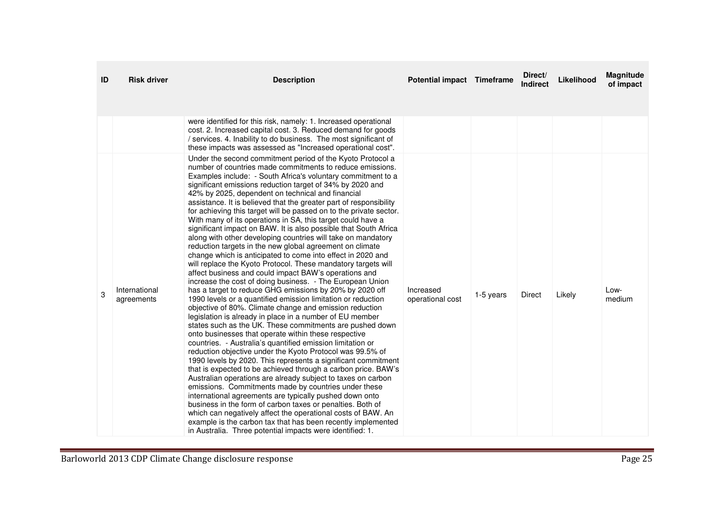|   | <b>Risk driver</b>          | <b>Description</b>                                                                                                                                                                                                                                                                                                                                                                                                                                                                                                                                                                                                                                                                                                                                                                                                                                                                                                                                                                                                                                                                                                                                                                                                                                                                                                                                                                                                                                                                                                                                                                                                                                                                                                                                                                                                                                                                                                                                                                                                                                                                                                                                                                                   | Potential impact Timeframe    |           | Direct/<br><b>Indirect</b> | Likelihood | <b>Magnitude</b><br>of impact |
|---|-----------------------------|------------------------------------------------------------------------------------------------------------------------------------------------------------------------------------------------------------------------------------------------------------------------------------------------------------------------------------------------------------------------------------------------------------------------------------------------------------------------------------------------------------------------------------------------------------------------------------------------------------------------------------------------------------------------------------------------------------------------------------------------------------------------------------------------------------------------------------------------------------------------------------------------------------------------------------------------------------------------------------------------------------------------------------------------------------------------------------------------------------------------------------------------------------------------------------------------------------------------------------------------------------------------------------------------------------------------------------------------------------------------------------------------------------------------------------------------------------------------------------------------------------------------------------------------------------------------------------------------------------------------------------------------------------------------------------------------------------------------------------------------------------------------------------------------------------------------------------------------------------------------------------------------------------------------------------------------------------------------------------------------------------------------------------------------------------------------------------------------------------------------------------------------------------------------------------------------------|-------------------------------|-----------|----------------------------|------------|-------------------------------|
| 3 | International<br>agreements | were identified for this risk, namely: 1. Increased operational<br>cost. 2. Increased capital cost. 3. Reduced demand for goods<br>/ services. 4. Inability to do business. The most significant of<br>these impacts was assessed as "Increased operational cost".<br>Under the second commitment period of the Kyoto Protocol a<br>number of countries made commitments to reduce emissions.<br>Examples include: - South Africa's voluntary commitment to a<br>significant emissions reduction target of 34% by 2020 and<br>42% by 2025, dependent on technical and financial<br>assistance. It is believed that the greater part of responsibility<br>for achieving this target will be passed on to the private sector.<br>With many of its operations in SA, this target could have a<br>significant impact on BAW. It is also possible that South Africa<br>along with other developing countries will take on mandatory<br>reduction targets in the new global agreement on climate<br>change which is anticipated to come into effect in 2020 and<br>will replace the Kyoto Protocol. These mandatory targets will<br>affect business and could impact BAW's operations and<br>increase the cost of doing business. - The European Union<br>has a target to reduce GHG emissions by 20% by 2020 off<br>1990 levels or a quantified emission limitation or reduction<br>objective of 80%. Climate change and emission reduction<br>legislation is already in place in a number of EU member<br>states such as the UK. These commitments are pushed down<br>onto businesses that operate within these respective<br>countries. - Australia's quantified emission limitation or<br>reduction objective under the Kyoto Protocol was 99.5% of<br>1990 levels by 2020. This represents a significant commitment<br>that is expected to be achieved through a carbon price. BAW's<br>Australian operations are already subject to taxes on carbon<br>emissions. Commitments made by countries under these<br>international agreements are typically pushed down onto<br>business in the form of carbon taxes or penalties. Both of<br>which can negatively affect the operational costs of BAW. An | Increased<br>operational cost | 1-5 years | Direct                     | Likely     | Low-<br>medium                |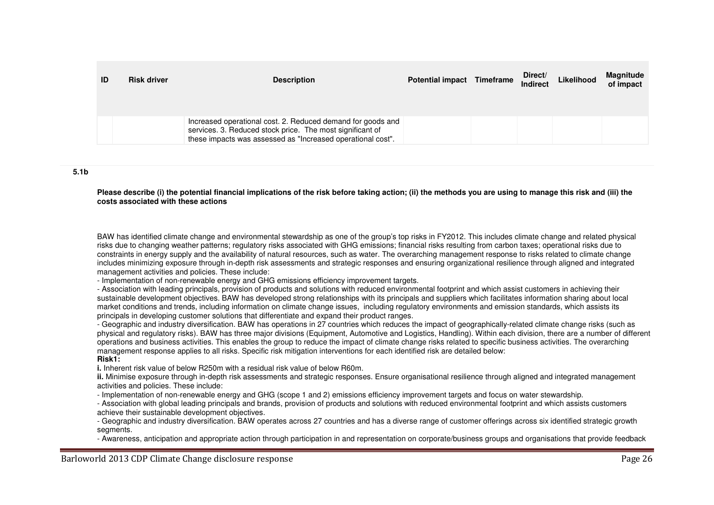| ID | <b>Risk driver</b> | <b>Description</b>                                                                                                                                                                      | Potential impact Timeframe | Direct/<br><b>Indirect</b> | Likelihood | Magnitude<br>of impact |
|----|--------------------|-----------------------------------------------------------------------------------------------------------------------------------------------------------------------------------------|----------------------------|----------------------------|------------|------------------------|
|    |                    | Increased operational cost. 2. Reduced demand for goods and<br>services. 3. Reduced stock price. The most significant of<br>these impacts was assessed as "Increased operational cost". |                            |                            |            |                        |

#### **5.1b**

**Please describe (i) the potential financial implications of the risk before taking action; (ii) the methods you are using to manage this risk and (iii) the costs associated with these actions**

BAW has identified climate change and environmental stewardship as one of the group's top risks in FY2012. This includes climate change and related physical risks due to changing weather patterns; regulatory risks associated with GHG emissions; financial risks resulting from carbon taxes; operational risks due to constraints in energy supply and the availability of natural resources, such as water. The overarching management response to risks related to climate change includes minimizing exposure through in-depth risk assessments and strategic responses and ensuring organizational resilience through aligned and integrated management activities and policies. These include:

- Implementation of non-renewable energy and GHG emissions efficiency improvement targets.

 - Association with leading principals, provision of products and solutions with reduced environmental footprint and which assist customers in achieving their sustainable development objectives. BAW has developed strong relationships with its principals and suppliers which facilitates information sharing about local market conditions and trends, including information on climate change issues, including regulatory environments and emission standards, which assists its principals in developing customer solutions that differentiate and expand their product ranges.

 - Geographic and industry diversification. BAW has operations in 27 countries which reduces the impact of geographically-related climate change risks (such as physical and regulatory risks). BAW has three major divisions (Equipment, Automotive and Logistics, Handling). Within each division, there are a number of different operations and business activities. This enables the group to reduce the impact of climate change risks related to specific business activities. The overarching management response applies to all risks. Specific risk mitigation interventions for each identified risk are detailed below: **Risk1:** 

**i.** Inherent risk value of below R250m with a residual risk value of below R60m.

 **ii.** Minimise exposure through in-depth risk assessments and strategic responses. Ensure organisational resilience through aligned and integrated management activities and policies. These include:

- Implementation of non-renewable energy and GHG (scope 1 and 2) emissions efficiency improvement targets and focus on water stewardship.

 - Association with global leading principals and brands, provision of products and solutions with reduced environmental footprint and which assists customers achieve their sustainable development objectives.

 - Geographic and industry diversification. BAW operates across 27 countries and has a diverse range of customer offerings across six identified strategic growth segments.

- Awareness, anticipation and appropriate action through participation in and representation on corporate/business groups and organisations that provide feedback

Barloworld 2013 CDP Climate Change disclosure response **Page 26**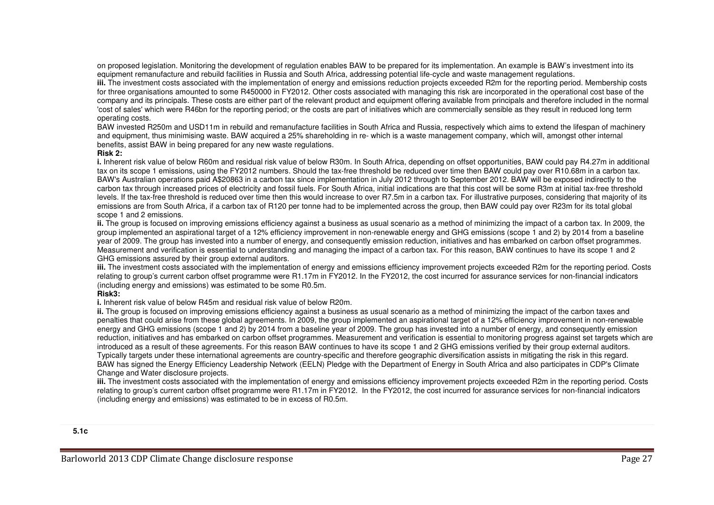on proposed legislation. Monitoring the development of regulation enables BAW to be prepared for its implementation. An example is BAW's investment into its equipment remanufacture and rebuild facilities in Russia and South Africa, addressing potential life-cycle and waste management regulations.

 **iii.** The investment costs associated with the implementation of energy and emissions reduction projects exceeded R2m for the reporting period. Membership costs for three organisations amounted to some R450000 in FY2012. Other costs associated with managing this risk are incorporated in the operational cost base of the company and its principals. These costs are either part of the relevant product and equipment offering available from principals and therefore included in the normal 'cost of sales' which were R46bn for the reporting period; or the costs are part of initiatives which are commercially sensible as they result in reduced long term operating costs.

 BAW invested R250m and USD11m in rebuild and remanufacture facilities in South Africa and Russia, respectively which aims to extend the lifespan of machinery and equipment, thus minimising waste. BAW acquired a 25% shareholding in re- which is a waste management company, which will, amongst other internal benefits, assist BAW in being prepared for any new waste regulations.

#### **Risk 2:**

 **i.** Inherent risk value of below R60m and residual risk value of below R30m. In South Africa, depending on offset opportunities, BAW could pay R4.27m in additional tax on its scope 1 emissions, using the FY2012 numbers. Should the tax-free threshold be reduced over time then BAW could pay over R10.68m in a carbon tax. BAW's Australian operations paid A\$20863 in a carbon tax since implementation in July 2012 through to September 2012. BAW will be exposed indirectly to the carbon tax through increased prices of electricity and fossil fuels. For South Africa, initial indications are that this cost will be some R3m at initial tax-free threshold levels. If the tax-free threshold is reduced over time then this would increase to over R7.5m in a carbon tax. For illustrative purposes, considering that majority of its emissions are from South Africa, if a carbon tax of R120 per tonne had to be implemented across the group, then BAW could pay over R23m for its total global scope 1 and 2 emissions.

 **ii.** The group is focused on improving emissions efficiency against a business as usual scenario as a method of minimizing the impact of a carbon tax. In 2009, the group implemented an aspirational target of a 12% efficiency improvement in non-renewable energy and GHG emissions (scope 1 and 2) by 2014 from a baseline year of 2009. The group has invested into a number of energy, and consequently emission reduction, initiatives and has embarked on carbon offset programmes. Measurement and verification is essential to understanding and managing the impact of a carbon tax. For this reason, BAW continues to have its scope 1 and 2 GHG emissions assured by their group external auditors.

 **iii.** The investment costs associated with the implementation of energy and emissions efficiency improvement projects exceeded R2m for the reporting period. Costs relating to group's current carbon offset programme were R1.17m in FY2012. In the FY2012, the cost incurred for assurance services for non-financial indicators (including energy and emissions) was estimated to be some R0.5m.

## **Risk3:**

**i.** Inherent risk value of below R45m and residual risk value of below R20m.

 **ii.** The group is focused on improving emissions efficiency against a business as usual scenario as a method of minimizing the impact of the carbon taxes and penalties that could arise from these global agreements. In 2009, the group implemented an aspirational target of a 12% efficiency improvement in non-renewable energy and GHG emissions (scope 1 and 2) by 2014 from a baseline year of 2009. The group has invested into a number of energy, and consequently emission reduction, initiatives and has embarked on carbon offset programmes. Measurement and verification is essential to monitoring progress against set targets which are introduced as a result of these agreements. For this reason BAW continues to have its scope 1 and 2 GHG emissions verified by their group external auditors. Typically targets under these international agreements are country-specific and therefore geographic diversification assists in mitigating the risk in this regard. BAW has signed the Energy Efficiency Leadership Network (EELN) Pledge with the Department of Energy in South Africa and also participates in CDP's Climate Change and Water disclosure projects.

 **iii.** The investment costs associated with the implementation of energy and emissions efficiency improvement projects exceeded R2m in the reporting period. Costs relating to group's current carbon offset programme were R1.17m in FY2012. In the FY2012, the cost incurred for assurance services for non-financial indicators (including energy and emissions) was estimated to be in excess of R0.5m.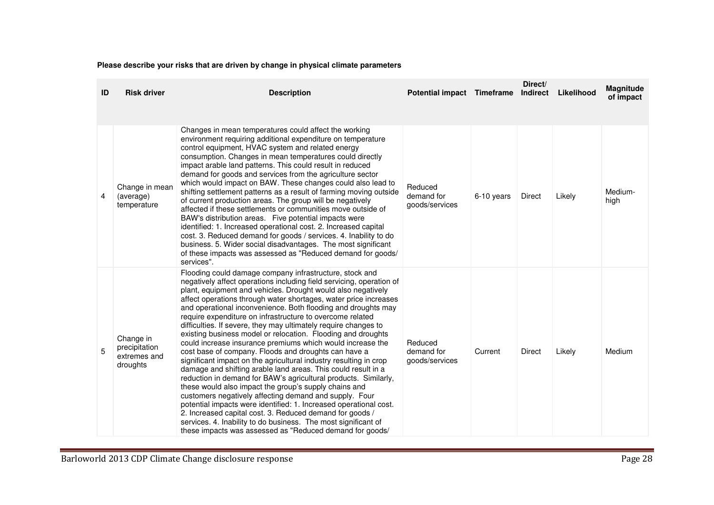# **Please describe your risks that are driven by change in physical climate parameters**

| ID | <b>Risk driver</b>                                     | <b>Description</b>                                                                                                                                                                                                                                                                                                                                                                                                                                                                                                                                                                                                                                                                                                                                                                                                                                                                                                                                                                                                                                                                                                                                                                                                                                    | <b>Potential impact Timeframe</b>       |            | Direct/<br>Indirect | Likelihood | Magnitude<br>of impact |
|----|--------------------------------------------------------|-------------------------------------------------------------------------------------------------------------------------------------------------------------------------------------------------------------------------------------------------------------------------------------------------------------------------------------------------------------------------------------------------------------------------------------------------------------------------------------------------------------------------------------------------------------------------------------------------------------------------------------------------------------------------------------------------------------------------------------------------------------------------------------------------------------------------------------------------------------------------------------------------------------------------------------------------------------------------------------------------------------------------------------------------------------------------------------------------------------------------------------------------------------------------------------------------------------------------------------------------------|-----------------------------------------|------------|---------------------|------------|------------------------|
| 4  | Change in mean<br>(average)<br>temperature             | Changes in mean temperatures could affect the working<br>environment requiring additional expenditure on temperature<br>control equipment, HVAC system and related energy<br>consumption. Changes in mean temperatures could directly<br>impact arable land patterns. This could result in reduced<br>demand for goods and services from the agriculture sector<br>which would impact on BAW. These changes could also lead to<br>shifting settlement patterns as a result of farming moving outside<br>of current production areas. The group will be negatively<br>affected if these settlements or communities move outside of<br>BAW's distribution areas. Five potential impacts were<br>identified: 1. Increased operational cost. 2. Increased capital<br>cost. 3. Reduced demand for goods / services. 4. Inability to do<br>business. 5. Wider social disadvantages. The most significant<br>of these impacts was assessed as "Reduced demand for goods/<br>services".                                                                                                                                                                                                                                                                       | Reduced<br>demand for<br>goods/services | 6-10 years | <b>Direct</b>       | Likely     | Medium-<br>high        |
| 5  | Change in<br>precipitation<br>extremes and<br>droughts | Flooding could damage company infrastructure, stock and<br>negatively affect operations including field servicing, operation of<br>plant, equipment and vehicles. Drought would also negatively<br>affect operations through water shortages, water price increases<br>and operational inconvenience. Both flooding and droughts may<br>require expenditure on infrastructure to overcome related<br>difficulties. If severe, they may ultimately require changes to<br>existing business model or relocation. Flooding and droughts<br>could increase insurance premiums which would increase the<br>cost base of company. Floods and droughts can have a<br>significant impact on the agricultural industry resulting in crop<br>damage and shifting arable land areas. This could result in a<br>reduction in demand for BAW's agricultural products. Similarly,<br>these would also impact the group's supply chains and<br>customers negatively affecting demand and supply. Four<br>potential impacts were identified: 1. Increased operational cost.<br>2. Increased capital cost. 3. Reduced demand for goods /<br>services. 4. Inability to do business. The most significant of<br>these impacts was assessed as "Reduced demand for goods/ | Reduced<br>demand for<br>goods/services | Current    | Direct              | Likely     | Medium                 |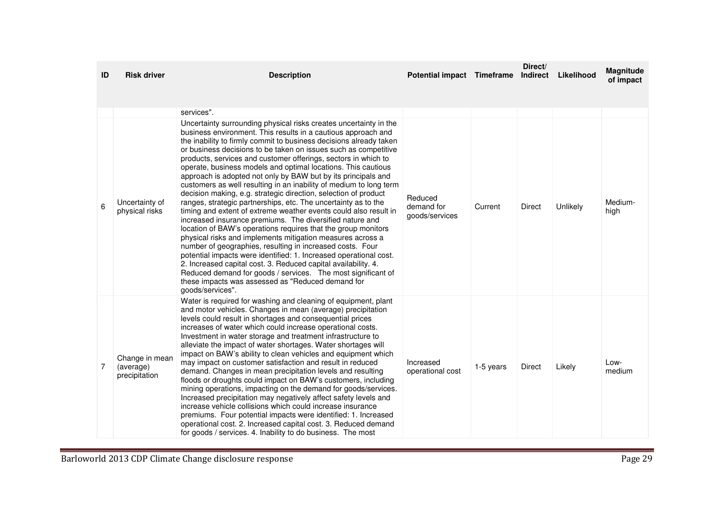| ID             | <b>Risk driver</b>                           | <b>Description</b>                                                                                                                                                                                                                                                                                                                                                                                                                                                                                                                                                                                                                                                                                                                                                                                                                                                                                                                                                                                                                                                                                                                                                                                   | Potential impact Timeframe              |           | Direct/<br>Indirect | Likelihood | Magnitude<br>of impact |
|----------------|----------------------------------------------|------------------------------------------------------------------------------------------------------------------------------------------------------------------------------------------------------------------------------------------------------------------------------------------------------------------------------------------------------------------------------------------------------------------------------------------------------------------------------------------------------------------------------------------------------------------------------------------------------------------------------------------------------------------------------------------------------------------------------------------------------------------------------------------------------------------------------------------------------------------------------------------------------------------------------------------------------------------------------------------------------------------------------------------------------------------------------------------------------------------------------------------------------------------------------------------------------|-----------------------------------------|-----------|---------------------|------------|------------------------|
|                |                                              |                                                                                                                                                                                                                                                                                                                                                                                                                                                                                                                                                                                                                                                                                                                                                                                                                                                                                                                                                                                                                                                                                                                                                                                                      |                                         |           |                     |            |                        |
| 6              | Uncertainty of<br>physical risks             | services".<br>Uncertainty surrounding physical risks creates uncertainty in the<br>business environment. This results in a cautious approach and<br>the inability to firmly commit to business decisions already taken<br>or business decisions to be taken on issues such as competitive<br>products, services and customer offerings, sectors in which to<br>operate, business models and optimal locations. This cautious<br>approach is adopted not only by BAW but by its principals and<br>customers as well resulting in an inability of medium to long term<br>decision making, e.g. strategic direction, selection of product<br>ranges, strategic partnerships, etc. The uncertainty as to the<br>timing and extent of extreme weather events could also result in<br>increased insurance premiums. The diversified nature and<br>location of BAW's operations requires that the group monitors<br>physical risks and implements mitigation measures across a<br>number of geographies, resulting in increased costs. Four<br>potential impacts were identified: 1. Increased operational cost.<br>2. Increased capital cost. 3. Reduced capital availability. 4.                          | Reduced<br>demand for<br>goods/services | Current   | Direct              | Unlikely   | Medium-<br>high        |
| $\overline{7}$ | Change in mean<br>(average)<br>precipitation | Reduced demand for goods / services. The most significant of<br>these impacts was assessed as "Reduced demand for<br>goods/services".<br>Water is required for washing and cleaning of equipment, plant<br>and motor vehicles. Changes in mean (average) precipitation<br>levels could result in shortages and consequential prices<br>increases of water which could increase operational costs.<br>Investment in water storage and treatment infrastructure to<br>alleviate the impact of water shortages. Water shortages will<br>impact on BAW's ability to clean vehicles and equipment which<br>may impact on customer satisfaction and result in reduced<br>demand. Changes in mean precipitation levels and resulting<br>floods or droughts could impact on BAW's customers, including<br>mining operations, impacting on the demand for goods/services.<br>Increased precipitation may negatively affect safety levels and<br>increase vehicle collisions which could increase insurance<br>premiums. Four potential impacts were identified: 1. Increased<br>operational cost. 2. Increased capital cost. 3. Reduced demand<br>for goods / services. 4. Inability to do business. The most | Increased<br>operational cost           | 1-5 years | Direct              | Likely     | Low-<br>medium         |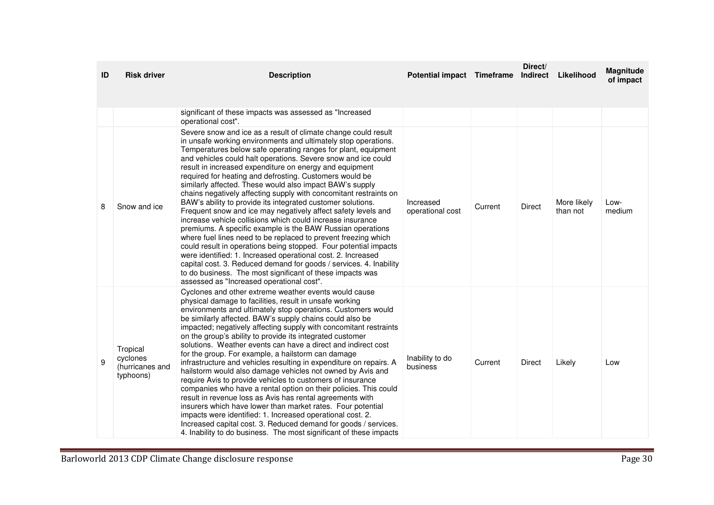| ID | <b>Risk driver</b>                                   | <b>Description</b>                                                                                                                                                                                                                                                                                                                                                                                                                                                                                                                                                                                                                                                                                                                                                                                                                                                                                                                                                                                                                                                                                                                                                          | Potential impact Timeframe    |         | Direct/<br>Indirect | Likelihood              | Magnitude<br>of impact |
|----|------------------------------------------------------|-----------------------------------------------------------------------------------------------------------------------------------------------------------------------------------------------------------------------------------------------------------------------------------------------------------------------------------------------------------------------------------------------------------------------------------------------------------------------------------------------------------------------------------------------------------------------------------------------------------------------------------------------------------------------------------------------------------------------------------------------------------------------------------------------------------------------------------------------------------------------------------------------------------------------------------------------------------------------------------------------------------------------------------------------------------------------------------------------------------------------------------------------------------------------------|-------------------------------|---------|---------------------|-------------------------|------------------------|
|    |                                                      | significant of these impacts was assessed as "Increased<br>operational cost".                                                                                                                                                                                                                                                                                                                                                                                                                                                                                                                                                                                                                                                                                                                                                                                                                                                                                                                                                                                                                                                                                               |                               |         |                     |                         |                        |
| 8  | Snow and ice                                         | Severe snow and ice as a result of climate change could result<br>in unsafe working environments and ultimately stop operations.<br>Temperatures below safe operating ranges for plant, equipment<br>and vehicles could halt operations. Severe snow and ice could<br>result in increased expenditure on energy and equipment<br>required for heating and defrosting. Customers would be<br>similarly affected. These would also impact BAW's supply<br>chains negatively affecting supply with concomitant restraints on<br>BAW's ability to provide its integrated customer solutions.<br>Frequent snow and ice may negatively affect safety levels and<br>increase vehicle collisions which could increase insurance<br>premiums. A specific example is the BAW Russian operations<br>where fuel lines need to be replaced to prevent freezing which<br>could result in operations being stopped. Four potential impacts<br>were identified: 1. Increased operational cost. 2. Increased<br>capital cost. 3. Reduced demand for goods / services. 4. Inability<br>to do business. The most significant of these impacts was<br>assessed as "Increased operational cost". | Increased<br>operational cost | Current | Direct              | More likely<br>than not | Low-<br>medium         |
| 9  | Tropical<br>cyclones<br>(hurricanes and<br>typhoons) | Cyclones and other extreme weather events would cause<br>physical damage to facilities, result in unsafe working<br>environments and ultimately stop operations. Customers would<br>be similarly affected. BAW's supply chains could also be<br>impacted; negatively affecting supply with concomitant restraints<br>on the group's ability to provide its integrated customer<br>solutions. Weather events can have a direct and indirect cost<br>for the group. For example, a hailstorm can damage<br>infrastructure and vehicles resulting in expenditure on repairs. A<br>hailstorm would also damage vehicles not owned by Avis and<br>require Avis to provide vehicles to customers of insurance<br>companies who have a rental option on their policies. This could<br>result in revenue loss as Avis has rental agreements with<br>insurers which have lower than market rates. Four potential<br>impacts were identified: 1. Increased operational cost. 2.<br>Increased capital cost. 3. Reduced demand for goods / services.<br>4. Inability to do business. The most significant of these impacts                                                              | Inability to do<br>business   | Current | Direct              | Likely                  | Low                    |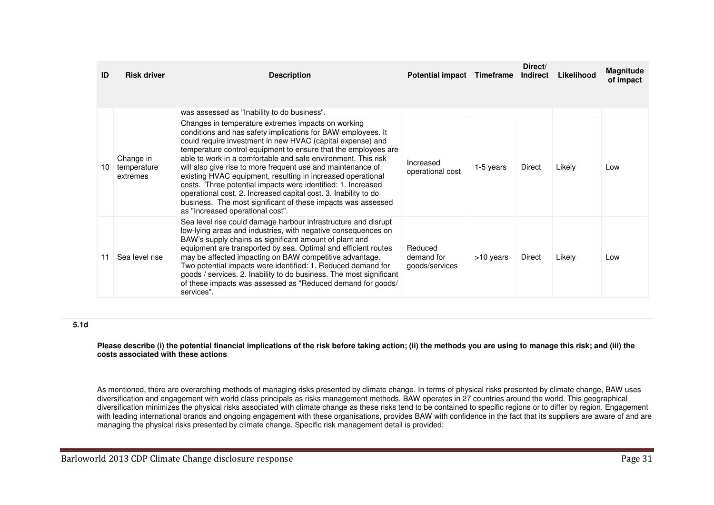| ID | <b>Risk driver</b>                   | <b>Description</b>                                                                                                                                                                                                                                                                                                                                                                                                                                                                                                                                                                                                                                                                       | <b>Potential impact</b>                 | Timeframe | Direct/<br>Indirect | Likelihood | <b>Magnitude</b><br>of impact |
|----|--------------------------------------|------------------------------------------------------------------------------------------------------------------------------------------------------------------------------------------------------------------------------------------------------------------------------------------------------------------------------------------------------------------------------------------------------------------------------------------------------------------------------------------------------------------------------------------------------------------------------------------------------------------------------------------------------------------------------------------|-----------------------------------------|-----------|---------------------|------------|-------------------------------|
|    |                                      | was assessed as "Inability to do business".                                                                                                                                                                                                                                                                                                                                                                                                                                                                                                                                                                                                                                              |                                         |           |                     |            |                               |
| 10 | Change in<br>temperature<br>extremes | Changes in temperature extremes impacts on working<br>conditions and has safety implications for BAW employees. It<br>could require investment in new HVAC (capital expense) and<br>temperature control equipment to ensure that the employees are<br>able to work in a comfortable and safe environment. This risk<br>will also give rise to more frequent use and maintenance of<br>existing HVAC equipment, resulting in increased operational<br>costs. Three potential impacts were identified: 1. Increased<br>operational cost. 2. Increased capital cost. 3. Inability to do<br>business. The most significant of these impacts was assessed<br>as "Increased operational cost". | Increased<br>operational cost           | 1-5 years | Direct              | Likely     | Low                           |
| 11 | Sea level rise                       | Sea level rise could damage harbour infrastructure and disrupt<br>low-lying areas and industries, with negative consequences on<br>BAW's supply chains as significant amount of plant and<br>equipment are transported by sea. Optimal and efficient routes<br>may be affected impacting on BAW competitive advantage.<br>Two potential impacts were identified: 1. Reduced demand for<br>goods / services. 2. Inability to do business. The most significant<br>of these impacts was assessed as "Reduced demand for goods/<br>services".                                                                                                                                               | Reduced<br>demand for<br>goods/services | >10 years | Direct              | Likely     | Low                           |

## **5.1d**

#### **Please describe (i) the potential financial implications of the risk before taking action; (ii) the methods you are using to manage this risk; and (iii) the costs associated with these actions**

As mentioned, there are overarching methods of managing risks presented by climate change. In terms of physical risks presented by climate change, BAW uses diversification and engagement with world class principals as risks management methods. BAW operates in 27 countries around the world. This geographical diversification minimizes the physical risks associated with climate change as these risks tend to be contained to specific regions or to differ by region. Engagement with leading international brands and ongoing engagement with these organisations, provides BAW with confidence in the fact that its suppliers are aware of and are managing the physical risks presented by climate change. Specific risk management detail is provided: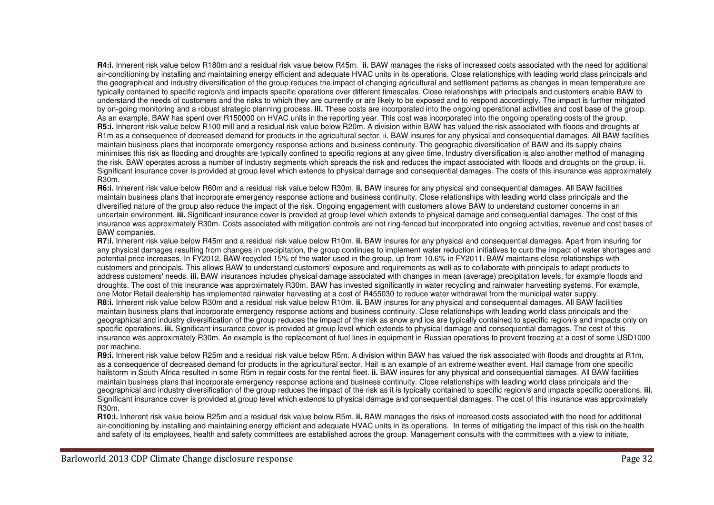**R4:i.** Inherent risk value below R180m and a residual risk value below R45m. **ii.** BAW manages the risks of increased costs associated with the need for additional air-conditioning by installing and maintaining energy efficient and adequate HVAC units in its operations. Close relationships with leading world class principals and the geographical and industry diversification of the group reduces the impact of changing agricultural and settlement patterns as changes in mean temperature are typically contained to specific region/s and impacts specific operations over different timescales. Close relationships with principals and customers enable BAW to understand the needs of customers and the risks to which they are currently or are likely to be exposed and to respond accordingly. The impact is further mitigated by on-going monitoring and a robust strategic planning process. **iii.** These costs are incorporated into the ongoing operational activities and cost base of the group. As an example, BAW has spent over R150000 on HVAC units in the reporting year. This cost was incorporated into the ongoing operating costs of the group. **R5:i.** Inherent risk value below R100 mill and a residual risk value below R20m. A division within BAW has valued the risk associated with floods and droughts at R1m as a consequence of decreased demand for products in the agricultural sector. ii. BAW insures for any physical and consequential damages. All BAW facilities maintain business plans that incorporate emergency response actions and business continuity. The geographic diversification of BAW and its supply chains minimises this risk as flooding and droughts are typically confined to specific regions at any given time. Industry diversification is also another method of managing the risk. BAW operates across a number of industry segments which spreads the risk and reduces the impact associated with floods and droughts on the group. iii. Significant insurance cover is provided at group level which extends to physical damage and consequential damages. The costs of this insurance was approximately R30m.

 **R6:i.** Inherent risk value below R60m and a residual risk value below R30m. **ii.** BAW insures for any physical and consequential damages. All BAW facilities maintain business plans that incorporate emergency response actions and business continuity. Close relationships with leading world class principals and the diversified nature of the group also reduce the impact of the risk. Ongoing engagement with customers allows BAW to understand customer concerns in an uncertain environment. **iii.** Significant insurance cover is provided at group level which extends to physical damage and consequential damages. The cost of this insurance was approximately R30m. Costs associated with mitigation controls are not ring-fenced but incorporated into ongoing activities, revenue and cost bases of BAW companies.

 **R7:i.** Inherent risk value below R45m and a residual risk value below R10m. **ii.** BAW insures for any physical and consequential damages. Apart from insuring for any physical damages resulting from changes in precipitation, the group continues to implement water reduction initiatives to curb the impact of water shortages and potential price increases. In FY2012, BAW recycled 15% of the water used in the group, up from 10.6% in FY2011. BAW maintains close relationships with customers and principals. This allows BAW to understand customers' exposure and requirements as well as to collaborate with principals to adapt products to address customers' needs. **iii.** BAW insurances includes physical damage associated with changes in mean (average) precipitation levels, for example floods and droughts. The cost of this insurance was approximately R30m. BAW has invested significantly in water recycling and rainwater harvesting systems. For example, one Motor Retail dealership has implemented rainwater harvesting at a cost of R455030 to reduce water withdrawal from the municipal water supply. **R8:i.** Inherent risk value below R30m and a residual risk value below R10m. **ii.** BAW insures for any physical and consequential damages. All BAW facilities maintain business plans that incorporate emergency response actions and business continuity. Close relationships with leading world class principals and the geographical and industry diversification of the group reduces the impact of the risk as snow and ice are typically contained to specific region/s and impacts only on specific operations. **iii.** Significant insurance cover is provided at group level which extends to physical damage and consequential damages. The cost of this insurance was approximately R30m. An example is the replacement of fuel lines in equipment in Russian operations to prevent freezing at a cost of some USD1000 per machine.

 **R9:i.** Inherent risk value below R25m and a residual risk value below R5m. A division within BAW has valued the risk associated with floods and droughts at R1m, as a consequence of decreased demand for products in the agricultural sector. Hail is an example of an extreme weather event. Hail damage from one specific hailstorm in South Africa resulted in some R5m in repair costs for the rental fleet. **ii.** BAW insures for any physical and consequential damages. All BAW facilities maintain business plans that incorporate emergency response actions and business continuity. Close relationships with leading world class principals and the geographical and industry diversification of the group reduces the impact of the risk as it is typically contained to specific region/s and impacts specific operations. **iii.**Significant insurance cover is provided at group level which extends to physical damage and consequential damages. The cost of this insurance was approximately R30m.

 **R10:i.** Inherent risk value below R25m and a residual risk value below R5m. **ii.** BAW manages the risks of increased costs associated with the need for additional air-conditioning by installing and maintaining energy efficient and adequate HVAC units in its operations. In terms of mitigating the impact of this risk on the health and safety of its employees, health and safety committees are established across the group. Management consults with the committees with a view to initiate,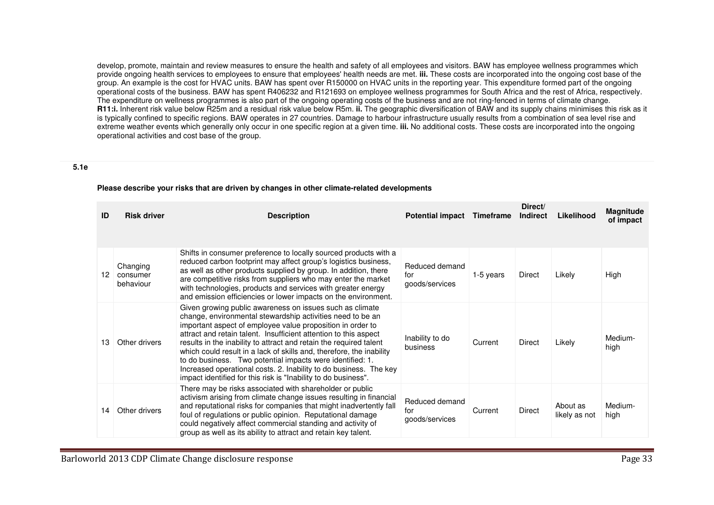develop, promote, maintain and review measures to ensure the health and safety of all employees and visitors. BAW has employee wellness programmes which provide ongoing health services to employees to ensure that employees' health needs are met. **iii.** These costs are incorporated into the ongoing cost base of the group. An example is the cost for HVAC units. BAW has spent over R150000 on HVAC units in the reporting year. This expenditure formed part of the ongoing operational costs of the business. BAW has spent R406232 and R121693 on employee wellness programmes for South Africa and the rest of Africa, respectively. The expenditure on wellness programmes is also part of the ongoing operating costs of the business and are not ring-fenced in terms of climate change. **R11:i.** Inherent risk value below R25m and a residual risk value below R5m. **ii.** The geographic diversification of BAW and its supply chains minimises this risk as it is typically confined to specific regions. BAW operates in 27 countries. Damage to harbour infrastructure usually results from a combination of sea level rise and extreme weather events which generally only occur in one specific region at a given time. **iii.** No additional costs. These costs are incorporated into the ongoing operational activities and cost base of the group.

#### **5.1e**

| ID | <b>Risk driver</b>                | <b>Description</b>                                                                                                                                                                                                                                                                                                                                                                                                                                                                                                                                                                                         | <b>Potential impact</b>                 | <b>Timeframe</b> | Direct/<br><b>Indirect</b> | Likelihood                | <b>Magnitude</b><br>of impact |
|----|-----------------------------------|------------------------------------------------------------------------------------------------------------------------------------------------------------------------------------------------------------------------------------------------------------------------------------------------------------------------------------------------------------------------------------------------------------------------------------------------------------------------------------------------------------------------------------------------------------------------------------------------------------|-----------------------------------------|------------------|----------------------------|---------------------------|-------------------------------|
| 12 | Changing<br>consumer<br>behaviour | Shifts in consumer preference to locally sourced products with a<br>reduced carbon footprint may affect group's logistics business,<br>as well as other products supplied by group. In addition, there<br>are competitive risks from suppliers who may enter the market<br>with technologies, products and services with greater energy<br>and emission efficiencies or lower impacts on the environment.                                                                                                                                                                                                  | Reduced demand<br>for<br>goods/services | 1-5 years        | Direct                     | Likely                    | High                          |
| 13 | Other drivers                     | Given growing public awareness on issues such as climate<br>change, environmental stewardship activities need to be an<br>important aspect of employee value proposition in order to<br>attract and retain talent. Insufficient attention to this aspect<br>results in the inability to attract and retain the required talent<br>which could result in a lack of skills and, therefore, the inability<br>to do business. Two potential impacts were identified: 1.<br>Increased operational costs. 2. Inability to do business. The key<br>impact identified for this risk is "Inability to do business". | Inability to do<br>business             | Current          | Direct                     | Likely                    | Medium-<br>high               |
| 14 | Other drivers                     | There may be risks associated with shareholder or public<br>activism arising from climate change issues resulting in financial<br>and reputational risks for companies that might inadvertently fall<br>foul of regulations or public opinion. Reputational damage<br>could negatively affect commercial standing and activity of<br>group as well as its ability to attract and retain key talent.                                                                                                                                                                                                        | Reduced demand<br>for<br>goods/services | Current          | Direct                     | About as<br>likely as not | Medium-<br>high               |

#### **Please describe your risks that are driven by changes in other climate-related developments**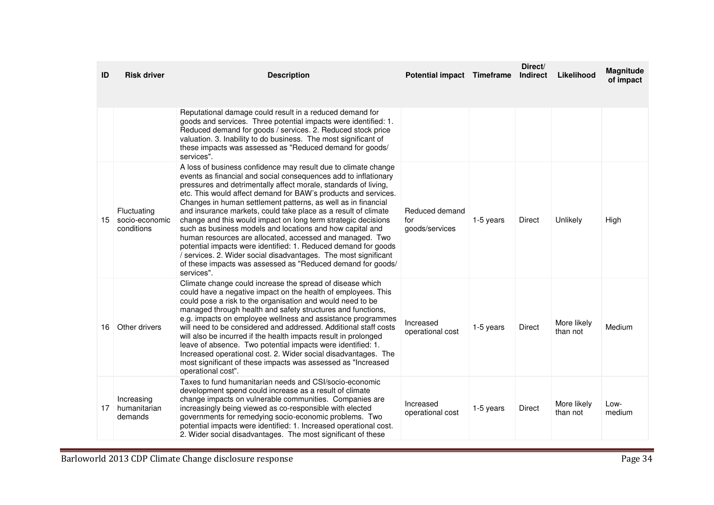| ID | <b>Risk driver</b>                          | <b>Description</b>                                                                                                                                                                                                                                                                                                                                                                                                                                                                                                                                                                                                                                                                                                                                                                                                    | Potential impact Timeframe              |           | Direct/<br><b>Indirect</b> | Likelihood              | <b>Magnitude</b><br>of impact |
|----|---------------------------------------------|-----------------------------------------------------------------------------------------------------------------------------------------------------------------------------------------------------------------------------------------------------------------------------------------------------------------------------------------------------------------------------------------------------------------------------------------------------------------------------------------------------------------------------------------------------------------------------------------------------------------------------------------------------------------------------------------------------------------------------------------------------------------------------------------------------------------------|-----------------------------------------|-----------|----------------------------|-------------------------|-------------------------------|
|    |                                             | Reputational damage could result in a reduced demand for<br>goods and services. Three potential impacts were identified: 1.<br>Reduced demand for goods / services. 2. Reduced stock price<br>valuation. 3. Inability to do business. The most significant of<br>these impacts was assessed as "Reduced demand for goods/<br>services".                                                                                                                                                                                                                                                                                                                                                                                                                                                                               |                                         |           |                            |                         |                               |
| 15 | Fluctuating<br>socio-economic<br>conditions | A loss of business confidence may result due to climate change<br>events as financial and social consequences add to inflationary<br>pressures and detrimentally affect morale, standards of living,<br>etc. This would affect demand for BAW's products and services.<br>Changes in human settlement patterns, as well as in financial<br>and insurance markets, could take place as a result of climate<br>change and this would impact on long term strategic decisions<br>such as business models and locations and how capital and<br>human resources are allocated, accessed and managed. Two<br>potential impacts were identified: 1. Reduced demand for goods<br>/ services. 2. Wider social disadvantages. The most significant<br>of these impacts was assessed as "Reduced demand for goods/<br>services". | Reduced demand<br>for<br>goods/services | 1-5 years | Direct                     | Unlikely                | High                          |
| 16 | Other drivers                               | Climate change could increase the spread of disease which<br>could have a negative impact on the health of employees. This<br>could pose a risk to the organisation and would need to be<br>managed through health and safety structures and functions,<br>e.g. impacts on employee wellness and assistance programmes<br>will need to be considered and addressed. Additional staff costs<br>will also be incurred if the health impacts result in prolonged<br>leave of absence. Two potential impacts were identified: 1.<br>Increased operational cost. 2. Wider social disadvantages. The<br>most significant of these impacts was assessed as "Increased<br>operational cost".                                                                                                                                  | Increased<br>operational cost           | 1-5 years | Direct                     | More likely<br>than not | Medium                        |
| 17 | Increasing<br>humanitarian<br>demands       | Taxes to fund humanitarian needs and CSI/socio-economic<br>development spend could increase as a result of climate<br>change impacts on vulnerable communities. Companies are<br>increasingly being viewed as co-responsible with elected<br>governments for remedying socio-economic problems. Two<br>potential impacts were identified: 1. Increased operational cost.<br>2. Wider social disadvantages. The most significant of these                                                                                                                                                                                                                                                                                                                                                                              | Increased<br>operational cost           | 1-5 years | Direct                     | More likely<br>than not | Low-<br>medium                |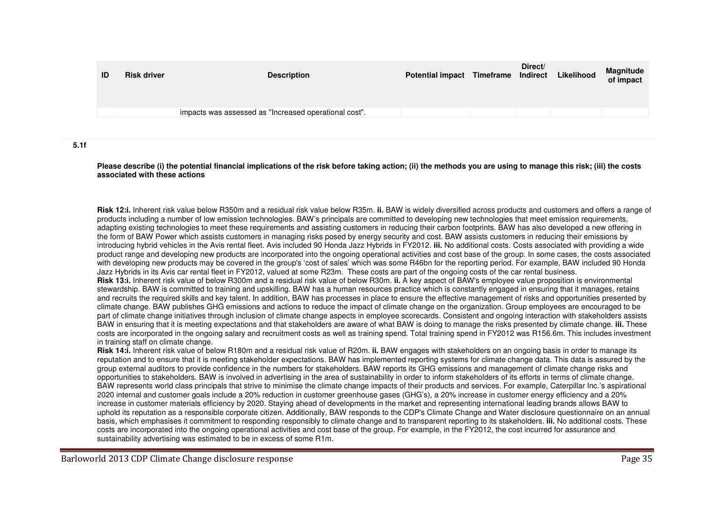| ID | <b>Risk driver</b> | <b>Description</b>                                    | Potential impact Timeframe Indirect | Direct/ | Likelihood | Magnitude<br>of impact |
|----|--------------------|-------------------------------------------------------|-------------------------------------|---------|------------|------------------------|
|    |                    | impacts was assessed as "Increased operational cost". |                                     |         |            |                        |
|    |                    |                                                       |                                     |         |            |                        |

**5.1f** 

**Please describe (i) the potential financial implications of the risk before taking action; (ii) the methods you are using to manage this risk; (iii) the costs associated with these actions**

**Risk 12:i.** Inherent risk value below R350m and a residual risk value below R35m. **ii.** BAW is widely diversified across products and customers and offers a range of products including a number of low emission technologies. BAW's principals are committed to developing new technologies that meet emission requirements, adapting existing technologies to meet these requirements and assisting customers in reducing their carbon footprints. BAW has also developed a new offering in the form of BAW Power which assists customers in managing risks posed by energy security and cost. BAW assists customers in reducing their emissions by introducing hybrid vehicles in the Avis rental fleet. Avis included 90 Honda Jazz Hybrids in FY2012. **iii.** No additional costs. Costs associated with providing a wide product range and developing new products are incorporated into the ongoing operational activities and cost base of the group. In some cases, the costs associated with developing new products may be covered in the group's 'cost of sales' which was some R46bn for the reporting period. For example, BAW included 90 Honda Jazz Hybrids in its Avis car rental fleet in FY2012, valued at some R23m. These costs are part of the ongoing costs of the car rental business. **Risk 13:i.** Inherent risk value of below R300m and a residual risk value of below R30m. **ii.** A key aspect of BAW's employee value proposition is environmental stewardship. BAW is committed to training and upskilling. BAW has a human resources practice which is constantly engaged in ensuring that it manages, retains and recruits the required skills and key talent. In addition, BAW has processes in place to ensure the effective management of risks and opportunities presented by climate change. BAW publishes GHG emissions and actions to reduce the impact of climate change on the organization. Group employees are encouraged to be part of climate change initiatives through inclusion of climate change aspects in employee scorecards. Consistent and ongoing interaction with stakeholders assists BAW in ensuring that it is meeting expectations and that stakeholders are aware of what BAW is doing to manage the risks presented by climate change. **iii.** These costs are incorporated in the ongoing salary and recruitment costs as well as training spend. Total training spend in FY2012 was R156.6m. This includes investment in training staff on climate change.

 **Risk 14:i.** Inherent risk value of below R180m and a residual risk value of R20m. **ii.** BAW engages with stakeholders on an ongoing basis in order to manage its reputation and to ensure that it is meeting stakeholder expectations. BAW has implemented reporting systems for climate change data. This data is assured by the group external auditors to provide confidence in the numbers for stakeholders. BAW reports its GHG emissions and management of climate change risks and opportunities to stakeholders. BAW is involved in advertising in the area of sustainability in order to inform stakeholders of its efforts in terms of climate change. BAW represents world class principals that strive to minimise the climate change impacts of their products and services. For example, Caterpillar Inc.'s aspirational 2020 internal and customer goals include a 20% reduction in customer greenhouse gases (GHG's), a 20% increase in customer energy efficiency and a 20% increase in customer materials efficiency by 2020. Staying ahead of developments in the market and representing international leading brands allows BAW to uphold its reputation as a responsible corporate citizen. Additionally, BAW responds to the CDP's Climate Change and Water disclosure questionnaire on an annual basis, which emphasises it commitment to responding responsibly to climate change and to transparent reporting to its stakeholders. **iii.** No additional costs. These costs are incorporated into the ongoing operational activities and cost base of the group. For example, in the FY2012, the cost incurred for assurance and sustainability advertising was estimated to be in excess of some R1m.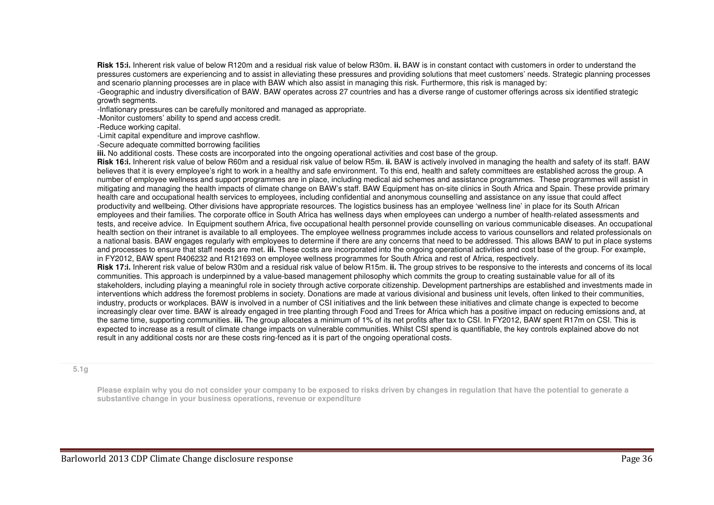**Risk 15:i.** Inherent risk value of below R120m and a residual risk value of below R30m. **ii.** BAW is in constant contact with customers in order to understand the pressures customers are experiencing and to assist in alleviating these pressures and providing solutions that meet customers' needs. Strategic planning processes and scenario planning processes are in place with BAW which also assist in managing this risk. Furthermore, this risk is managed by:

 -Geographic and industry diversification of BAW. BAW operates across 27 countries and has a diverse range of customer offerings across six identified strategic growth segments.

-Inflationary pressures can be carefully monitored and managed as appropriate.

-Monitor customers' ability to spend and access credit.

-Reduce working capital.

-Limit capital expenditure and improve cashflow.

-Secure adequate committed borrowing facilities

**iii.** No additional costs. These costs are incorporated into the ongoing operational activities and cost base of the group.

 **Risk 16:i.** Inherent risk value of below R60m and a residual risk value of below R5m. **ii.** BAW is actively involved in managing the health and safety of its staff. BAW believes that it is every employee's right to work in a healthy and safe environment. To this end, health and safety committees are established across the group. A number of employee wellness and support programmes are in place, including medical aid schemes and assistance programmes. These programmes will assist in mitigating and managing the health impacts of climate change on BAW's staff. BAW Equipment has on-site clinics in South Africa and Spain. These provide primary health care and occupational health services to employees, including confidential and anonymous counselling and assistance on any issue that could affect productivity and wellbeing. Other divisions have appropriate resources. The logistics business has an employee 'wellness line' in place for its South African employees and their families. The corporate office in South Africa has wellness days when employees can undergo a number of health-related assessments and tests, and receive advice. In Equipment southern Africa, five occupational health personnel provide counselling on various communicable diseases. An occupational health section on their intranet is available to all employees. The employee wellness programmes include access to various counsellors and related professionals on a national basis. BAW engages regularly with employees to determine if there are any concerns that need to be addressed. This allows BAW to put in place systems and processes to ensure that staff needs are met. **iii.** These costs are incorporated into the ongoing operational activities and cost base of the group. For example, in FY2012, BAW spent R406232 and R121693 on employee wellness programmes for South Africa and rest of Africa, respectively.

 **Risk 17:i.** Inherent risk value of below R30m and a residual risk value of below R15m. **ii.** The group strives to be responsive to the interests and concerns of its local communities. This approach is underpinned by a value-based management philosophy which commits the group to creating sustainable value for all of its stakeholders, including playing a meaningful role in society through active corporate citizenship. Development partnerships are established and investments made in interventions which address the foremost problems in society. Donations are made at various divisional and business unit levels, often linked to their communities, industry, products or workplaces. BAW is involved in a number of CSI initiatives and the link between these initiatives and climate change is expected to become increasingly clear over time. BAW is already engaged in tree planting through Food and Trees for Africa which has a positive impact on reducing emissions and, at the same time, supporting communities. **iii.** The group allocates a minimum of 1% of its net profits after tax to CSI. In FY2012, BAW spent R17m on CSI. This is expected to increase as a result of climate change impacts on vulnerable communities. Whilst CSI spend is quantifiable, the key controls explained above do not result in any additional costs nor are these costs ring-fenced as it is part of the ongoing operational costs.

#### **5.1g**

**Please explain why you do not consider your company to be exposed to risks driven by changes in regulation that have the potential to generate a substantive change in your business operations, revenue or expenditure**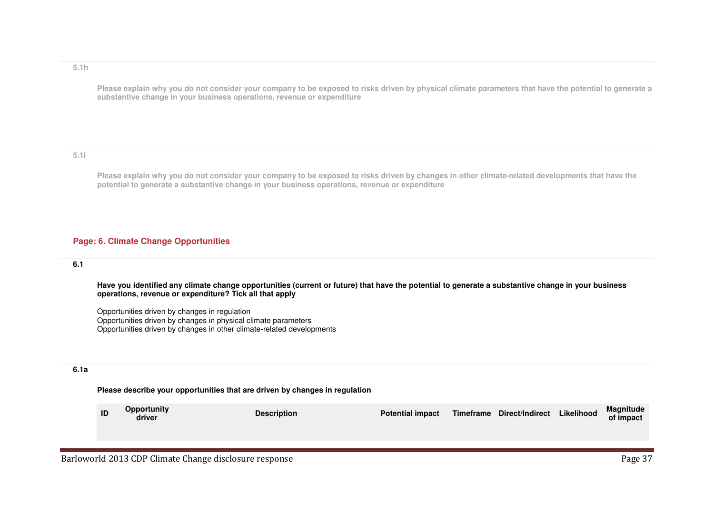#### **5.1h**

**Please explain why you do not consider your company to be exposed to risks driven by physical climate parameters that have the potential to generate a substantive change in your business operations, revenue or expenditure**

## **5.1i**

**Please explain why you do not consider your company to be exposed to risks driven by changes in other climate-related developments that have the potential to generate a substantive change in your business operations, revenue or expenditure**

## **Page: 6. Climate Change Opportunities**

## **6.1**

**Have you identified any climate change opportunities (current or future) that have the potential to generate a substantive change in your business operations, revenue or expenditure? Tick all that apply**

Opportunities driven by changes in regulation Opportunities driven by changes in physical climate parameters Opportunities driven by changes in other climate-related developments

## **6.1a**

#### **Please describe your opportunities that are driven by changes in regulation**

| ID | <b>Opportunity</b><br>driver | <b>Description</b> | <b>Potential impact</b> |  | Timeframe Direct/Indirect Likelihood |  | Magnitude<br>of impact |
|----|------------------------------|--------------------|-------------------------|--|--------------------------------------|--|------------------------|
|----|------------------------------|--------------------|-------------------------|--|--------------------------------------|--|------------------------|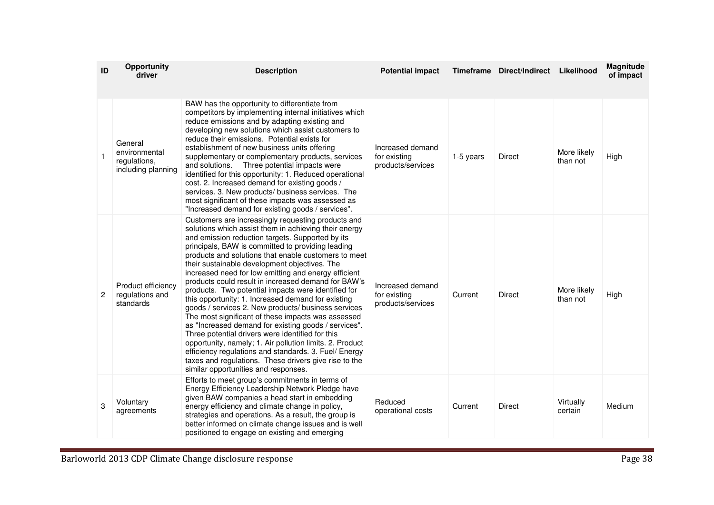| ID           | <b>Opportunity</b><br>driver                                   | <b>Description</b>                                                                                                                                                                                                                                                                                                                                                                                                                                                                                                                                                                                                                                                                                                                                                                                                                                                                                                                                                                                       | <b>Potential impact</b>                               |           | Timeframe Direct/Indirect | Likelihood              | Magnitude<br>of impact |
|--------------|----------------------------------------------------------------|----------------------------------------------------------------------------------------------------------------------------------------------------------------------------------------------------------------------------------------------------------------------------------------------------------------------------------------------------------------------------------------------------------------------------------------------------------------------------------------------------------------------------------------------------------------------------------------------------------------------------------------------------------------------------------------------------------------------------------------------------------------------------------------------------------------------------------------------------------------------------------------------------------------------------------------------------------------------------------------------------------|-------------------------------------------------------|-----------|---------------------------|-------------------------|------------------------|
| $\mathbf{1}$ | General<br>environmental<br>regulations,<br>including planning | BAW has the opportunity to differentiate from<br>competitors by implementing internal initiatives which<br>reduce emissions and by adapting existing and<br>developing new solutions which assist customers to<br>reduce their emissions. Potential exists for<br>establishment of new business units offering<br>supplementary or complementary products, services<br>Three potential impacts were<br>and solutions.<br>identified for this opportunity: 1. Reduced operational<br>cost. 2. Increased demand for existing goods /<br>services. 3. New products/ business services. The<br>most significant of these impacts was assessed as<br>"Increased demand for existing goods / services".                                                                                                                                                                                                                                                                                                        | Increased demand<br>for existing<br>products/services | 1-5 years | Direct                    | More likely<br>than not | High                   |
| 2            | Product efficiency<br>regulations and<br>standards             | Customers are increasingly requesting products and<br>solutions which assist them in achieving their energy<br>and emission reduction targets. Supported by its<br>principals, BAW is committed to providing leading<br>products and solutions that enable customers to meet<br>their sustainable development objectives. The<br>increased need for low emitting and energy efficient<br>products could result in increased demand for BAW's<br>products. Two potential impacts were identified for<br>this opportunity: 1. Increased demand for existing<br>goods / services 2. New products/ business services<br>The most significant of these impacts was assessed<br>as "Increased demand for existing goods / services".<br>Three potential drivers were identified for this<br>opportunity, namely; 1. Air pollution limits. 2. Product<br>efficiency regulations and standards. 3. Fuel/ Energy<br>taxes and regulations. These drivers give rise to the<br>similar opportunities and responses. | Increased demand<br>for existing<br>products/services | Current   | Direct                    | More likely<br>than not | High                   |
| 3            | Voluntary<br>agreements                                        | Efforts to meet group's commitments in terms of<br>Energy Efficiency Leadership Network Pledge have<br>given BAW companies a head start in embedding<br>energy efficiency and climate change in policy,<br>strategies and operations. As a result, the group is<br>better informed on climate change issues and is well<br>positioned to engage on existing and emerging                                                                                                                                                                                                                                                                                                                                                                                                                                                                                                                                                                                                                                 | Reduced<br>operational costs                          | Current   | Direct                    | Virtually<br>certain    | Medium                 |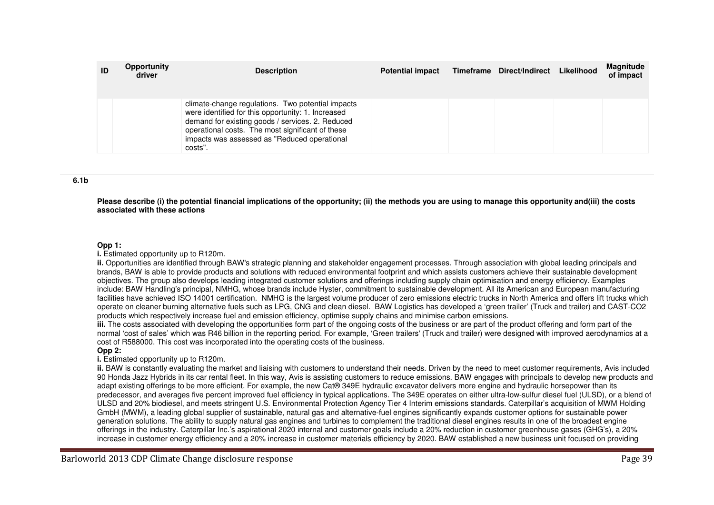| ID | Opportunity<br>driver | <b>Description</b>                                                                                                                                                                                                                                                         | <b>Potential impact</b> | Timeframe Direct/Indirect | Likelihood | <b>Magnitude</b><br>of impact |
|----|-----------------------|----------------------------------------------------------------------------------------------------------------------------------------------------------------------------------------------------------------------------------------------------------------------------|-------------------------|---------------------------|------------|-------------------------------|
|    |                       | climate-change regulations. Two potential impacts<br>were identified for this opportunity: 1. Increased<br>demand for existing goods / services. 2. Reduced<br>operational costs. The most significant of these<br>impacts was assessed as "Reduced operational<br>costs". |                         |                           |            |                               |

#### **6.1b**

**Please describe (i) the potential financial implications of the opportunity; (ii) the methods you are using to manage this opportunity and(iii) the costsassociated with these actions**

#### **Opp 1:**

**i.** Estimated opportunity up to R120m.

 **ii.** Opportunities are identified through BAW's strategic planning and stakeholder engagement processes. Through association with global leading principals and brands, BAW is able to provide products and solutions with reduced environmental footprint and which assists customers achieve their sustainable development objectives. The group also develops leading integrated customer solutions and offerings including supply chain optimisation and energy efficiency. Examples include: BAW Handling's principal, NMHG, whose brands include Hyster, commitment to sustainable development. All its American and European manufacturing facilities have achieved ISO 14001 certification. NMHG is the largest volume producer of zero emissions electric trucks in North America and offers lift trucks which operate on cleaner burning alternative fuels such as LPG, CNG and clean diesel. BAW Logistics has developed a 'green trailer' (Truck and trailer) and CAST-CO2 products which respectively increase fuel and emission efficiency, optimise supply chains and minimise carbon emissions.

 **iii.** The costs associated with developing the opportunities form part of the ongoing costs of the business or are part of the product offering and form part of the normal 'cost of sales' which was R46 billion in the reporting period. For example, 'Green trailers' (Truck and trailer) were designed with improved aerodynamics at a cost of R588000. This cost was incorporated into the operating costs of the business.

#### **Opp 2:**

**i.** Estimated opportunity up to R120m.

 **ii.** BAW is constantly evaluating the market and liaising with customers to understand their needs. Driven by the need to meet customer requirements, Avis included 90 Honda Jazz Hybrids in its car rental fleet. In this way, Avis is assisting customers to reduce emissions. BAW engages with principals to develop new products and adapt existing offerings to be more efficient. For example, the new Cat® 349E hydraulic excavator delivers more engine and hydraulic horsepower than its predecessor, and averages five percent improved fuel efficiency in typical applications. The 349E operates on either ultra-low-sulfur diesel fuel (ULSD), or a blend of ULSD and 20% biodiesel, and meets stringent U.S. Environmental Protection Agency Tier 4 Interim emissions standards. Caterpillar's acquisition of MWM Holding GmbH (MWM), a leading global supplier of sustainable, natural gas and alternative-fuel engines significantly expands customer options for sustainable power generation solutions. The ability to supply natural gas engines and turbines to complement the traditional diesel engines results in one of the broadest engine offerings in the industry. Caterpillar Inc.'s aspirational 2020 internal and customer goals include a 20% reduction in customer greenhouse gases (GHG's), a 20% increase in customer energy efficiency and a 20% increase in customer materials efficiency by 2020. BAW established a new business unit focused on providing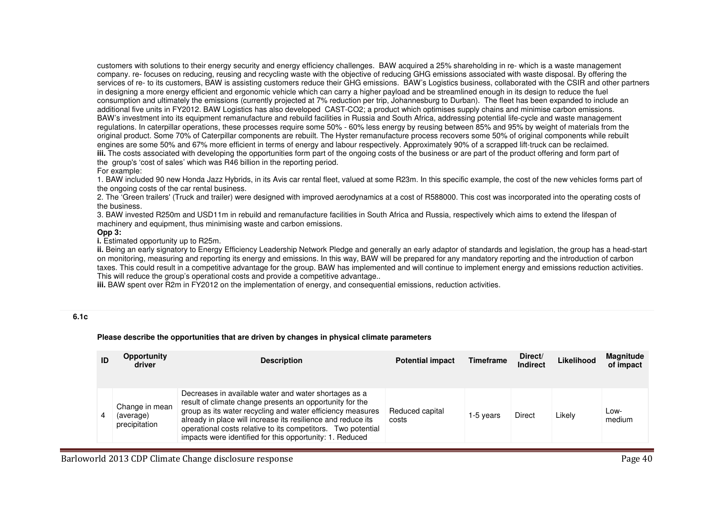customers with solutions to their energy security and energy efficiency challenges. BAW acquired a 25% shareholding in re- which is a waste management company. re- focuses on reducing, reusing and recycling waste with the objective of reducing GHG emissions associated with waste disposal. By offering the services of re- to its customers, BAW is assisting customers reduce their GHG emissions. BAW's Logistics business, collaborated with the CSIR and other partners in designing a more energy efficient and ergonomic vehicle which can carry a higher payload and be streamlined enough in its design to reduce the fuel consumption and ultimately the emissions (currently projected at 7% reduction per trip, Johannesburg to Durban). The fleet has been expanded to include an additional five units in FY2012. BAW Logistics has also developed CAST-CO2; a product which optimises supply chains and minimise carbon emissions. BAW's investment into its equipment remanufacture and rebuild facilities in Russia and South Africa, addressing potential life-cycle and waste management regulations. In caterpillar operations, these processes require some 50% - 60% less energy by reusing between 85% and 95% by weight of materials from the original product. Some 70% of Caterpillar components are rebuilt. The Hyster remanufacture process recovers some 50% of original components while rebuiltengines are some 50% and 67% more efficient in terms of energy and labour respectively. Approximately 90% of a scrapped lift-truck can be reclaimed. **iii.** The costs associated with developing the opportunities form part of the ongoing costs of the business or are part of the product offering and form part of the group's 'cost of sales' which was R46 billion in the reporting period.

#### For example:

 1. BAW included 90 new Honda Jazz Hybrids, in its Avis car rental fleet, valued at some R23m. In this specific example, the cost of the new vehicles forms part of the ongoing costs of the car rental business.

 2. The 'Green trailers' (Truck and trailer) were designed with improved aerodynamics at a cost of R588000. This cost was incorporated into the operating costs of the business.

 3. BAW invested R250m and USD11m in rebuild and remanufacture facilities in South Africa and Russia, respectively which aims to extend the lifespan of machinery and equipment, thus minimising waste and carbon emissions.

#### **Opp 3:**

**i.** Estimated opportunity up to R25m.

 **ii.** Being an early signatory to Energy Efficiency Leadership Network Pledge and generally an early adaptor of standards and legislation, the group has a head-start on monitoring, measuring and reporting its energy and emissions. In this way, BAW will be prepared for any mandatory reporting and the introduction of carbon taxes. This could result in a competitive advantage for the group. BAW has implemented and will continue to implement energy and emissions reduction activities. This will reduce the group's operational costs and provide a competitive advantage..

**iii.** BAW spent over R2m in FY2012 on the implementation of energy, and consequential emissions, reduction activities.

## **6.1c**

#### **Please describe the opportunities that are driven by changes in physical climate parameters**

| ID | Opportunity<br>driver                        | <b>Description</b>                                                                                                                                                                                                                                                                                                                                                          | <b>Potential impact</b>  | <b>Timeframe</b> | Direct/<br><b>Indirect</b> | Likelihood | <b>Magnitude</b><br>of impact |
|----|----------------------------------------------|-----------------------------------------------------------------------------------------------------------------------------------------------------------------------------------------------------------------------------------------------------------------------------------------------------------------------------------------------------------------------------|--------------------------|------------------|----------------------------|------------|-------------------------------|
|    | Change in mean<br>(average)<br>precipitation | Decreases in available water and water shortages as a<br>result of climate change presents an opportunity for the<br>group as its water recycling and water efficiency measures<br>already in place will increase its resilience and reduce its<br>operational costs relative to its competitors. Two potential<br>impacts were identified for this opportunity: 1. Reduced | Reduced capital<br>costs | 1-5 years        | Direct                     | Likely     | Low-<br>medium                |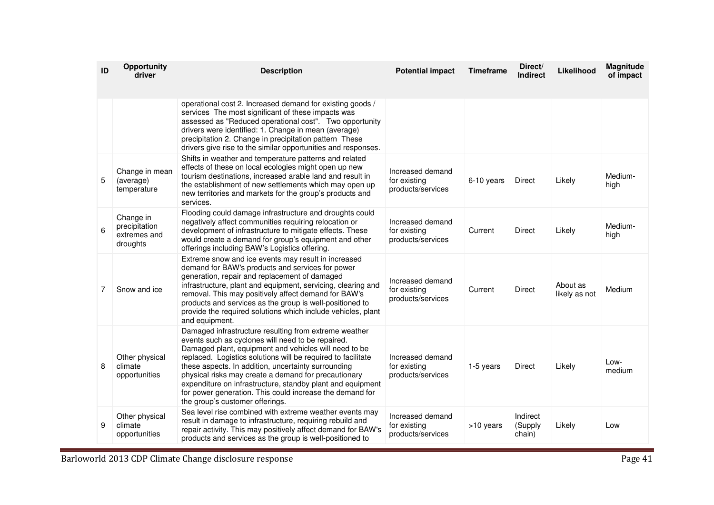| ID | Opportunity<br>driver                                  | <b>Description</b>                                                                                                                                                                                                                                                                                                                                                                                                                                                                                              | <b>Potential impact</b>                               | <b>Timeframe</b> | Direct/<br><b>Indirect</b>    | Likelihood                | Magnitude<br>of impact |
|----|--------------------------------------------------------|-----------------------------------------------------------------------------------------------------------------------------------------------------------------------------------------------------------------------------------------------------------------------------------------------------------------------------------------------------------------------------------------------------------------------------------------------------------------------------------------------------------------|-------------------------------------------------------|------------------|-------------------------------|---------------------------|------------------------|
|    |                                                        | operational cost 2. Increased demand for existing goods /<br>services The most significant of these impacts was<br>assessed as "Reduced operational cost". Two opportunity<br>drivers were identified: 1. Change in mean (average)<br>precipitation 2. Change in precipitation pattern These<br>drivers give rise to the similar opportunities and responses.                                                                                                                                                   |                                                       |                  |                               |                           |                        |
| 5  | Change in mean<br>(average)<br>temperature             | Shifts in weather and temperature patterns and related<br>effects of these on local ecologies might open up new<br>tourism destinations, increased arable land and result in<br>the establishment of new settlements which may open up<br>new territories and markets for the group's products and<br>services.                                                                                                                                                                                                 | Increased demand<br>for existing<br>products/services | 6-10 years       | <b>Direct</b>                 | Likely                    | Medium-<br>high        |
| 6  | Change in<br>precipitation<br>extremes and<br>droughts | Flooding could damage infrastructure and droughts could<br>negatively affect communities requiring relocation or<br>development of infrastructure to mitigate effects. These<br>would create a demand for group's equipment and other<br>offerings including BAW's Logistics offering.                                                                                                                                                                                                                          | Increased demand<br>for existing<br>products/services | Current          | <b>Direct</b>                 | Likely                    | Medium-<br>high        |
| 7  | Snow and ice                                           | Extreme snow and ice events may result in increased<br>demand for BAW's products and services for power<br>generation, repair and replacement of damaged<br>infrastructure, plant and equipment, servicing, clearing and<br>removal. This may positively affect demand for BAW's<br>products and services as the group is well-positioned to<br>provide the required solutions which include vehicles, plant<br>and equipment.                                                                                  | Increased demand<br>for existing<br>products/services | Current          | <b>Direct</b>                 | About as<br>likely as not | Medium                 |
| 8  | Other physical<br>climate<br>opportunities             | Damaged infrastructure resulting from extreme weather<br>events such as cyclones will need to be repaired.<br>Damaged plant, equipment and vehicles will need to be<br>replaced. Logistics solutions will be required to facilitate<br>these aspects. In addition, uncertainty surrounding<br>physical risks may create a demand for precautionary<br>expenditure on infrastructure, standby plant and equipment<br>for power generation. This could increase the demand for<br>the group's customer offerings. | Increased demand<br>for existing<br>products/services | 1-5 years        | <b>Direct</b>                 | Likely                    | Low-<br>medium         |
| 9  | Other physical<br>climate<br>opportunities             | Sea level rise combined with extreme weather events may<br>result in damage to infrastructure, requiring rebuild and<br>repair activity. This may positively affect demand for BAW's<br>products and services as the group is well-positioned to                                                                                                                                                                                                                                                                | Increased demand<br>for existing<br>products/services | >10 years        | Indirect<br>(Supply<br>chain) | Likely                    | Low                    |

Barloworld 2013 CDP Climate Change disclosure response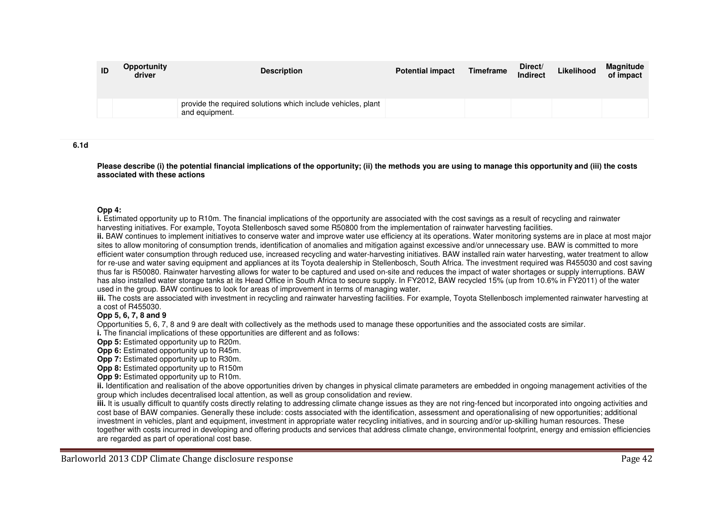| ID | Opportunity<br>driver | <b>Description</b>                                                             | <b>Potential impact</b> | Timeframe | Direct/<br>Indirect | Likelihood | <b>Magnitude</b><br>of impact |
|----|-----------------------|--------------------------------------------------------------------------------|-------------------------|-----------|---------------------|------------|-------------------------------|
|    |                       | provide the required solutions which include vehicles, plant<br>and equipment. |                         |           |                     |            |                               |

**6.1d** 

**Please describe (i) the potential financial implications of the opportunity; (ii) the methods you are using to manage this opportunity and (iii) the costs associated with these actions**

#### **Opp 4:**

 **i.** Estimated opportunity up to R10m. The financial implications of the opportunity are associated with the cost savings as a result of recycling and rainwater harvesting initiatives. For example, Toyota Stellenbosch saved some R50800 from the implementation of rainwater harvesting facilities.

 **ii.** BAW continues to implement initiatives to conserve water and improve water use efficiency at its operations. Water monitoring systems are in place at most major sites to allow monitoring of consumption trends, identification of anomalies and mitigation against excessive and/or unnecessary use. BAW is committed to more efficient water consumption through reduced use, increased recycling and water-harvesting initiatives. BAW installed rain water harvesting, water treatment to allow for re-use and water saving equipment and appliances at its Toyota dealership in Stellenbosch, South Africa. The investment required was R455030 and cost saving thus far is R50080. Rainwater harvesting allows for water to be captured and used on-site and reduces the impact of water shortages or supply interruptions. BAW has also installed water storage tanks at its Head Office in South Africa to secure supply. In FY2012, BAW recycled 15% (up from 10.6% in FY2011) of the water used in the group. BAW continues to look for areas of improvement in terms of managing water.

 **iii.** The costs are associated with investment in recycling and rainwater harvesting facilities. For example, Toyota Stellenbosch implemented rainwater harvesting at a cost of R455030.

#### **Opp 5, 6, 7, 8 and 9**

Opportunities 5, 6, 7, 8 and 9 are dealt with collectively as the methods used to manage these opportunities and the associated costs are similar.

**i.** The financial implications of these opportunities are different and as follows:

**Opp 5:** Estimated opportunity up to R20m.

**Opp 6:** Estimated opportunity up to R45m.

**Opp 7:** Estimated opportunity up to R30m.

**Opp 8:** Estimated opportunity up to R150m

**Opp 9:** Estimated opportunity up to R10m.

 **ii.** Identification and realisation of the above opportunities driven by changes in physical climate parameters are embedded in ongoing management activities of the group which includes decentralised local attention, as well as group consolidation and review.

iii. It is usually difficult to quantify costs directly relating to addressing climate change issues as they are not ring-fenced but incorporated into ongoing activities and cost base of BAW companies. Generally these include: costs associated with the identification, assessment and operationalising of new opportunities; additional investment in vehicles, plant and equipment, investment in appropriate water recycling initiatives, and in sourcing and/or up-skilling human resources. These together with costs incurred in developing and offering products and services that address climate change, environmental footprint, energy and emission efficiencies are regarded as part of operational cost base.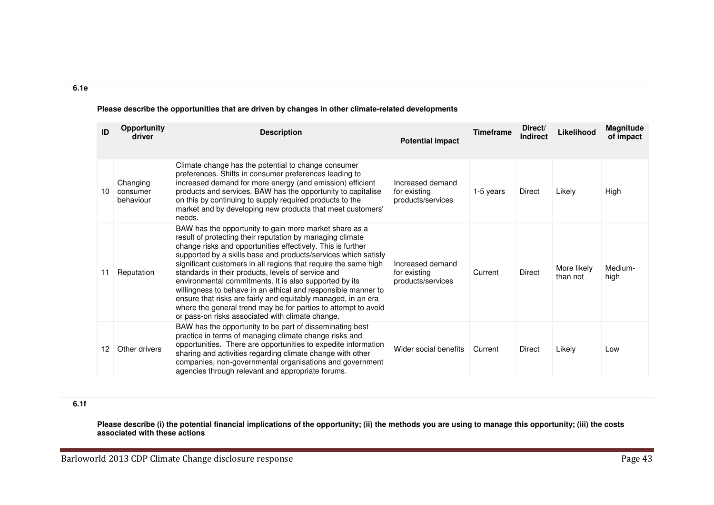| ID | Opportunity<br>driver             | <b>Description</b>                                                                                                                                                                                                                                                                                                                                                                                                                                                                                                                                                                                                                                                                              | <b>Potential impact</b>                               | <b>Timeframe</b> | Direct/<br><b>Indirect</b> | Likelihood              | <b>Magnitude</b><br>of impact |
|----|-----------------------------------|-------------------------------------------------------------------------------------------------------------------------------------------------------------------------------------------------------------------------------------------------------------------------------------------------------------------------------------------------------------------------------------------------------------------------------------------------------------------------------------------------------------------------------------------------------------------------------------------------------------------------------------------------------------------------------------------------|-------------------------------------------------------|------------------|----------------------------|-------------------------|-------------------------------|
| 10 | Changing<br>consumer<br>behaviour | Climate change has the potential to change consumer<br>preferences. Shifts in consumer preferences leading to<br>increased demand for more energy (and emission) efficient<br>products and services. BAW has the opportunity to capitalise<br>on this by continuing to supply required products to the<br>market and by developing new products that meet customers'<br>needs.                                                                                                                                                                                                                                                                                                                  | Increased demand<br>for existing<br>products/services | 1-5 years        | Direct                     | Likely                  | High                          |
| 11 | Reputation                        | BAW has the opportunity to gain more market share as a<br>result of protecting their reputation by managing climate<br>change risks and opportunities effectively. This is further<br>supported by a skills base and products/services which satisfy<br>significant customers in all regions that require the same high<br>standards in their products, levels of service and<br>environmental commitments. It is also supported by its<br>willingness to behave in an ethical and responsible manner to<br>ensure that risks are fairly and equitably managed, in an era<br>where the general trend may be for parties to attempt to avoid<br>or pass-on risks associated with climate change. | Increased demand<br>for existing<br>products/services | Current          | <b>Direct</b>              | More likely<br>than not | Medium-<br>high               |
| 12 | Other drivers                     | BAW has the opportunity to be part of disseminating best<br>practice in terms of managing climate change risks and<br>opportunities. There are opportunities to expedite information<br>sharing and activities regarding climate change with other<br>companies, non-governmental organisations and government<br>agencies through relevant and appropriate forums.                                                                                                                                                                                                                                                                                                                             | Wider social benefits                                 | Current          | Direct                     | Likely                  | Low                           |

## **Please describe the opportunities that are driven by changes in other climate-related developments**

## **6.1f**

**6.1e** 

**Please describe (i) the potential financial implications of the opportunity; (ii) the methods you are using to manage this opportunity; (iii) the costs associated with these actions**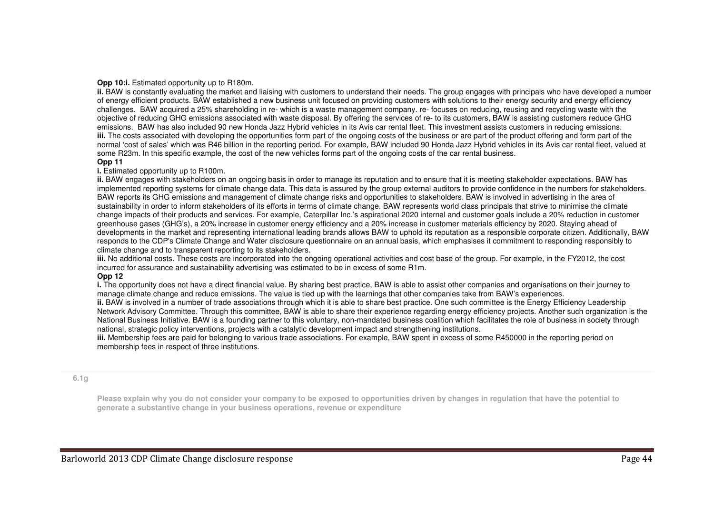#### **Opp 10:i.** Estimated opportunity up to R180m.

 **ii.** BAW is constantly evaluating the market and liaising with customers to understand their needs. The group engages with principals who have developed a number of energy efficient products. BAW established a new business unit focused on providing customers with solutions to their energy security and energy efficiency challenges. BAW acquired a 25% shareholding in re- which is a waste management company. re- focuses on reducing, reusing and recycling waste with the objective of reducing GHG emissions associated with waste disposal. By offering the services of re- to its customers, BAW is assisting customers reduce GHG emissions. BAW has also included 90 new Honda Jazz Hybrid vehicles in its Avis car rental fleet. This investment assists customers in reducing emissions. **iii.** The costs associated with developing the opportunities form part of the ongoing costs of the business or are part of the product offering and form part of the normal 'cost of sales' which was R46 billion in the reporting period. For example, BAW included 90 Honda Jazz Hybrid vehicles in its Avis car rental fleet, valued at some R23m. In this specific example, the cost of the new vehicles forms part of the ongoing costs of the car rental business.

#### **Opp 11**

#### **i.** Estimated opportunity up to R100m.

 **ii.** BAW engages with stakeholders on an ongoing basis in order to manage its reputation and to ensure that it is meeting stakeholder expectations. BAW has implemented reporting systems for climate change data. This data is assured by the group external auditors to provide confidence in the numbers for stakeholders. BAW reports its GHG emissions and management of climate change risks and opportunities to stakeholders. BAW is involved in advertising in the area of sustainability in order to inform stakeholders of its efforts in terms of climate change. BAW represents world class principals that strive to minimise the climate change impacts of their products and services. For example, Caterpillar Inc.'s aspirational 2020 internal and customer goals include a 20% reduction in customer greenhouse gases (GHG's), a 20% increase in customer energy efficiency and a 20% increase in customer materials efficiency by 2020. Staying ahead of developments in the market and representing international leading brands allows BAW to uphold its reputation as a responsible corporate citizen. Additionally, BAW responds to the CDP's Climate Change and Water disclosure questionnaire on an annual basis, which emphasises it commitment to responding responsibly to climate change and to transparent reporting to its stakeholders.

 **iii.** No additional costs. These costs are incorporated into the ongoing operational activities and cost base of the group. For example, in the FY2012, the cost incurred for assurance and sustainability advertising was estimated to be in excess of some R1m.

#### **Opp 12**

 **i.** The opportunity does not have a direct financial value. By sharing best practice, BAW is able to assist other companies and organisations on their journey to manage climate change and reduce emissions. The value is tied up with the learnings that other companies take from BAW's experiences.

 **ii.** BAW is involved in a number of trade associations through which it is able to share best practice. One such committee is the Energy Efficiency Leadership Network Advisory Committee. Through this committee, BAW is able to share their experience regarding energy efficiency projects. Another such organization is the National Business Initiative. BAW is a founding partner to this voluntary, non-mandated business coalition which facilitates the role of business in society through national, strategic policy interventions, projects with a catalytic development impact and strengthening institutions.

 **iii.** Membership fees are paid for belonging to various trade associations. For example, BAW spent in excess of some R450000 in the reporting period on membership fees in respect of three institutions.

#### **6.1g**

**Please explain why you do not consider your company to be exposed to opportunities driven by changes in regulation that have the potential to generate a substantive change in your business operations, revenue or expenditure**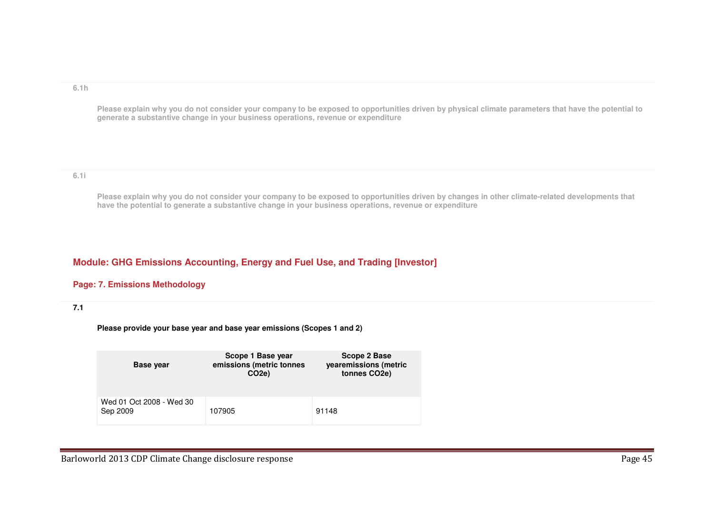#### **6.1h**

**Please explain why you do not consider your company to be exposed to opportunities driven by physical climate parameters that have the potential to generate a substantive change in your business operations, revenue or expenditure**

## **6.1i**

**Please explain why you do not consider your company to be exposed to opportunities driven by changes in other climate-related developments that have the potential to generate a substantive change in your business operations, revenue or expenditure**

# **Module: GHG Emissions Accounting, Energy and Fuel Use, and Trading [Investor]**

## **Page: 7. Emissions Methodology**

## **7.1**

**Please provide your base year and base year emissions (Scopes 1 and 2)**

| <b>Base year</b>                     | Scope 1 Base year<br>emissions (metric tonnes<br>CO <sub>2</sub> e | Scope 2 Base<br>yearemissions (metric<br>tonnes CO2e) |
|--------------------------------------|--------------------------------------------------------------------|-------------------------------------------------------|
| Wed 01 Oct 2008 - Wed 30<br>Sep 2009 | 107905                                                             | 91148                                                 |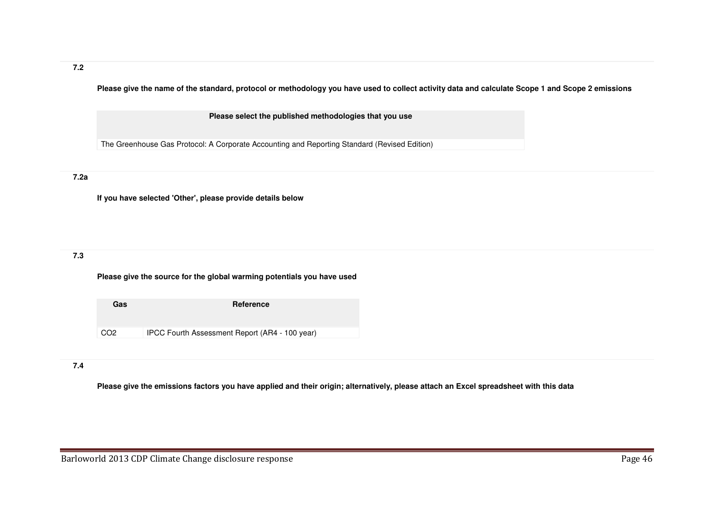**Please give the name of the standard, protocol or methodology you have used to collect activity data and calculate Scope 1 and Scope 2 emissions** 

**Please select the published methodologies that you use**

The Greenhouse Gas Protocol: A Corporate Accounting and Reporting Standard (Revised Edition)

# **7.2a**

**If you have selected 'Other', please provide details below**

# **7.3**

**Please give the source for the global warming potentials you have used**

**Gas Reference** CO2 IPCC Fourth Assessment Report (AR4 - 100 year)

## **7.4**

**Please give the emissions factors you have applied and their origin; alternatively, please attach an Excel spreadsheet with this data**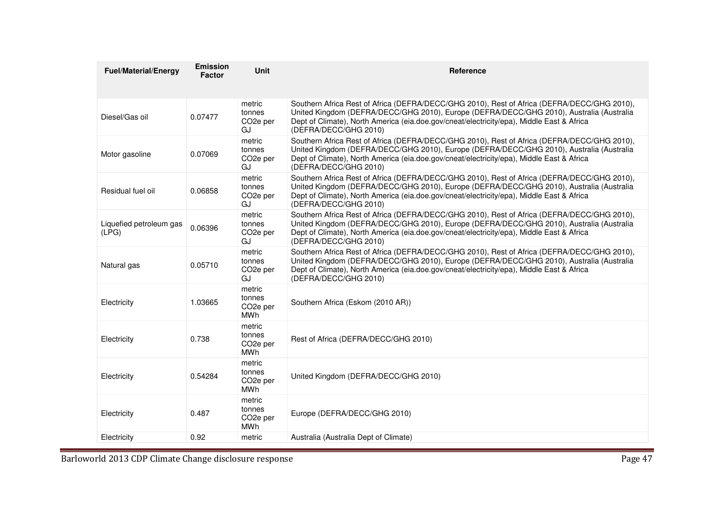| <b>Fuel/Material/Energy</b>      | <b>Emission</b><br><b>Factor</b> | <b>Unit</b>                                             | Reference                                                                                                                                                                                                                                                                                                     |
|----------------------------------|----------------------------------|---------------------------------------------------------|---------------------------------------------------------------------------------------------------------------------------------------------------------------------------------------------------------------------------------------------------------------------------------------------------------------|
|                                  |                                  |                                                         |                                                                                                                                                                                                                                                                                                               |
| Diesel/Gas oil                   | 0.07477                          | metric<br>tonnes<br>CO <sub>2</sub> e per<br>GJ         | Southern Africa Rest of Africa (DEFRA/DECC/GHG 2010), Rest of Africa (DEFRA/DECC/GHG 2010),<br>United Kingdom (DEFRA/DECC/GHG 2010), Europe (DEFRA/DECC/GHG 2010), Australia (Australia<br>Dept of Climate), North America (eia.doe.gov/cneat/electricity/epa), Middle East & Africa<br>(DEFRA/DECC/GHG 2010) |
| Motor gasoline                   | 0.07069                          | metric<br>tonnes<br>CO <sub>2</sub> e per<br>GJ         | Southern Africa Rest of Africa (DEFRA/DECC/GHG 2010), Rest of Africa (DEFRA/DECC/GHG 2010),<br>United Kingdom (DEFRA/DECC/GHG 2010), Europe (DEFRA/DECC/GHG 2010), Australia (Australia<br>Dept of Climate), North America (eia.doe.gov/cneat/electricity/epa), Middle East & Africa<br>(DEFRA/DECC/GHG 2010) |
| Residual fuel oil                | 0.06858                          | metric<br>tonnes<br>CO <sub>2</sub> e per<br>GJ         | Southern Africa Rest of Africa (DEFRA/DECC/GHG 2010), Rest of Africa (DEFRA/DECC/GHG 2010),<br>United Kingdom (DEFRA/DECC/GHG 2010), Europe (DEFRA/DECC/GHG 2010), Australia (Australia<br>Dept of Climate), North America (eia.doe.gov/cneat/electricity/epa), Middle East & Africa<br>(DEFRA/DECC/GHG 2010) |
| Liquefied petroleum gas<br>(LPG) | 0.06396                          | metric<br>tonnes<br>CO <sub>2</sub> e per<br>GJ         | Southern Africa Rest of Africa (DEFRA/DECC/GHG 2010), Rest of Africa (DEFRA/DECC/GHG 2010),<br>United Kingdom (DEFRA/DECC/GHG 2010), Europe (DEFRA/DECC/GHG 2010), Australia (Australia<br>Dept of Climate), North America (eia.doe.gov/cneat/electricity/epa), Middle East & Africa<br>(DEFRA/DECC/GHG 2010) |
| Natural gas                      | 0.05710                          | metric<br>tonnes<br>CO <sub>2</sub> e per<br>GJ         | Southern Africa Rest of Africa (DEFRA/DECC/GHG 2010), Rest of Africa (DEFRA/DECC/GHG 2010),<br>United Kingdom (DEFRA/DECC/GHG 2010), Europe (DEFRA/DECC/GHG 2010), Australia (Australia<br>Dept of Climate), North America (eia.doe.gov/cneat/electricity/epa), Middle East & Africa<br>(DEFRA/DECC/GHG 2010) |
| Electricity                      | 1.03665                          | metric<br>tonnes<br>CO <sub>2</sub> e per<br>MWh        | Southern Africa (Eskom (2010 AR))                                                                                                                                                                                                                                                                             |
| Electricity                      | 0.738                            | metric<br>tonnes<br>CO <sub>2</sub> e per<br>MWh        | Rest of Africa (DEFRA/DECC/GHG 2010)                                                                                                                                                                                                                                                                          |
| Electricity                      | 0.54284                          | metric<br>tonnes<br>CO <sub>2</sub> e per<br><b>MWh</b> | United Kingdom (DEFRA/DECC/GHG 2010)                                                                                                                                                                                                                                                                          |
| Electricity                      | 0.487                            | metric<br>tonnes<br>CO <sub>2</sub> e per<br><b>MWh</b> | Europe (DEFRA/DECC/GHG 2010)                                                                                                                                                                                                                                                                                  |
| Electricity                      | 0.92                             | metric                                                  | Australia (Australia Dept of Climate)                                                                                                                                                                                                                                                                         |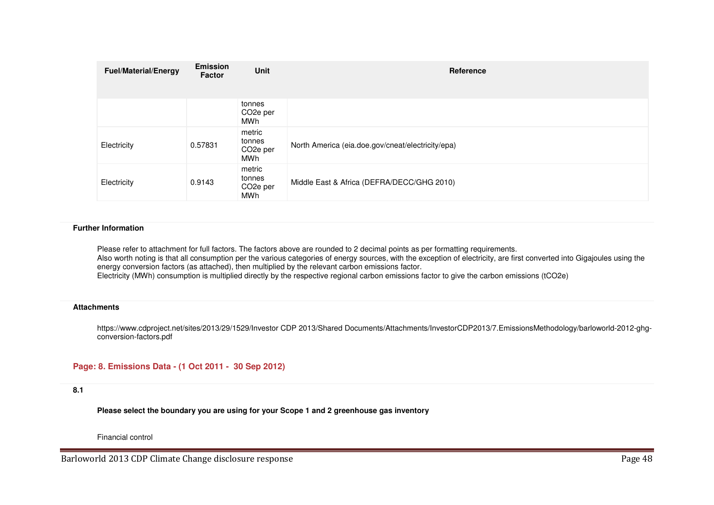| <b>Fuel/Material/Energy</b> | <b>Emission</b><br><b>Factor</b> | <b>Unit</b>                                      | Reference                                         |
|-----------------------------|----------------------------------|--------------------------------------------------|---------------------------------------------------|
|                             |                                  | tonnes<br>CO <sub>2</sub> e per<br>MWh           |                                                   |
| Electricity                 | 0.57831                          | metric<br>tonnes<br>CO <sub>2</sub> e per<br>MWh | North America (eia.doe.gov/cneat/electricity/epa) |
| Electricity                 | 0.9143                           | metric<br>tonnes<br>CO <sub>2</sub> e per<br>MWh | Middle East & Africa (DEFRA/DECC/GHG 2010)        |

#### **Further Information**

Please refer to attachment for full factors. The factors above are rounded to 2 decimal points as per formatting requirements. Also worth noting is that all consumption per the various categories of energy sources, with the exception of electricity, are first converted into Gigajoules using the energy conversion factors (as attached), then multiplied by the relevant carbon emissions factor. Electricity (MWh) consumption is multiplied directly by the respective regional carbon emissions factor to give the carbon emissions (tCO2e)

#### **Attachments**

https://www.cdproject.net/sites/2013/29/1529/Investor CDP 2013/Shared Documents/Attachments/InvestorCDP2013/7.EmissionsMethodology/barloworld-2012-ghgconversion-factors.pdf

## **Page: 8. Emissions Data - (1 Oct 2011 - 30 Sep 2012)**

#### **8.1**

**Please select the boundary you are using for your Scope 1 and 2 greenhouse gas inventory**

Financial control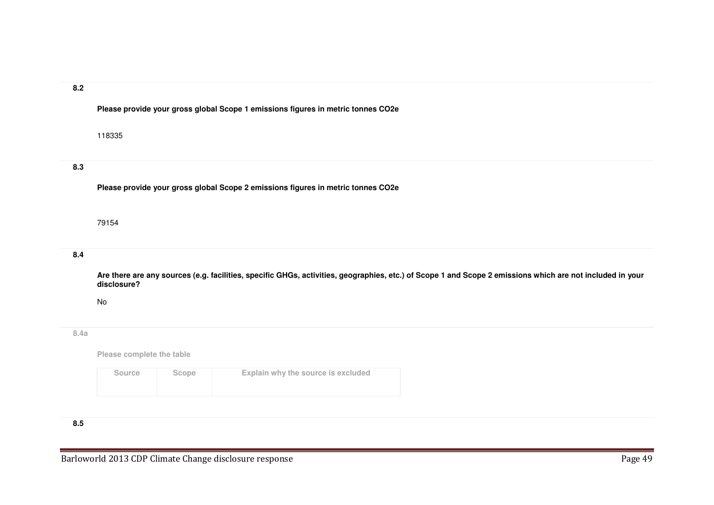## **8.2**

**Please provide your gross global Scope 1 emissions figures in metric tonnes CO2e**

118335

## **8.3**

**Please provide your gross global Scope 2 emissions figures in metric tonnes CO2e**

#### 79154

# **8.4**

**Are there are any sources (e.g. facilities, specific GHGs, activities, geographies, etc.) of Scope 1 and Scope 2 emissions which are not included in your disclosure?**

No

## **8.4a**

**Please complete the table**

| Source | Scope | Explain why the source is excluded |
|--------|-------|------------------------------------|
|        |       |                                    |

# **8.5**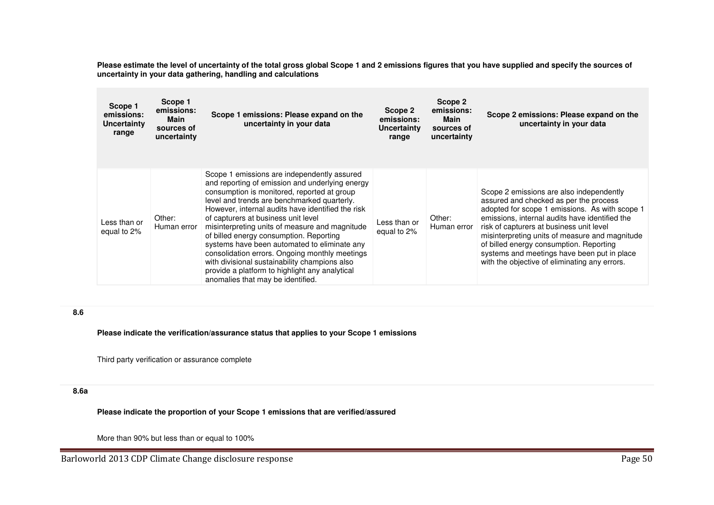**Please estimate the level of uncertainty of the total gross global Scope 1 and 2 emissions figures that you have supplied and specify the sources of uncertainty in your data gathering, handling and calculations**

| Scope 1<br>emissions:<br>Uncertainty<br>range | Scope 1<br>emissions:<br>Main<br>sources of<br>uncertainty | Scope 1 emissions: Please expand on the<br>uncertainty in your data                                                                                                                                                                                                                                                                                                                                                                                                                                                                                                                                                             | Scope 2<br>emissions:<br>Uncertainty<br>range | Scope 2<br>emissions:<br>Main<br>sources of<br>uncertainty | Scope 2 emissions: Please expand on the<br>uncertainty in your data                                                                                                                                                                                                                                                                                                                                                             |
|-----------------------------------------------|------------------------------------------------------------|---------------------------------------------------------------------------------------------------------------------------------------------------------------------------------------------------------------------------------------------------------------------------------------------------------------------------------------------------------------------------------------------------------------------------------------------------------------------------------------------------------------------------------------------------------------------------------------------------------------------------------|-----------------------------------------------|------------------------------------------------------------|---------------------------------------------------------------------------------------------------------------------------------------------------------------------------------------------------------------------------------------------------------------------------------------------------------------------------------------------------------------------------------------------------------------------------------|
| Less than or<br>equal to 2%                   | Other:<br>Human error                                      | Scope 1 emissions are independently assured<br>and reporting of emission and underlying energy<br>consumption is monitored, reported at group<br>level and trends are benchmarked quarterly.<br>However, internal audits have identified the risk<br>of capturers at business unit level<br>misinterpreting units of measure and magnitude<br>of billed energy consumption. Reporting<br>systems have been automated to eliminate any<br>consolidation errors. Ongoing monthly meetings<br>with divisional sustainability champions also<br>provide a platform to highlight any analytical<br>anomalies that may be identified. | Less than or<br>equal to 2%                   | Other:<br>Human error                                      | Scope 2 emissions are also independently<br>assured and checked as per the process<br>adopted for scope 1 emissions. As with scope 1<br>emissions, internal audits have identified the<br>risk of capturers at business unit level<br>misinterpreting units of measure and magnitude<br>of billed energy consumption. Reporting<br>systems and meetings have been put in place<br>with the objective of eliminating any errors. |

## **8.6**

**Please indicate the verification/assurance status that applies to your Scope 1 emissions**

Third party verification or assurance complete

# **8.6a**

**Please indicate the proportion of your Scope 1 emissions that are verified/assured**

More than 90% but less than or equal to 100%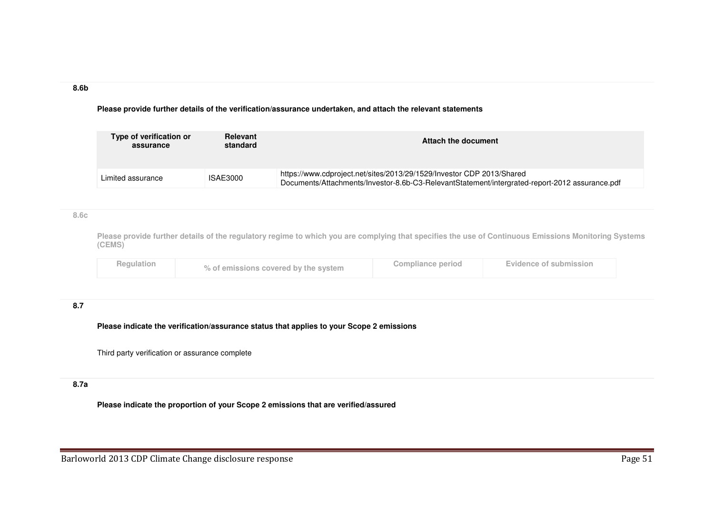#### **8.6b**

**Please provide further details of the verification/assurance undertaken, and attach the relevant statements**

| Type of verification or<br>assurance | <b>Relevant</b><br>standard | Attach the document                                                                                                                                                     |
|--------------------------------------|-----------------------------|-------------------------------------------------------------------------------------------------------------------------------------------------------------------------|
| Limited assurance                    | ISAE3000                    | https://www.cdproject.net/sites/2013/29/1529/Investor CDP 2013/Shared<br>Documents/Attachments/Investor-8.6b-C3-RelevantStatement/intergrated-report-2012 assurance.pdf |

## **8.6c**

**Please provide further details of the regulatory regime to which you are complying that specifies the use of Continuous Emissions Monitoring Systems (CEMS)**

| Regulation | % of emissions covered by the system | <b>Compliance period</b> | Evidence of submission |  |
|------------|--------------------------------------|--------------------------|------------------------|--|
|------------|--------------------------------------|--------------------------|------------------------|--|

# **8.7**

**Please indicate the verification/assurance status that applies to your Scope 2 emissions**

Third party verification or assurance complete

# **8.7a**

**Please indicate the proportion of your Scope 2 emissions that are verified/assured**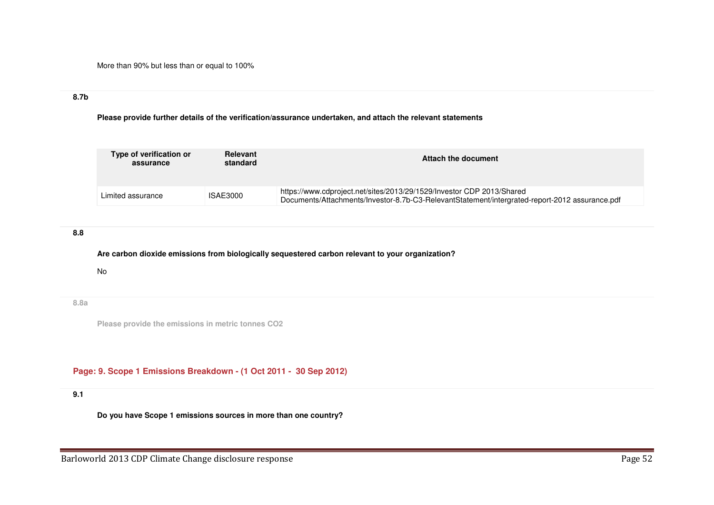More than 90% but less than or equal to 100%

# **8.7b**

**Please provide further details of the verification/assurance undertaken, and attach the relevant statements**

| Type of verification or<br>assurance | Relevant<br>standard | Attach the document                                                                                                                                                     |
|--------------------------------------|----------------------|-------------------------------------------------------------------------------------------------------------------------------------------------------------------------|
| Limited assurance                    | ISAE3000             | https://www.cdproject.net/sites/2013/29/1529/Investor CDP 2013/Shared<br>Documents/Attachments/Investor-8.7b-C3-RelevantStatement/intergrated-report-2012 assurance.pdf |

# **8.8**

**Are carbon dioxide emissions from biologically sequestered carbon relevant to your organization?**

No

# **8.8a**

**Please provide the emissions in metric tonnes CO2**

**Page: 9. Scope 1 Emissions Breakdown - (1 Oct 2011 - 30 Sep 2012)** 

## **9.1**

**Do you have Scope 1 emissions sources in more than one country?**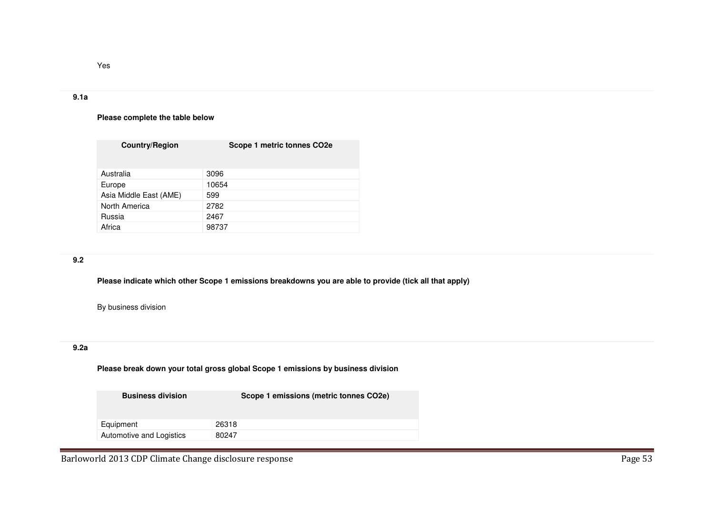## **9.1a**

Yes

## **Please complete the table below**

| <b>Country/Region</b>  | Scope 1 metric tonnes CO2e |
|------------------------|----------------------------|
| Australia              | 3096                       |
| Europe                 | 10654                      |
| Asia Middle East (AME) | 599                        |
| North America          | 2782                       |
| Russia                 | 2467                       |
| Africa                 | 98737                      |

# **9.2**

**Please indicate which other Scope 1 emissions breakdowns you are able to provide (tick all that apply)**

By business division

# **9.2a**

**Please break down your total gross global Scope 1 emissions by business division**

| <b>Business division</b> | Scope 1 emissions (metric tonnes CO2e) |
|--------------------------|----------------------------------------|
| Equipment                | 26318                                  |
| Automotive and Logistics | 80247                                  |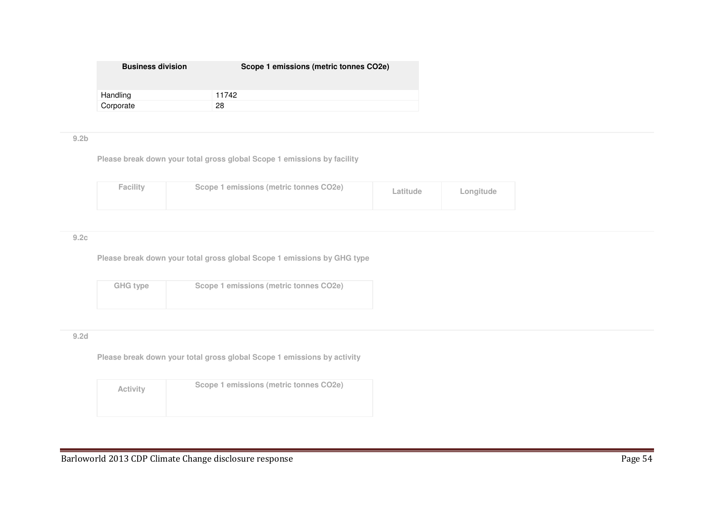| <b>Business division</b> | Scope 1 emissions (metric tonnes CO2e) |
|--------------------------|----------------------------------------|
| Handling                 | 11742                                  |
| Corporate                | 28                                     |

## **9.2b**

**Please break down your total gross global Scope 1 emissions by facility**

| <b>Facility</b> | Scope 1 emissions (metric tonnes CO2e) | Latitude | Longitude |  |
|-----------------|----------------------------------------|----------|-----------|--|
|-----------------|----------------------------------------|----------|-----------|--|

## **9.2c**

**Please break down your total gross global Scope 1 emissions by GHG type**

| GHG type | Scope 1 emissions (metric tonnes CO2e) |
|----------|----------------------------------------|
|          |                                        |

## **9.2d**

**Please break down your total gross global Scope 1 emissions by activity**

| <b>Activity</b> | Scope 1 emissions (metric tonnes CO2e) |
|-----------------|----------------------------------------|
|                 |                                        |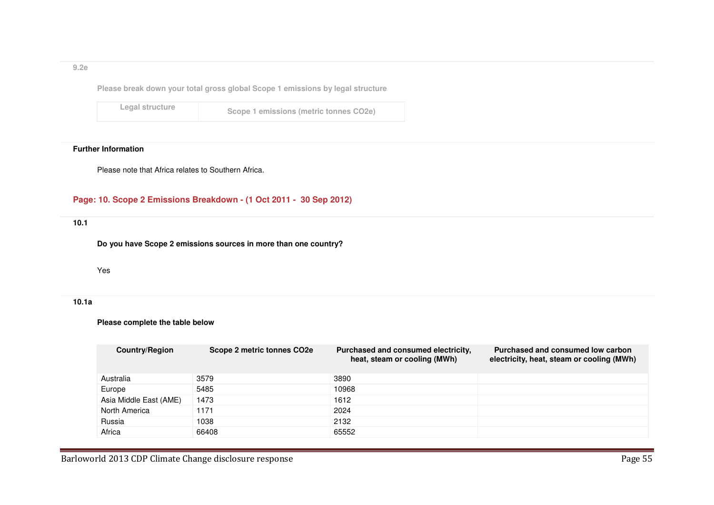## **9.2e**

**Please break down your total gross global Scope 1 emissions by legal structure**

**Legal structure**

**Scope 1 emissions (metric tonnes CO2e)** 

## **Further Information**

Please note that Africa relates to Southern Africa.

# **Page: 10. Scope 2 Emissions Breakdown - (1 Oct 2011 - 30 Sep 2012)**

**10.1** 

**Do you have Scope 2 emissions sources in more than one country?**

#### Yes

### **10.1a**

## **Please complete the table below**

| <b>Country/Region</b>  | Scope 2 metric tonnes CO2e | Purchased and consumed electricity,<br>heat, steam or cooling (MWh) | Purchased and consumed low carbon<br>electricity, heat, steam or cooling (MWh) |
|------------------------|----------------------------|---------------------------------------------------------------------|--------------------------------------------------------------------------------|
| Australia              | 3579                       | 3890                                                                |                                                                                |
| Europe                 | 5485                       | 10968                                                               |                                                                                |
| Asia Middle East (AME) | 1473                       | 1612                                                                |                                                                                |
| North America          | 1171                       | 2024                                                                |                                                                                |
| Russia                 | 1038                       | 2132                                                                |                                                                                |
| Africa                 | 66408                      | 65552                                                               |                                                                                |

Barloworld 2013 CDP Climate Change disclosure response **Page 55** Page 55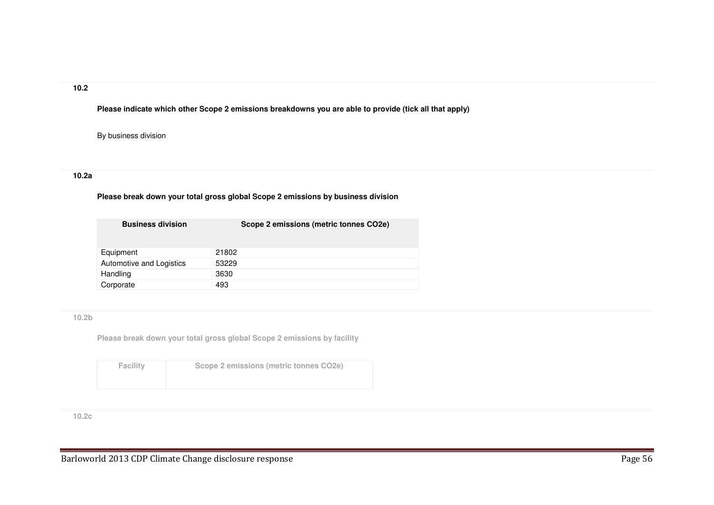## **10.2**

**Please indicate which other Scope 2 emissions breakdowns you are able to provide (tick all that apply)**

By business division

## **10.2a**

# **Please break down your total gross global Scope 2 emissions by business division**

| <b>Business division</b> | Scope 2 emissions (metric tonnes CO2e) |
|--------------------------|----------------------------------------|
| Equipment                | 21802                                  |
| Automotive and Logistics | 53229                                  |
| Handling                 | 3630                                   |
| Corporate                | 493                                    |

## **10.2b**

**Please break down your total gross global Scope 2 emissions by facility**

| <b>Facility</b> | Scope 2 emissions (metric tonnes CO2e) |
|-----------------|----------------------------------------|
|                 |                                        |

**10.2c**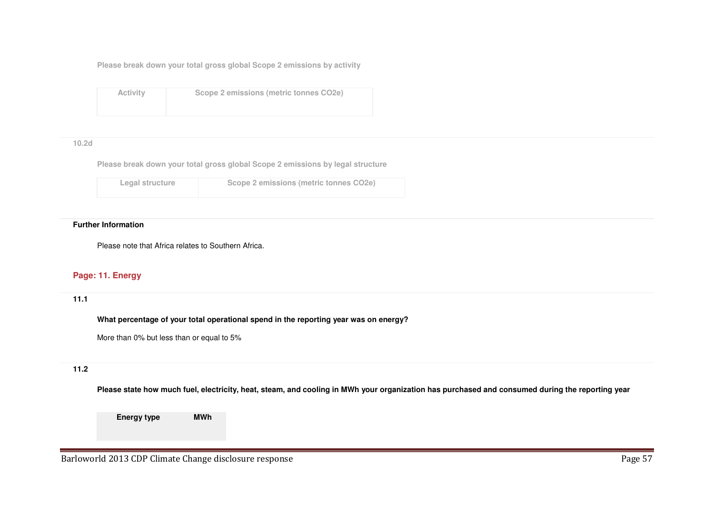**Please break down your total gross global Scope 2 emissions by activity**

**Activity**

**Scope 2 emissions (metric tonnes CO2e)**

#### **10.2d**

**Please break down your total gross global Scope 2 emissions by legal structure**

| Legal structure | Scope 2 emissions (metric tonnes CO2e) |
|-----------------|----------------------------------------|
|                 |                                        |

#### **Further Information**

Please note that Africa relates to Southern Africa.

# **Page: 11. Energy**

**11.1** 

**What percentage of your total operational spend in the reporting year was on energy?**

More than 0% but less than or equal to 5%

# **11.2**

**Please state how much fuel, electricity, heat, steam, and cooling in MWh your organization has purchased and consumed during the reporting year**

**Energy typeMWh**

Barloworld 2013 CDP Climate Change disclosure response **Page 57** and the set of the Page 57 and the Page 57 and the Page 57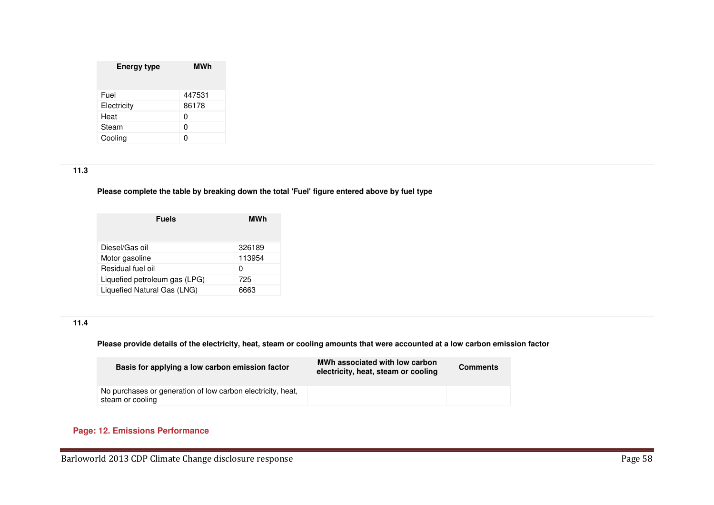| <b>Energy type</b> | <b>MWh</b> |  |  |
|--------------------|------------|--|--|
| Fuel               | 447531     |  |  |
| Electricity        | 86178      |  |  |
| Heat               | 0          |  |  |
| Steam              | 0          |  |  |
| Cooling            |            |  |  |

# **11.3**

**Please complete the table by breaking down the total 'Fuel' figure entered above by fuel type**

| MWh |  |
|-----|--|
|     |  |
|     |  |
|     |  |
|     |  |
|     |  |
|     |  |

# **11.4**

## **Please provide details of the electricity, heat, steam or cooling amounts that were accounted at a low carbon emission factor**

| Basis for applying a low carbon emission factor                                 | MWh associated with low carbon<br>electricity, heat, steam or cooling | <b>Comments</b> |
|---------------------------------------------------------------------------------|-----------------------------------------------------------------------|-----------------|
| No purchases or generation of low carbon electricity, heat,<br>steam or cooling |                                                                       |                 |

# **Page: 12. Emissions Performance**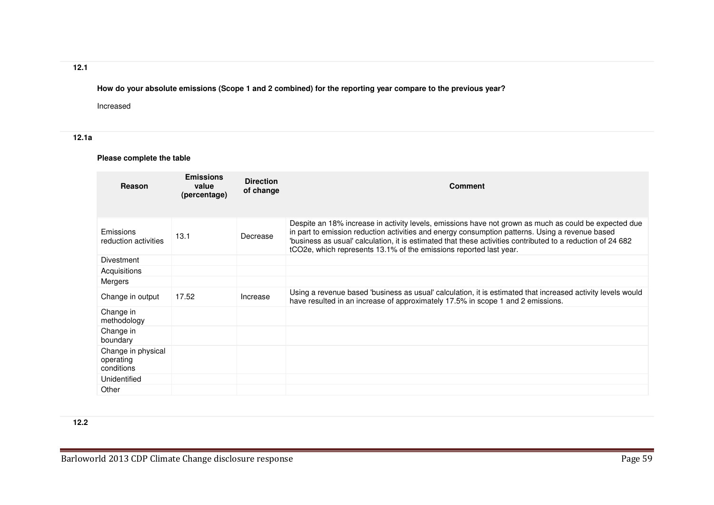# **12.1**

**How do your absolute emissions (Scope 1 and 2 combined) for the reporting year compare to the previous year?**

Increased

# **12.1a**

# **Please complete the table**

| Reason                                        | <b>Emissions</b><br>value<br>(percentage) | <b>Direction</b><br>of change | <b>Comment</b>                                                                                                                                                                                                                                                                                                                                                                                |
|-----------------------------------------------|-------------------------------------------|-------------------------------|-----------------------------------------------------------------------------------------------------------------------------------------------------------------------------------------------------------------------------------------------------------------------------------------------------------------------------------------------------------------------------------------------|
| Emissions<br>reduction activities             | 13.1                                      | Decrease                      | Despite an 18% increase in activity levels, emissions have not grown as much as could be expected due<br>in part to emission reduction activities and energy consumption patterns. Using a revenue based<br>'business as usual' calculation, it is estimated that these activities contributed to a reduction of 24 682<br>tCO2e, which represents 13.1% of the emissions reported last year. |
| Divestment                                    |                                           |                               |                                                                                                                                                                                                                                                                                                                                                                                               |
| Acquisitions                                  |                                           |                               |                                                                                                                                                                                                                                                                                                                                                                                               |
| Mergers                                       |                                           |                               |                                                                                                                                                                                                                                                                                                                                                                                               |
| Change in output                              | 17.52                                     | Increase                      | Using a revenue based 'business as usual' calculation, it is estimated that increased activity levels would<br>have resulted in an increase of approximately 17.5% in scope 1 and 2 emissions.                                                                                                                                                                                                |
| Change in<br>methodology                      |                                           |                               |                                                                                                                                                                                                                                                                                                                                                                                               |
| Change in<br>boundary                         |                                           |                               |                                                                                                                                                                                                                                                                                                                                                                                               |
| Change in physical<br>operating<br>conditions |                                           |                               |                                                                                                                                                                                                                                                                                                                                                                                               |
| Unidentified                                  |                                           |                               |                                                                                                                                                                                                                                                                                                                                                                                               |
| Other                                         |                                           |                               |                                                                                                                                                                                                                                                                                                                                                                                               |

**12.2**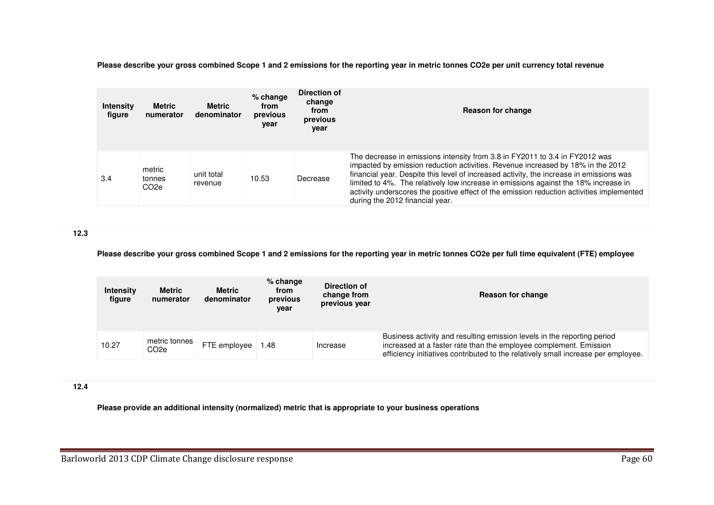**Please describe your gross combined Scope 1 and 2 emissions for the reporting year in metric tonnes CO2e per unit currency total revenue**

| <b>Intensity</b><br>figure | <b>Metric</b><br>numerator            | <b>Metric</b><br>denominator | % change<br>from<br>previous<br>year | Direction of<br>change<br>from<br>previous<br>year | Reason for change                                                                                                                                                                                                                                                                                                                                                                                                                                                                |
|----------------------------|---------------------------------------|------------------------------|--------------------------------------|----------------------------------------------------|----------------------------------------------------------------------------------------------------------------------------------------------------------------------------------------------------------------------------------------------------------------------------------------------------------------------------------------------------------------------------------------------------------------------------------------------------------------------------------|
| 3.4                        | metric<br>tonnes<br>CO <sub>2</sub> e | unit total<br>revenue        | 10.53                                | Decrease                                           | The decrease in emissions intensity from 3.8 in FY2011 to 3.4 in FY2012 was<br>impacted by emission reduction activities. Revenue increased by 18% in the 2012<br>financial year. Despite this level of increased activity, the increase in emissions was<br>limited to 4%. The relatively low increase in emissions against the 18% increase in<br>activity underscores the positive effect of the emission reduction activities implemented<br>during the 2012 financial year. |

**12.3** 

**Please describe your gross combined Scope 1 and 2 emissions for the reporting year in metric tonnes CO2e per full time equivalent (FTE) employee**

| <b>Intensity</b><br>figure | Metric<br>numerator   | Metric<br>denominator | % change<br>from<br>previous<br>vear | Direction of<br>change from<br>previous year | Reason for change                                                                                                                                                                                                                 |
|----------------------------|-----------------------|-----------------------|--------------------------------------|----------------------------------------------|-----------------------------------------------------------------------------------------------------------------------------------------------------------------------------------------------------------------------------------|
| 10.27                      | metric tonnes<br>CO2e | FTE employee          | 48. ا                                | Increase                                     | Business activity and resulting emission levels in the reporting period<br>increased at a faster rate than the employee complement. Emission<br>efficiency initiatives contributed to the relatively small increase per employee. |

**12.4** 

**Please provide an additional intensity (normalized) metric that is appropriate to your business operations**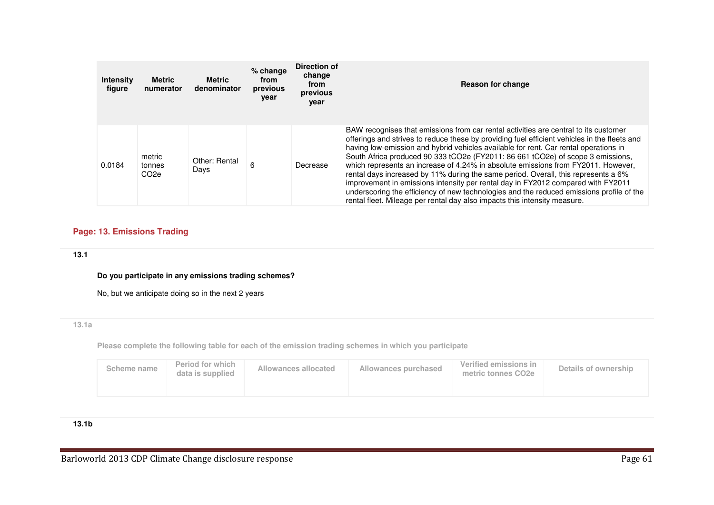| <b>Intensity</b><br>figure | <b>Metric</b><br>numerator           | <b>Metric</b><br>denominator | $%$ change<br>from<br>previous<br>vear | Direction of<br>change<br>from<br>previous<br>year | Reason for change                                                                                                                                                                                                                                                                                                                                                                                                                                                                                                                                                                                                                                                                                                                                                                                       |
|----------------------------|--------------------------------------|------------------------------|----------------------------------------|----------------------------------------------------|---------------------------------------------------------------------------------------------------------------------------------------------------------------------------------------------------------------------------------------------------------------------------------------------------------------------------------------------------------------------------------------------------------------------------------------------------------------------------------------------------------------------------------------------------------------------------------------------------------------------------------------------------------------------------------------------------------------------------------------------------------------------------------------------------------|
| 0.0184                     | metric<br>tonnes<br>CO <sub>2e</sub> | Other: Rental<br>Days        | 6                                      | Decrease                                           | BAW recognises that emissions from car rental activities are central to its customer<br>offerings and strives to reduce these by providing fuel efficient vehicles in the fleets and<br>having low-emission and hybrid vehicles available for rent. Car rental operations in<br>South Africa produced 90 333 tCO2e (FY2011: 86 661 tCO2e) of scope 3 emissions.<br>which represents an increase of 4.24% in absolute emissions from FY2011. However,<br>rental days increased by 11% during the same period. Overall, this represents a 6%<br>improvement in emissions intensity per rental day in FY2012 compared with FY2011<br>underscoring the efficiency of new technologies and the reduced emissions profile of the<br>rental fleet. Mileage per rental day also impacts this intensity measure. |

# **Page: 13. Emissions Trading**

# **13.1**

**Do you participate in any emissions trading schemes?**

No, but we anticipate doing so in the next 2 years

# **13.1a**

**Please complete the following table for each of the emission trading schemes in which you participate**

| Period for which<br>Allowances allocated<br>Scheme name<br>data is supplied | Allowances purchased | Verified emissions in<br>metric tonnes CO <sub>2e</sub> | Details of ownership |
|-----------------------------------------------------------------------------|----------------------|---------------------------------------------------------|----------------------|
|-----------------------------------------------------------------------------|----------------------|---------------------------------------------------------|----------------------|

# **13.1b**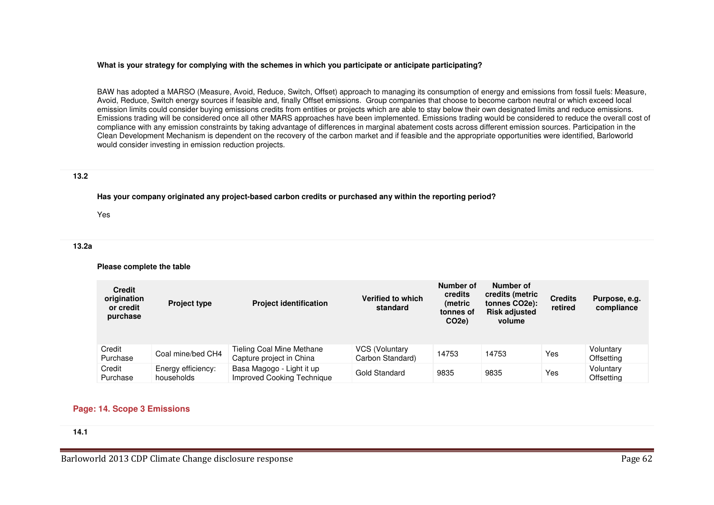#### **What is your strategy for complying with the schemes in which you participate or anticipate participating?**

BAW has adopted a MARSO (Measure, Avoid, Reduce, Switch, Offset) approach to managing its consumption of energy and emissions from fossil fuels: Measure,Avoid, Reduce, Switch energy sources if feasible and, finally Offset emissions. Group companies that choose to become carbon neutral or which exceed local emission limits could consider buying emissions credits from entities or projects which are able to stay below their own designated limits and reduce emissions. Emissions trading will be considered once all other MARS approaches have been implemented. Emissions trading would be considered to reduce the overall cost of compliance with any emission constraints by taking advantage of differences in marginal abatement costs across different emission sources. Participation in the Clean Development Mechanism is dependent on the recovery of the carbon market and if feasible and the appropriate opportunities were identified, Barloworld would consider investing in emission reduction projects.

#### **13.2**

**Has your company originated any project-based carbon credits or purchased any within the reporting period?**

Yes

#### **13.2a**

**Please complete the table**

| <b>Credit</b><br>origination<br>or credit<br>purchase | <b>Project type</b>              | <b>Project identification</b>                                | Verified to which<br>standard             | Number of<br>credits<br>(metric<br>tonnes of<br>CO <sub>2e</sub> ) | Number of<br>credits (metric<br>tonnes CO <sub>2</sub> e):<br><b>Risk adjusted</b><br>volume | <b>Credits</b><br>retired | Purpose, e.g.<br>compliance |
|-------------------------------------------------------|----------------------------------|--------------------------------------------------------------|-------------------------------------------|--------------------------------------------------------------------|----------------------------------------------------------------------------------------------|---------------------------|-----------------------------|
| Credit<br>Purchase                                    | Coal mine/bed CH4                | <b>Tieling Coal Mine Methane</b><br>Capture project in China | <b>VCS (Voluntary</b><br>Carbon Standard) | 14753                                                              | 14753                                                                                        | Yes                       | Voluntary<br>Offsetting     |
| Credit<br>Purchase                                    | Energy efficiency:<br>households | Basa Magogo - Light it up<br>Improved Cooking Technique      | Gold Standard                             | 9835                                                               | 9835                                                                                         | Yes                       | Voluntary<br>Offsetting     |

## **Page: 14. Scope 3 Emissions**

**14.1**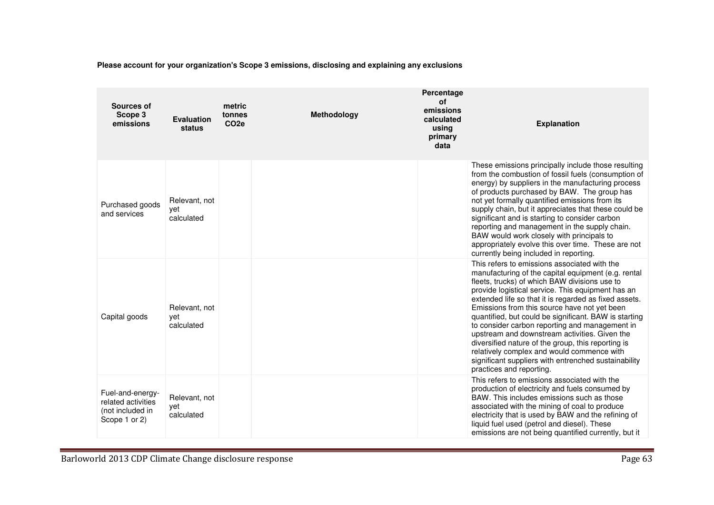| Sources of<br>Scope 3<br>emissions                                          | <b>Evaluation</b><br>status        | metric<br>tonnes<br>CO <sub>2e</sub> | Methodology | Percentage<br><b>of</b><br>emissions<br>calculated<br>using<br>primary<br>data | <b>Explanation</b>                                                                                                                                                                                                                                                                                                                                                                                                                                                                                                                                                                                                                                                     |
|-----------------------------------------------------------------------------|------------------------------------|--------------------------------------|-------------|--------------------------------------------------------------------------------|------------------------------------------------------------------------------------------------------------------------------------------------------------------------------------------------------------------------------------------------------------------------------------------------------------------------------------------------------------------------------------------------------------------------------------------------------------------------------------------------------------------------------------------------------------------------------------------------------------------------------------------------------------------------|
| Purchased goods<br>and services                                             | Relevant, not<br>yet<br>calculated |                                      |             |                                                                                | These emissions principally include those resulting<br>from the combustion of fossil fuels (consumption of<br>energy) by suppliers in the manufacturing process<br>of products purchased by BAW. The group has<br>not yet formally quantified emissions from its<br>supply chain, but it appreciates that these could be<br>significant and is starting to consider carbon<br>reporting and management in the supply chain.<br>BAW would work closely with principals to<br>appropriately evolve this over time. These are not<br>currently being included in reporting.                                                                                               |
| Capital goods                                                               | Relevant, not<br>vet<br>calculated |                                      |             |                                                                                | This refers to emissions associated with the<br>manufacturing of the capital equipment (e.g. rental<br>fleets, trucks) of which BAW divisions use to<br>provide logistical service. This equipment has an<br>extended life so that it is regarded as fixed assets.<br>Emissions from this source have not yet been<br>quantified, but could be significant. BAW is starting<br>to consider carbon reporting and management in<br>upstream and downstream activities. Given the<br>diversified nature of the group, this reporting is<br>relatively complex and would commence with<br>significant suppliers with entrenched sustainability<br>practices and reporting. |
| Fuel-and-energy-<br>related activities<br>(not included in<br>Scope 1 or 2) | Relevant, not<br>yet<br>calculated |                                      |             |                                                                                | This refers to emissions associated with the<br>production of electricity and fuels consumed by<br>BAW. This includes emissions such as those<br>associated with the mining of coal to produce<br>electricity that is used by BAW and the refining of<br>liquid fuel used (petrol and diesel). These<br>emissions are not being quantified currently, but it                                                                                                                                                                                                                                                                                                           |

**Please account for your organization's Scope 3 emissions, disclosing and explaining any exclusions**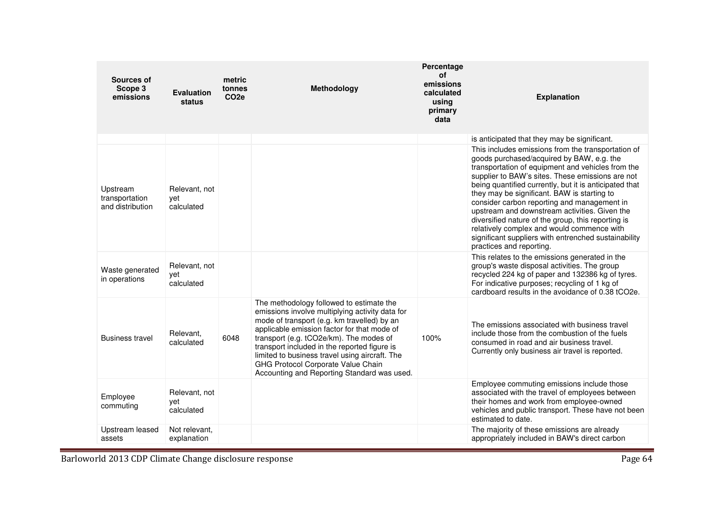| Sources of<br>Scope 3<br>emissions             | <b>Evaluation</b><br>status        | metric<br>tonnes<br>CO <sub>2e</sub> | Methodology                                                                                                                                                                                                                                                                                                                                                                                                                 | Percentage<br>οf<br>emissions<br>calculated<br>using<br>primary<br>data | <b>Explanation</b>                                                                                                                                                                                                                                                                                                                                                                                                                                                                                                                                                                                        |
|------------------------------------------------|------------------------------------|--------------------------------------|-----------------------------------------------------------------------------------------------------------------------------------------------------------------------------------------------------------------------------------------------------------------------------------------------------------------------------------------------------------------------------------------------------------------------------|-------------------------------------------------------------------------|-----------------------------------------------------------------------------------------------------------------------------------------------------------------------------------------------------------------------------------------------------------------------------------------------------------------------------------------------------------------------------------------------------------------------------------------------------------------------------------------------------------------------------------------------------------------------------------------------------------|
|                                                |                                    |                                      |                                                                                                                                                                                                                                                                                                                                                                                                                             |                                                                         | is anticipated that they may be significant.                                                                                                                                                                                                                                                                                                                                                                                                                                                                                                                                                              |
| Upstream<br>transportation<br>and distribution | Relevant, not<br>vet<br>calculated |                                      |                                                                                                                                                                                                                                                                                                                                                                                                                             |                                                                         | This includes emissions from the transportation of<br>goods purchased/acquired by BAW, e.g. the<br>transportation of equipment and vehicles from the<br>supplier to BAW's sites. These emissions are not<br>being quantified currently, but it is anticipated that<br>they may be significant. BAW is starting to<br>consider carbon reporting and management in<br>upstream and downstream activities. Given the<br>diversified nature of the group, this reporting is<br>relatively complex and would commence with<br>significant suppliers with entrenched sustainability<br>practices and reporting. |
| Waste generated<br>in operations               | Relevant, not<br>yet<br>calculated |                                      |                                                                                                                                                                                                                                                                                                                                                                                                                             |                                                                         | This relates to the emissions generated in the<br>group's waste disposal activities. The group<br>recycled 224 kg of paper and 132386 kg of tyres.<br>For indicative purposes; recycling of 1 kg of<br>cardboard results in the avoidance of 0.38 tCO2e.                                                                                                                                                                                                                                                                                                                                                  |
| <b>Business travel</b>                         | Relevant.<br>calculated            | 6048                                 | The methodology followed to estimate the<br>emissions involve multiplying activity data for<br>mode of transport (e.g. km travelled) by an<br>applicable emission factor for that mode of<br>transport (e.g. tCO2e/km). The modes of<br>transport included in the reported figure is<br>limited to business travel using aircraft. The<br>GHG Protocol Corporate Value Chain<br>Accounting and Reporting Standard was used. | 100%                                                                    | The emissions associated with business travel<br>include those from the combustion of the fuels<br>consumed in road and air business travel.<br>Currently only business air travel is reported.                                                                                                                                                                                                                                                                                                                                                                                                           |
| Employee<br>commuting                          | Relevant, not<br>yet<br>calculated |                                      |                                                                                                                                                                                                                                                                                                                                                                                                                             |                                                                         | Employee commuting emissions include those<br>associated with the travel of employees between<br>their homes and work from employee-owned<br>vehicles and public transport. These have not been<br>estimated to date.                                                                                                                                                                                                                                                                                                                                                                                     |
| Upstream leased<br>assets                      | Not relevant,<br>explanation       |                                      |                                                                                                                                                                                                                                                                                                                                                                                                                             |                                                                         | The majority of these emissions are already<br>appropriately included in BAW's direct carbon                                                                                                                                                                                                                                                                                                                                                                                                                                                                                                              |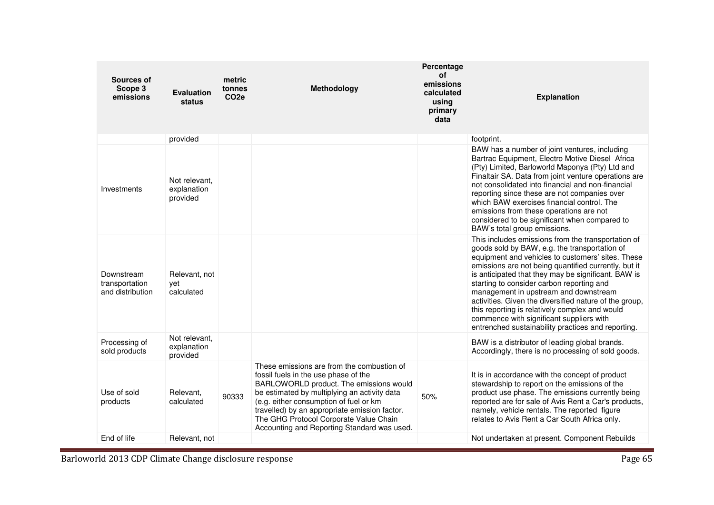| Sources of<br>Scope 3<br>emissions               | <b>Evaluation</b><br>status              | metric<br>tonnes<br>CO <sub>2e</sub> | Methodology                                                                                                                                                                                                                                                                                                                                                       | Percentage<br>οf<br>emissions<br>calculated<br>using<br>primary<br>data | <b>Explanation</b>                                                                                                                                                                                                                                                                                                                                                                                                                                                                                                                                                          |
|--------------------------------------------------|------------------------------------------|--------------------------------------|-------------------------------------------------------------------------------------------------------------------------------------------------------------------------------------------------------------------------------------------------------------------------------------------------------------------------------------------------------------------|-------------------------------------------------------------------------|-----------------------------------------------------------------------------------------------------------------------------------------------------------------------------------------------------------------------------------------------------------------------------------------------------------------------------------------------------------------------------------------------------------------------------------------------------------------------------------------------------------------------------------------------------------------------------|
|                                                  | provided                                 |                                      |                                                                                                                                                                                                                                                                                                                                                                   |                                                                         | footprint.                                                                                                                                                                                                                                                                                                                                                                                                                                                                                                                                                                  |
| Investments                                      | Not relevant.<br>explanation<br>provided |                                      |                                                                                                                                                                                                                                                                                                                                                                   |                                                                         | BAW has a number of joint ventures, including<br>Bartrac Equipment, Electro Motive Diesel Africa<br>(Pty) Limited, Barloworld Maponya (Pty) Ltd and<br>Finaltair SA. Data from joint venture operations are<br>not consolidated into financial and non-financial<br>reporting since these are not companies over<br>which BAW exercises financial control. The<br>emissions from these operations are not<br>considered to be significant when compared to<br>BAW's total group emissions.                                                                                  |
| Downstream<br>transportation<br>and distribution | Relevant, not<br>vet<br>calculated       |                                      |                                                                                                                                                                                                                                                                                                                                                                   |                                                                         | This includes emissions from the transportation of<br>goods sold by BAW, e.g. the transportation of<br>equipment and vehicles to customers' sites. These<br>emissions are not being quantified currently, but it<br>is anticipated that they may be significant. BAW is<br>starting to consider carbon reporting and<br>management in upstream and downstream<br>activities. Given the diversified nature of the group,<br>this reporting is relatively complex and would<br>commence with significant suppliers with<br>entrenched sustainability practices and reporting. |
| Processing of<br>sold products                   | Not relevant,<br>explanation<br>provided |                                      |                                                                                                                                                                                                                                                                                                                                                                   |                                                                         | BAW is a distributor of leading global brands.<br>Accordingly, there is no processing of sold goods.                                                                                                                                                                                                                                                                                                                                                                                                                                                                        |
| Use of sold<br>products                          | Relevant,<br>calculated                  | 90333                                | These emissions are from the combustion of<br>fossil fuels in the use phase of the<br>BARLOWORLD product. The emissions would<br>be estimated by multiplying an activity data<br>(e.g. either consumption of fuel or km<br>travelled) by an appropriate emission factor.<br>The GHG Protocol Corporate Value Chain<br>Accounting and Reporting Standard was used. | 50%                                                                     | It is in accordance with the concept of product<br>stewardship to report on the emissions of the<br>product use phase. The emissions currently being<br>reported are for sale of Avis Rent a Car's products,<br>namely, vehicle rentals. The reported figure<br>relates to Avis Rent a Car South Africa only.                                                                                                                                                                                                                                                               |
| End of life                                      | Relevant, not                            |                                      |                                                                                                                                                                                                                                                                                                                                                                   |                                                                         | Not undertaken at present. Component Rebuilds                                                                                                                                                                                                                                                                                                                                                                                                                                                                                                                               |

Barloworld 2013 CDP Climate Change disclosure response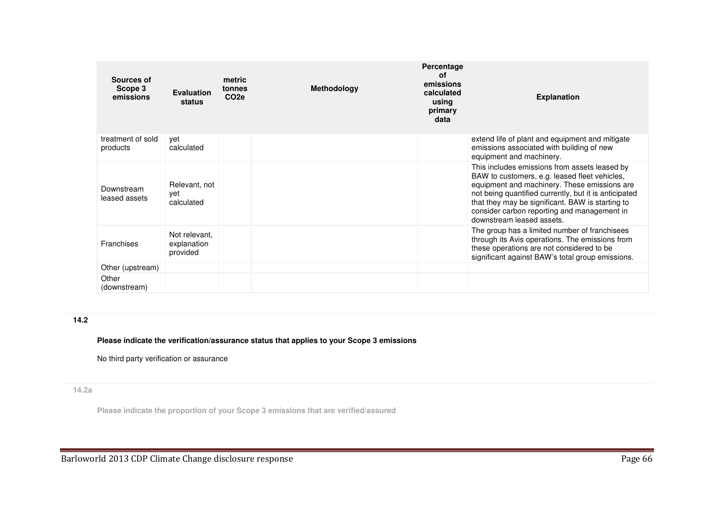| Sources of<br>Scope 3<br>emissions | Evaluation<br>status                     | metric<br>tonnes<br>CO <sub>2e</sub> | <b>Methodology</b> | Percentage<br>of<br>emissions<br>calculated<br>using<br>primary<br>data | <b>Explanation</b>                                                                                                                                                                                                                                                                                                                      |
|------------------------------------|------------------------------------------|--------------------------------------|--------------------|-------------------------------------------------------------------------|-----------------------------------------------------------------------------------------------------------------------------------------------------------------------------------------------------------------------------------------------------------------------------------------------------------------------------------------|
| treatment of sold<br>products      | yet<br>calculated                        |                                      |                    |                                                                         | extend life of plant and equipment and mitigate<br>emissions associated with building of new<br>equipment and machinery.                                                                                                                                                                                                                |
| Downstream<br>leased assets        | Relevant, not<br>yet<br>calculated       |                                      |                    |                                                                         | This includes emissions from assets leased by<br>BAW to customers, e.g. leased fleet vehicles,<br>equipment and machinery. These emissions are<br>not being quantified currently, but it is anticipated<br>that they may be significant. BAW is starting to<br>consider carbon reporting and management in<br>downstream leased assets. |
| Franchises                         | Not relevant.<br>explanation<br>provided |                                      |                    |                                                                         | The group has a limited number of franchisees<br>through its Avis operations. The emissions from<br>these operations are not considered to be<br>significant against BAW's total group emissions.                                                                                                                                       |
| Other (upstream)                   |                                          |                                      |                    |                                                                         |                                                                                                                                                                                                                                                                                                                                         |
| Other<br>(downstream)              |                                          |                                      |                    |                                                                         |                                                                                                                                                                                                                                                                                                                                         |

# **14.2**

## **Please indicate the verification/assurance status that applies to your Scope 3 emissions**

No third party verification or assurance

# **14.2a**

**Please indicate the proportion of your Scope 3 emissions that are verified/assured**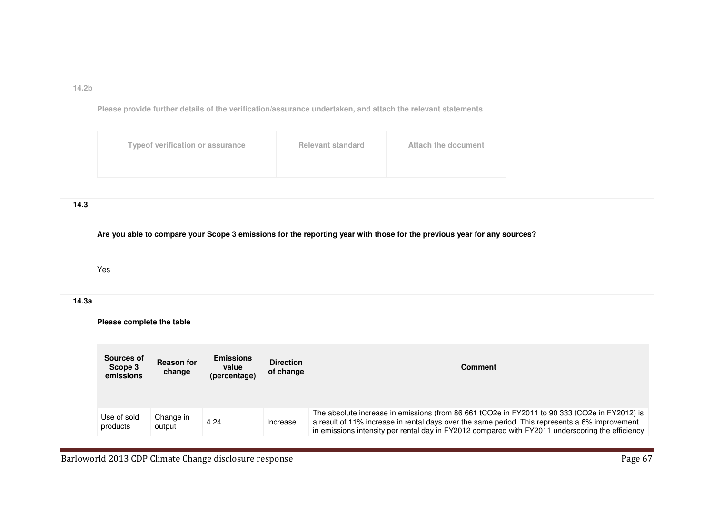## **14.2b**

**Please provide further details of the verification/assurance undertaken, and attach the relevant statements**

| <b>Typeof verification or assurance</b> | <b>Relevant standard</b> | Attach the document |
|-----------------------------------------|--------------------------|---------------------|
|                                         |                          |                     |

## **14.3**

**Are you able to compare your Scope 3 emissions for the reporting year with those for the previous year for any sources?**

## Yes

## **14.3a**

**Please complete the table**

| Sources of<br>Scope 3<br>emissions | <b>Reason for</b><br>change | <b>Emissions</b><br>value<br>(percentage) | <b>Direction</b><br>of change | <b>Comment</b>                                                                                                                                                                                                                                                                                      |
|------------------------------------|-----------------------------|-------------------------------------------|-------------------------------|-----------------------------------------------------------------------------------------------------------------------------------------------------------------------------------------------------------------------------------------------------------------------------------------------------|
| Use of sold<br>products            | Change in<br>output         | 4.24                                      | Increase                      | The absolute increase in emissions (from 86 661 tCO2e in FY2011 to 90 333 tCO2e in FY2012) is<br>a result of 11% increase in rental days over the same period. This represents a 6% improvement<br>in emissions intensity per rental day in FY2012 compared with FY2011 underscoring the efficiency |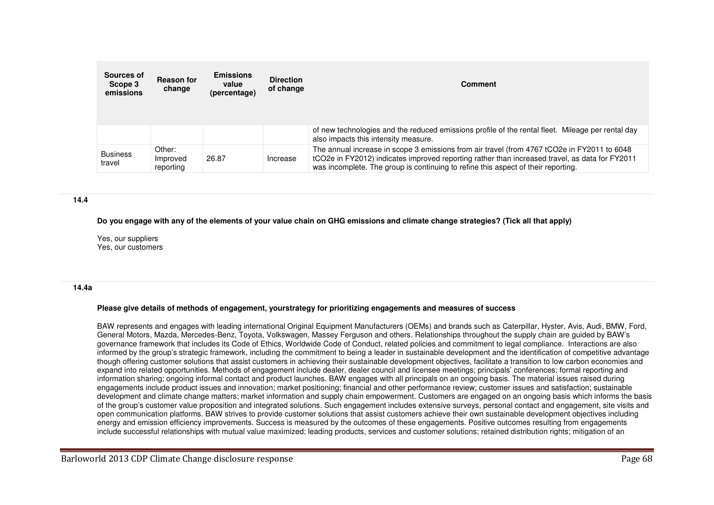| Sources of<br>Scope 3<br>emissions | <b>Reason for</b><br>change     | <b>Emissions</b><br>value<br>(percentage) | <b>Direction</b><br>of change | <b>Comment</b>                                                                                                                                                                                                                                                                     |  |
|------------------------------------|---------------------------------|-------------------------------------------|-------------------------------|------------------------------------------------------------------------------------------------------------------------------------------------------------------------------------------------------------------------------------------------------------------------------------|--|
|                                    |                                 |                                           |                               | of new technologies and the reduced emissions profile of the rental fleet. Mileage per rental day<br>also impacts this intensity measure.                                                                                                                                          |  |
| <b>Business</b><br>travel          | Other:<br>Improved<br>reporting | 26.87                                     | Increase                      | The annual increase in scope 3 emissions from air travel (from 4767 tCO2e in FY2011 to 6048<br>tCO2e in FY2012) indicates improved reporting rather than increased travel, as data for FY2011<br>was incomplete. The group is continuing to refine this aspect of their reporting. |  |

#### **14.4**

**Do you engage with any of the elements of your value chain on GHG emissions and climate change strategies? (Tick all that apply)**

Yes, our suppliers Yes, our customers

#### **14.4a**

#### **Please give details of methods of engagement, yourstrategy for prioritizing engagements and measures of success**

BAW represents and engages with leading international Original Equipment Manufacturers (OEMs) and brands such as Caterpillar, Hyster, Avis, Audi, BMW, Ford, General Motors, Mazda, Mercedes-Benz, Toyota, Volkswagen, Massey Ferguson and others. Relationships throughout the supply chain are guided by BAW's governance framework that includes its Code of Ethics, Worldwide Code of Conduct, related policies and commitment to legal compliance. Interactions are also informed by the group's strategic framework, including the commitment to being a leader in sustainable development and the identification of competitive advantage though offering customer solutions that assist customers in achieving their sustainable development objectives, facilitate a transition to low carbon economies and expand into related opportunities. Methods of engagement include dealer, dealer council and licensee meetings; principals' conferences; formal reporting and information sharing; ongoing informal contact and product launches. BAW engages with all principals on an ongoing basis. The material issues raised during engagements include product issues and innovation; market positioning; financial and other performance review; customer issues and satisfaction; sustainable development and climate change matters; market information and supply chain empowerment. Customers are engaged on an ongoing basis which informs the basis of the group's customer value proposition and integrated solutions. Such engagement includes extensive surveys, personal contact and engagement, site visits and open communication platforms. BAW strives to provide customer solutions that assist customers achieve their own sustainable development objectives including energy and emission efficiency improvements. Success is measured by the outcomes of these engagements. Positive outcomes resulting from engagements include successful relationships with mutual value maximized; leading products, services and customer solutions; retained distribution rights; mitigation of an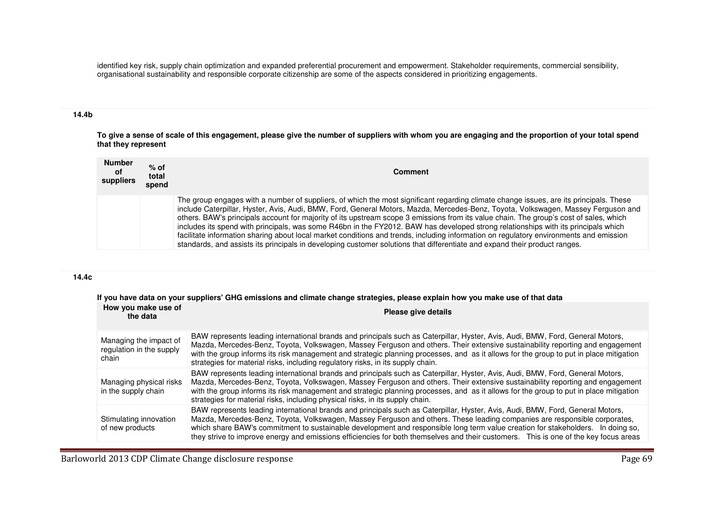identified key risk, supply chain optimization and expanded preferential procurement and empowerment. Stakeholder requirements, commercial sensibility, organisational sustainability and responsible corporate citizenship are some of the aspects considered in prioritizing engagements.

## **14.4b**

**To give a sense of scale of this engagement, please give the number of suppliers with whom you are engaging and the proportion of your total spend that they represent**

| <b>Number</b><br>0f<br>suppliers | $%$ of<br>total<br>spend | <b>Comment</b>                                                                                                                                                                                                                                                                                                                                                                                                                                                                                                                                                                                                                                                                                                                                                                                                                      |
|----------------------------------|--------------------------|-------------------------------------------------------------------------------------------------------------------------------------------------------------------------------------------------------------------------------------------------------------------------------------------------------------------------------------------------------------------------------------------------------------------------------------------------------------------------------------------------------------------------------------------------------------------------------------------------------------------------------------------------------------------------------------------------------------------------------------------------------------------------------------------------------------------------------------|
|                                  |                          | The group engages with a number of suppliers, of which the most significant regarding climate change issues, are its principals. These<br>include Caterpillar, Hyster, Avis, Audi, BMW, Ford, General Motors, Mazda, Mercedes-Benz, Toyota, Volkswagen, Massey Ferguson and<br>others. BAW's principals account for majority of its upstream scope 3 emissions from its value chain. The group's cost of sales, which<br>includes its spend with principals, was some R46bn in the FY2012. BAW has developed strong relationships with its principals which<br>facilitate information sharing about local market conditions and trends, including information on regulatory environments and emission<br>standards, and assists its principals in developing customer solutions that differentiate and expand their product ranges. |

#### **14.4c**

**If you have data on your suppliers' GHG emissions and climate change strategies, please explain how you make use of that data**

| How you make use of<br>the data                             | Please give details                                                                                                                                                                                                                                                                                                                                                                                                                                                                                                                    |
|-------------------------------------------------------------|----------------------------------------------------------------------------------------------------------------------------------------------------------------------------------------------------------------------------------------------------------------------------------------------------------------------------------------------------------------------------------------------------------------------------------------------------------------------------------------------------------------------------------------|
| Managing the impact of<br>regulation in the supply<br>chain | BAW represents leading international brands and principals such as Caterpillar, Hyster, Avis, Audi, BMW, Ford, General Motors,<br>Mazda, Mercedes-Benz, Toyota, Volkswagen, Massey Ferguson and others. Their extensive sustainability reporting and engagement<br>with the group informs its risk management and strategic planning processes, and as it allows for the group to put in place mitigation<br>strategies for material risks, including regulatory risks, in its supply chain.                                           |
| Managing physical risks<br>in the supply chain              | BAW represents leading international brands and principals such as Caterpillar, Hyster, Avis, Audi, BMW, Ford, General Motors,<br>Mazda, Mercedes-Benz, Toyota, Volkswagen, Massey Ferguson and others. Their extensive sustainability reporting and engagement<br>with the group informs its risk management and strategic planning processes, and as it allows for the group to put in place mitigation<br>strategies for material risks, including physical risks, in its supply chain.                                             |
| Stimulating innovation<br>of new products                   | BAW represents leading international brands and principals such as Caterpillar, Hyster, Avis, Audi, BMW, Ford, General Motors,<br>Mazda, Mercedes-Benz, Toyota, Volkswagen, Massey Ferguson and others. These leading companies are responsible corporates,<br>which share BAW's commitment to sustainable development and responsible long term value creation for stakeholders. In doing so,<br>they strive to improve energy and emissions efficiencies for both themselves and their customers. This is one of the key focus areas |